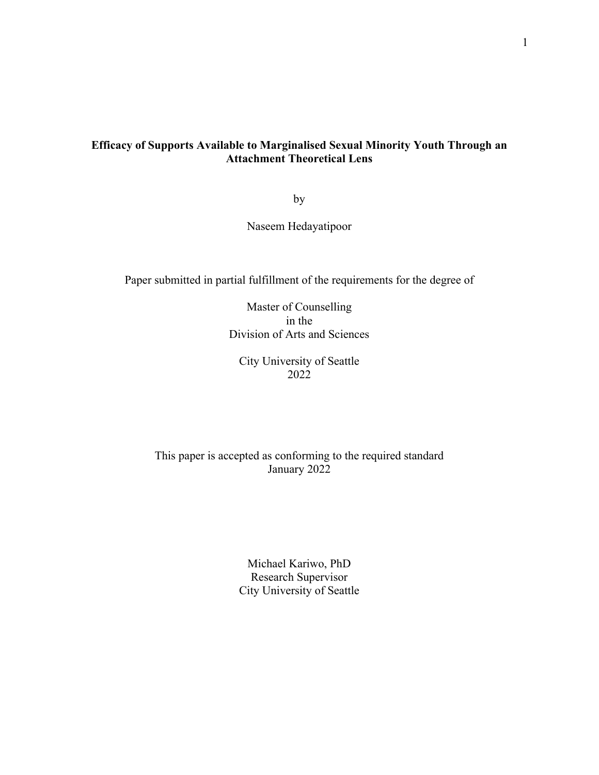# **Efficacy of Supports Available to Marginalised Sexual Minority Youth Through an Attachment Theoretical Lens**

by

Naseem Hedayatipoor

Paper submitted in partial fulfillment of the requirements for the degree of

Master of Counselling in the Division of Arts and Sciences

City University of Seattle 2022

This paper is accepted as conforming to the required standard January 2022

> Michael Kariwo, PhD Research Supervisor City University of Seattle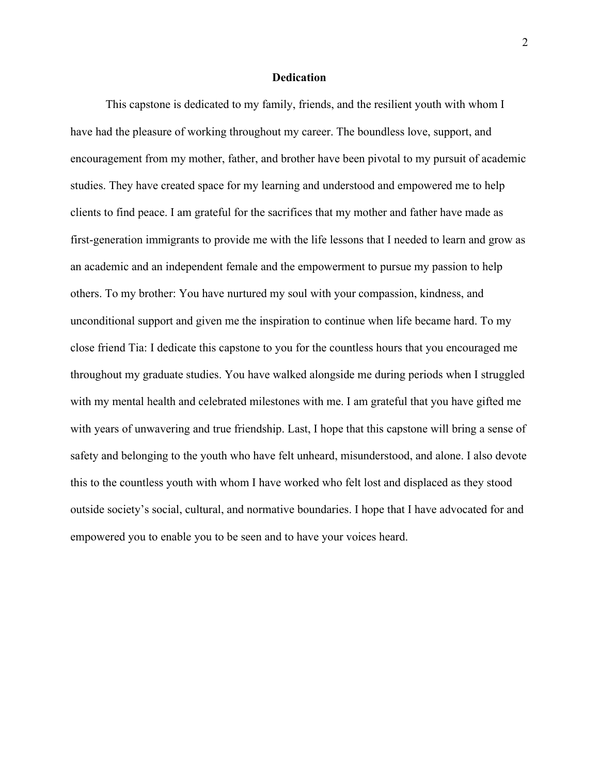#### **Dedication**

This capstone is dedicated to my family, friends, and the resilient youth with whom I have had the pleasure of working throughout my career. The boundless love, support, and encouragement from my mother, father, and brother have been pivotal to my pursuit of academic studies. They have created space for my learning and understood and empowered me to help clients to find peace. I am grateful for the sacrifices that my mother and father have made as first-generation immigrants to provide me with the life lessons that I needed to learn and grow as an academic and an independent female and the empowerment to pursue my passion to help others. To my brother: You have nurtured my soul with your compassion, kindness, and unconditional support and given me the inspiration to continue when life became hard. To my close friend Tia: I dedicate this capstone to you for the countless hours that you encouraged me throughout my graduate studies. You have walked alongside me during periods when I struggled with my mental health and celebrated milestones with me. I am grateful that you have gifted me with years of unwavering and true friendship. Last, I hope that this capstone will bring a sense of safety and belonging to the youth who have felt unheard, misunderstood, and alone. I also devote this to the countless youth with whom I have worked who felt lost and displaced as they stood outside society's social, cultural, and normative boundaries. I hope that I have advocated for and empowered you to enable you to be seen and to have your voices heard.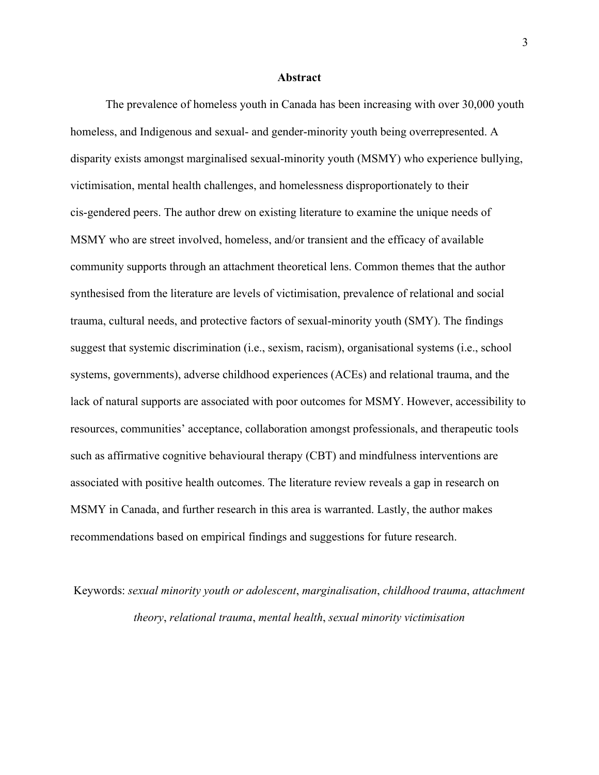#### **Abstract**

The prevalence of homeless youth in Canada has been increasing with over 30,000 youth homeless, and Indigenous and sexual- and gender-minority youth being overrepresented. A disparity exists amongst marginalised sexual-minority youth (MSMY) who experience bullying, victimisation, mental health challenges, and homelessness disproportionately to their cis-gendered peers. The author drew on existing literature to examine the unique needs of MSMY who are street involved, homeless, and/or transient and the efficacy of available community supports through an attachment theoretical lens. Common themes that the author synthesised from the literature are levels of victimisation, prevalence of relational and social trauma, cultural needs, and protective factors of sexual-minority youth (SMY). The findings suggest that systemic discrimination (i.e., sexism, racism), organisational systems (i.e., school systems, governments), adverse childhood experiences (ACEs) and relational trauma, and the lack of natural supports are associated with poor outcomes for MSMY. However, accessibility to resources, communities' acceptance, collaboration amongst professionals, and therapeutic tools such as affirmative cognitive behavioural therapy (CBT) and mindfulness interventions are associated with positive health outcomes. The literature review reveals a gap in research on MSMY in Canada, and further research in this area is warranted. Lastly, the author makes recommendations based on empirical findings and suggestions for future research.

Keywords: *sexual minority youth or adolescent*, *marginalisation*, *childhood trauma*, *attachment theory*, *relational trauma*, *mental health*, *sexual minority victimisation*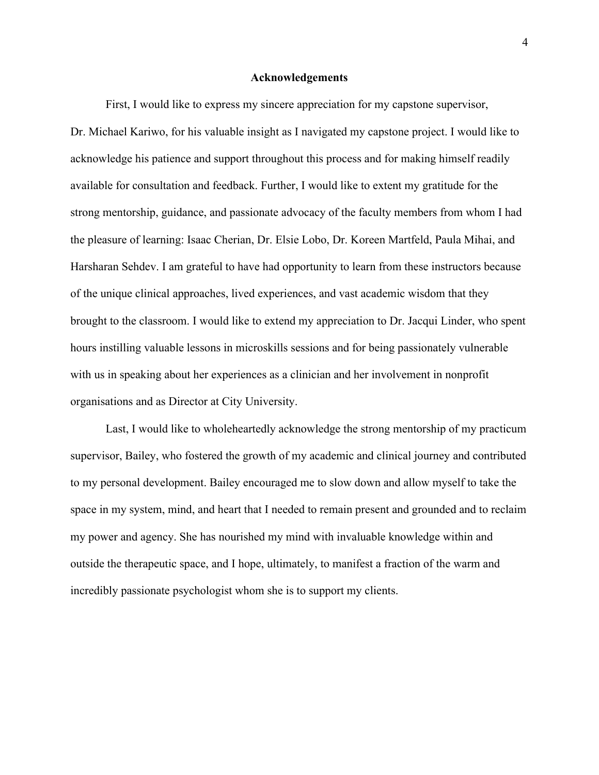#### **Acknowledgements**

First, I would like to express my sincere appreciation for my capstone supervisor, Dr. Michael Kariwo, for his valuable insight as I navigated my capstone project. I would like to acknowledge his patience and support throughout this process and for making himself readily available for consultation and feedback. Further, I would like to extent my gratitude for the strong mentorship, guidance, and passionate advocacy of the faculty members from whom I had the pleasure of learning: Isaac Cherian, Dr. Elsie Lobo, Dr. Koreen Martfeld, Paula Mihai, and Harsharan Sehdev. I am grateful to have had opportunity to learn from these instructors because of the unique clinical approaches, lived experiences, and vast academic wisdom that they brought to the classroom. I would like to extend my appreciation to Dr. Jacqui Linder, who spent hours instilling valuable lessons in microskills sessions and for being passionately vulnerable with us in speaking about her experiences as a clinician and her involvement in nonprofit organisations and as Director at City University.

Last, I would like to wholeheartedly acknowledge the strong mentorship of my practicum supervisor, Bailey, who fostered the growth of my academic and clinical journey and contributed to my personal development. Bailey encouraged me to slow down and allow myself to take the space in my system, mind, and heart that I needed to remain present and grounded and to reclaim my power and agency. She has nourished my mind with invaluable knowledge within and outside the therapeutic space, and I hope, ultimately, to manifest a fraction of the warm and incredibly passionate psychologist whom she is to support my clients.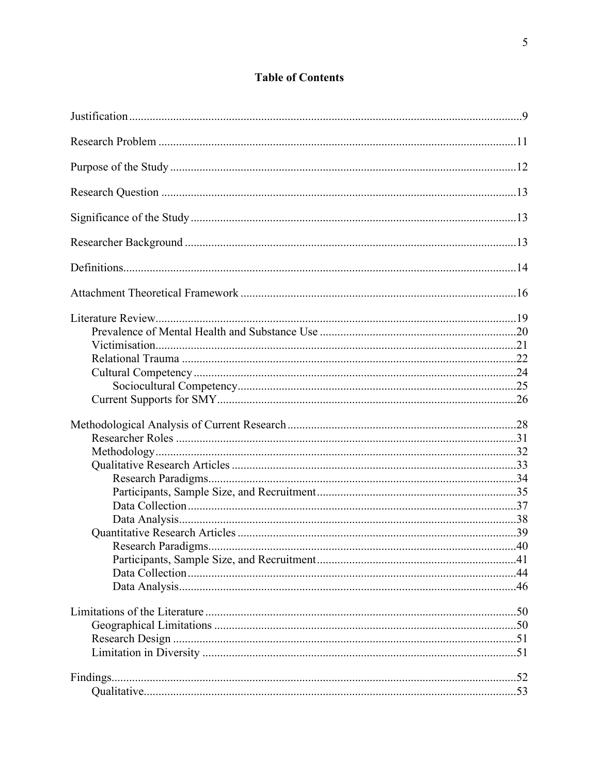# **Table of Contents**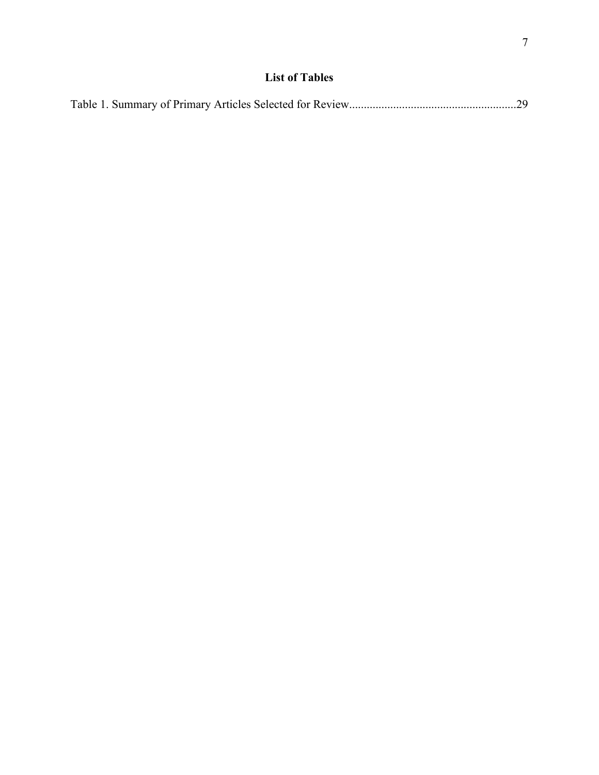|--|--|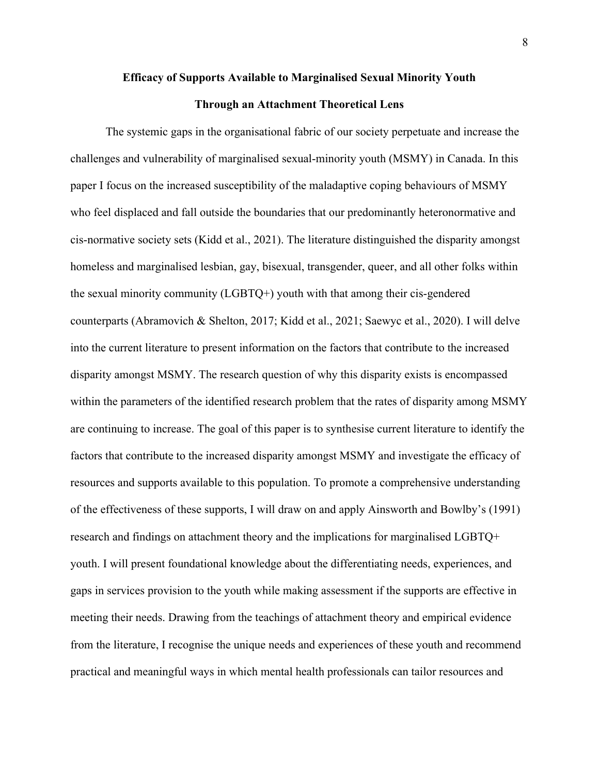# **Efficacy of Supports Available to Marginalised Sexual Minority Youth**

## **Through an Attachment Theoretical Lens**

The systemic gaps in the organisational fabric of our society perpetuate and increase the challenges and vulnerability of marginalised sexual-minority youth (MSMY) in Canada. In this paper I focus on the increased susceptibility of the maladaptive coping behaviours of MSMY who feel displaced and fall outside the boundaries that our predominantly heteronormative and cis-normative society sets (Kidd et al., 2021). The literature distinguished the disparity amongst homeless and marginalised lesbian, gay, bisexual, transgender, queer, and all other folks within the sexual minority community (LGBTQ+) youth with that among their cis-gendered counterparts (Abramovich & Shelton, 2017; Kidd et al., 2021; Saewyc et al., 2020). I will delve into the current literature to present information on the factors that contribute to the increased disparity amongst MSMY. The research question of why this disparity exists is encompassed within the parameters of the identified research problem that the rates of disparity among MSMY are continuing to increase. The goal of this paper is to synthesise current literature to identify the factors that contribute to the increased disparity amongst MSMY and investigate the efficacy of resources and supports available to this population. To promote a comprehensive understanding of the effectiveness of these supports, I will draw on and apply Ainsworth and Bowlby's (1991) research and findings on attachment theory and the implications for marginalised LGBTQ+ youth. I will present foundational knowledge about the differentiating needs, experiences, and gaps in services provision to the youth while making assessment if the supports are effective in meeting their needs. Drawing from the teachings of attachment theory and empirical evidence from the literature, I recognise the unique needs and experiences of these youth and recommend practical and meaningful ways in which mental health professionals can tailor resources and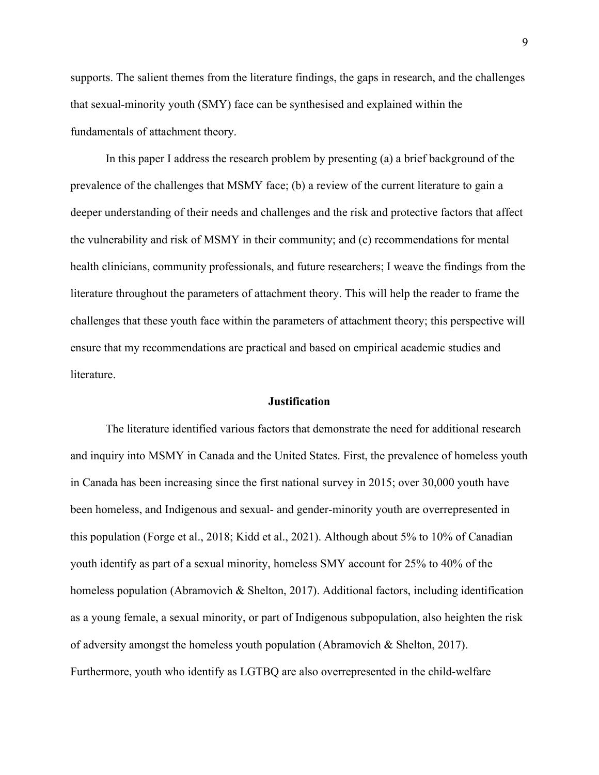supports. The salient themes from the literature findings, the gaps in research, and the challenges that sexual-minority youth (SMY) face can be synthesised and explained within the fundamentals of attachment theory.

In this paper I address the research problem by presenting (a) a brief background of the prevalence of the challenges that MSMY face; (b) a review of the current literature to gain a deeper understanding of their needs and challenges and the risk and protective factors that affect the vulnerability and risk of MSMY in their community; and (c) recommendations for mental health clinicians, community professionals, and future researchers; I weave the findings from the literature throughout the parameters of attachment theory. This will help the reader to frame the challenges that these youth face within the parameters of attachment theory; this perspective will ensure that my recommendations are practical and based on empirical academic studies and literature.

#### **Justification**

<span id="page-8-0"></span>The literature identified various factors that demonstrate the need for additional research and inquiry into MSMY in Canada and the United States. First, the prevalence of homeless youth in Canada has been increasing since the first national survey in 2015; over 30,000 youth have been homeless, and Indigenous and sexual- and gender-minority youth are overrepresented in this population (Forge et al., 2018; Kidd et al., 2021). Although about 5% to 10% of Canadian youth identify as part of a sexual minority, homeless SMY account for 25% to 40% of the homeless population (Abramovich & Shelton, 2017). Additional factors, including identification as a young female, a sexual minority, or part of Indigenous subpopulation, also heighten the risk of adversity amongst the homeless youth population (Abramovich & Shelton, 2017). Furthermore, youth who identify as LGTBQ are also overrepresented in the child-welfare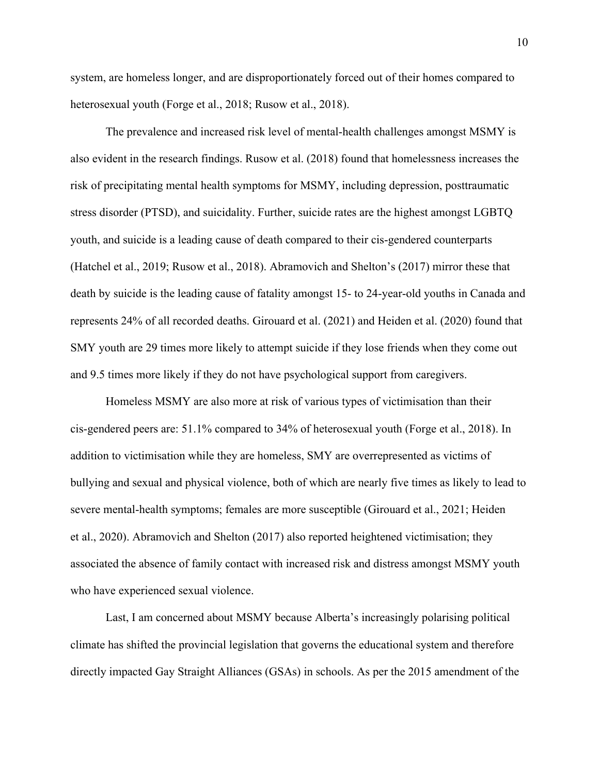system, are homeless longer, and are disproportionately forced out of their homes compared to heterosexual youth (Forge et al., 2018; Rusow et al., 2018).

The prevalence and increased risk level of mental-health challenges amongst MSMY is also evident in the research findings. Rusow et al. (2018) found that homelessness increases the risk of precipitating mental health symptoms for MSMY, including depression, posttraumatic stress disorder (PTSD), and suicidality. Further, suicide rates are the highest amongst LGBTQ youth, and suicide is a leading cause of death compared to their cis-gendered counterparts (Hatchel et al., 2019; Rusow et al., 2018). Abramovich and Shelton's (2017) mirror these that death by suicide is the leading cause of fatality amongst 15- to 24-year-old youths in Canada and represents 24% of all recorded deaths. Girouard et al. (2021) and Heiden et al. (2020) found that SMY youth are 29 times more likely to attempt suicide if they lose friends when they come out and 9.5 times more likely if they do not have psychological support from caregivers.

Homeless MSMY are also more at risk of various types of victimisation than their cis-gendered peers are: 51.1% compared to 34% of heterosexual youth (Forge et al., 2018). In addition to victimisation while they are homeless, SMY are overrepresented as victims of bullying and sexual and physical violence, both of which are nearly five times as likely to lead to severe mental-health symptoms; females are more susceptible (Girouard et al., 2021; Heiden et al., 2020). Abramovich and Shelton (2017) also reported heightened victimisation; they associated the absence of family contact with increased risk and distress amongst MSMY youth who have experienced sexual violence.

Last, I am concerned about MSMY because Alberta's increasingly polarising political climate has shifted the provincial legislation that governs the educational system and therefore directly impacted Gay Straight Alliances (GSAs) in schools. As per the 2015 amendment of the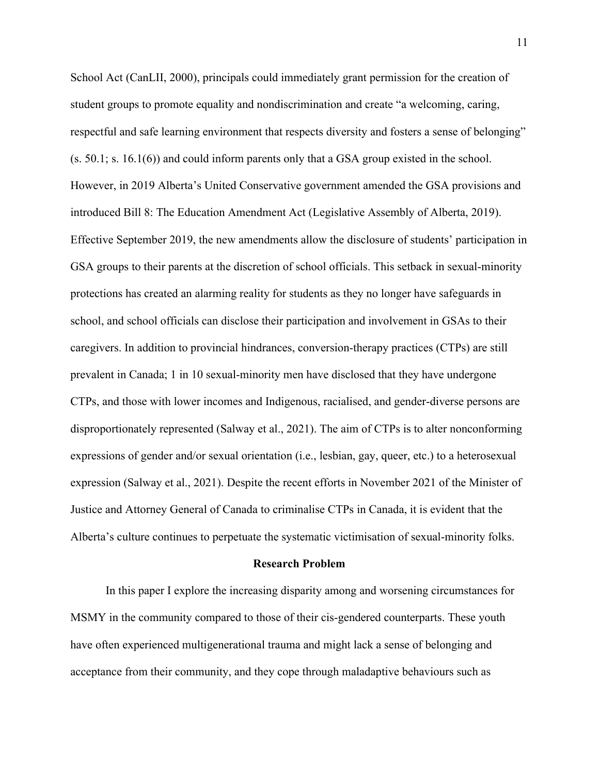School Act (CanLII, 2000), principals could immediately grant permission for the creation of student groups to promote equality and nondiscrimination and create "a welcoming, caring, respectful and safe learning environment that respects diversity and fosters a sense of belonging" (s. 50.1; s. 16.1(6)) and could inform parents only that a GSA group existed in the school. However, in 2019 Alberta's United Conservative government amended the GSA provisions and introduced Bill 8: The Education Amendment Act (Legislative Assembly of Alberta, 2019). Effective September 2019, the new amendments allow the disclosure of students' participation in GSA groups to their parents at the discretion of school officials. This setback in sexual-minority protections has created an alarming reality for students as they no longer have safeguards in school, and school officials can disclose their participation and involvement in GSAs to their caregivers. In addition to provincial hindrances, conversion-therapy practices (CTPs) are still prevalent in Canada; 1 in 10 sexual-minority men have disclosed that they have undergone CTPs, and those with lower incomes and Indigenous, racialised, and gender-diverse persons are disproportionately represented (Salway et al., 2021). The aim of CTPs is to alter nonconforming expressions of gender and/or sexual orientation (i.e., lesbian, gay, queer, etc.) to a heterosexual expression (Salway et al., 2021). Despite the recent efforts in November 2021 of the Minister of Justice and Attorney General of Canada to criminalise CTPs in Canada, it is evident that the Alberta's culture continues to perpetuate the systematic victimisation of sexual-minority folks.

#### **Research Problem**

<span id="page-10-0"></span>In this paper I explore the increasing disparity among and worsening circumstances for MSMY in the community compared to those of their cis-gendered counterparts. These youth have often experienced multigenerational trauma and might lack a sense of belonging and acceptance from their community, and they cope through maladaptive behaviours such as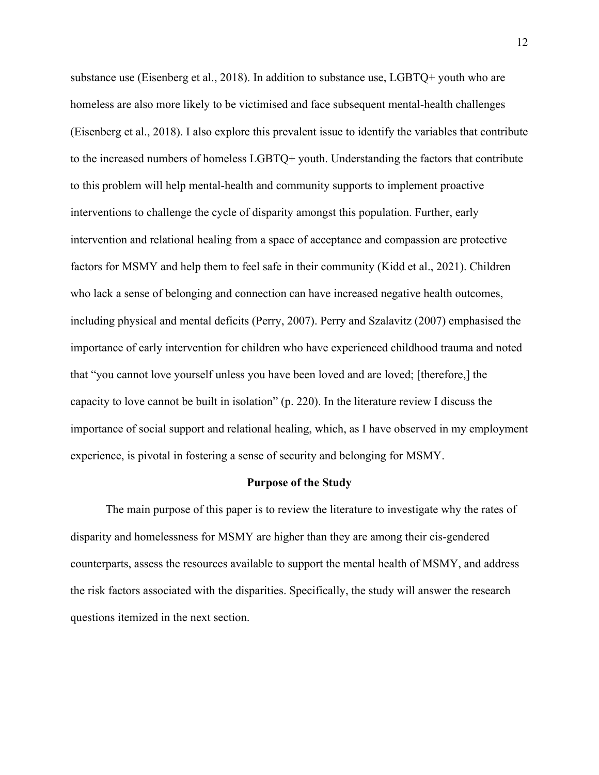substance use (Eisenberg et al., 2018). In addition to substance use, LGBTQ+ youth who are homeless are also more likely to be victimised and face subsequent mental-health challenges (Eisenberg et al., 2018). I also explore this prevalent issue to identify the variables that contribute to the increased numbers of homeless LGBTQ+ youth. Understanding the factors that contribute to this problem will help mental-health and community supports to implement proactive interventions to challenge the cycle of disparity amongst this population. Further, early intervention and relational healing from a space of acceptance and compassion are protective factors for MSMY and help them to feel safe in their community (Kidd et al., 2021). Children who lack a sense of belonging and connection can have increased negative health outcomes, including physical and mental deficits (Perry, 2007). Perry and Szalavitz (2007) emphasised the importance of early intervention for children who have experienced childhood trauma and noted that "you cannot love yourself unless you have been loved and are loved; [therefore,] the capacity to love cannot be built in isolation" (p. 220). In the literature review I discuss the importance of social support and relational healing, which, as I have observed in my employment experience, is pivotal in fostering a sense of security and belonging for MSMY.

#### **Purpose of the Study**

<span id="page-11-0"></span>The main purpose of this paper is to review the literature to investigate why the rates of disparity and homelessness for MSMY are higher than they are among their cis-gendered counterparts, assess the resources available to support the mental health of MSMY, and address the risk factors associated with the disparities. Specifically, the study will answer the research questions itemized in the next section.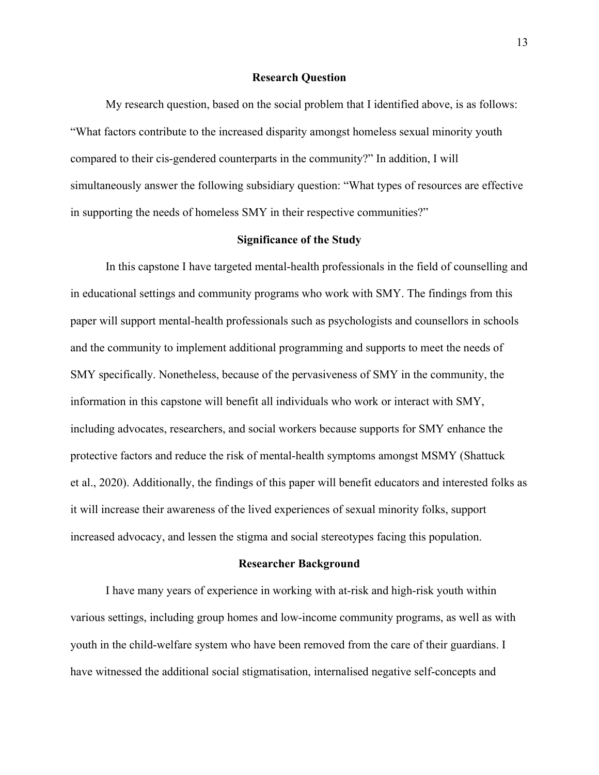#### **Research Question**

<span id="page-12-0"></span>My research question, based on the social problem that I identified above, is as follows: "What factors contribute to the increased disparity amongst homeless sexual minority youth compared to their cis-gendered counterparts in the community?" In addition, I will simultaneously answer the following subsidiary question: "What types of resources are effective in supporting the needs of homeless SMY in their respective communities?"

#### **Significance of the Study**

<span id="page-12-1"></span>In this capstone I have targeted mental-health professionals in the field of counselling and in educational settings and community programs who work with SMY. The findings from this paper will support mental-health professionals such as psychologists and counsellors in schools and the community to implement additional programming and supports to meet the needs of SMY specifically. Nonetheless, because of the pervasiveness of SMY in the community, the information in this capstone will benefit all individuals who work or interact with SMY, including advocates, researchers, and social workers because supports for SMY enhance the protective factors and reduce the risk of mental-health symptoms amongst MSMY (Shattuck et al., 2020). Additionally, the findings of this paper will benefit educators and interested folks as it will increase their awareness of the lived experiences of sexual minority folks, support increased advocacy, and lessen the stigma and social stereotypes facing this population.

#### **Researcher Background**

<span id="page-12-2"></span>I have many years of experience in working with at-risk and high-risk youth within various settings, including group homes and low-income community programs, as well as with youth in the child-welfare system who have been removed from the care of their guardians. I have witnessed the additional social stigmatisation, internalised negative self-concepts and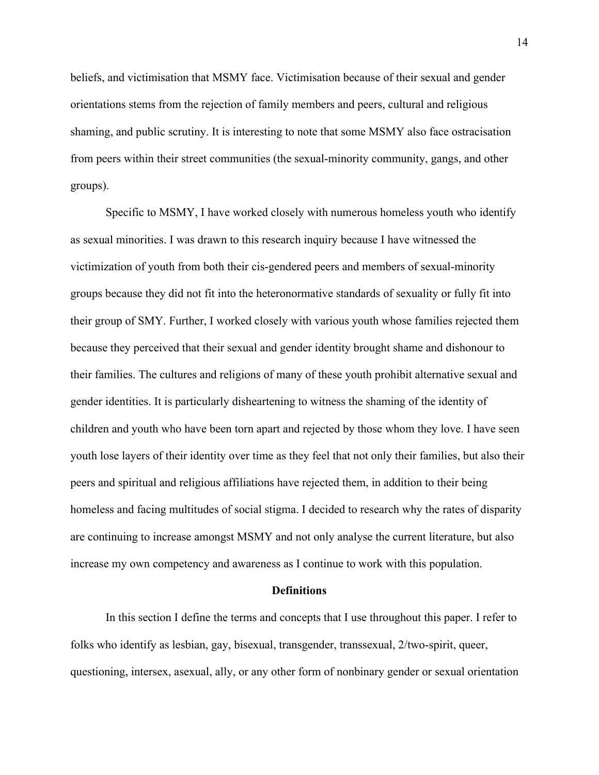beliefs, and victimisation that MSMY face. Victimisation because of their sexual and gender orientations stems from the rejection of family members and peers, cultural and religious shaming, and public scrutiny. It is interesting to note that some MSMY also face ostracisation from peers within their street communities (the sexual-minority community, gangs, and other groups).

Specific to MSMY, I have worked closely with numerous homeless youth who identify as sexual minorities. I was drawn to this research inquiry because I have witnessed the victimization of youth from both their cis-gendered peers and members of sexual-minority groups because they did not fit into the heteronormative standards of sexuality or fully fit into their group of SMY. Further, I worked closely with various youth whose families rejected them because they perceived that their sexual and gender identity brought shame and dishonour to their families. The cultures and religions of many of these youth prohibit alternative sexual and gender identities. It is particularly disheartening to witness the shaming of the identity of children and youth who have been torn apart and rejected by those whom they love. I have seen youth lose layers of their identity over time as they feel that not only their families, but also their peers and spiritual and religious affiliations have rejected them, in addition to their being homeless and facing multitudes of social stigma. I decided to research why the rates of disparity are continuing to increase amongst MSMY and not only analyse the current literature, but also increase my own competency and awareness as I continue to work with this population.

#### **Definitions**

<span id="page-13-0"></span>In this section I define the terms and concepts that I use throughout this paper. I refer to folks who identify as lesbian, gay, bisexual, transgender, transsexual, 2/two-spirit, queer, questioning, intersex, asexual, ally, or any other form of nonbinary gender or sexual orientation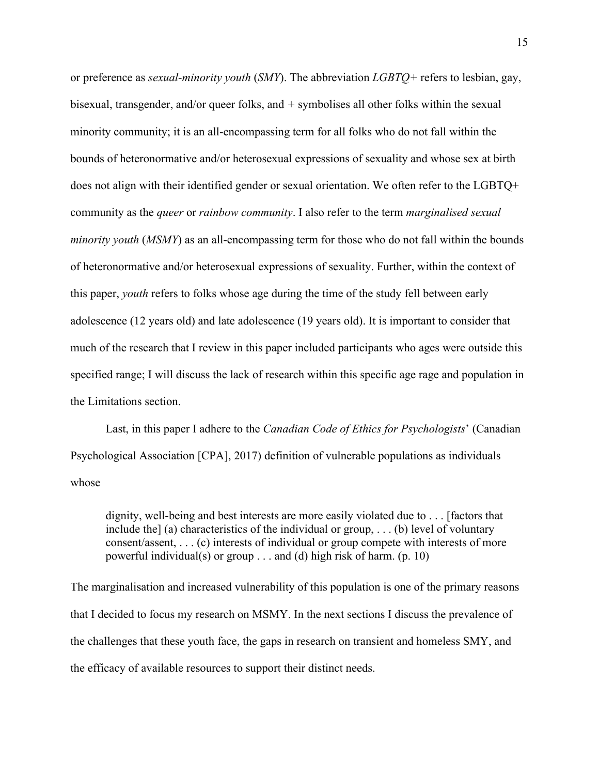or preference as *sexual-minority youth* (*SMY*). The abbreviation *LGBTQ+* refers to lesbian, gay, bisexual, transgender, and/or queer folks, and *+* symbolises all other folks within the sexual minority community; it is an all-encompassing term for all folks who do not fall within the bounds of heteronormative and/or heterosexual expressions of sexuality and whose sex at birth does not align with their identified gender or sexual orientation. We often refer to the LGBTQ+ community as the *queer* or *rainbow community*. I also refer to the term *marginalised sexual minority youth* (*MSMY*) as an all-encompassing term for those who do not fall within the bounds of heteronormative and/or heterosexual expressions of sexuality. Further, within the context of this paper, *youth* refers to folks whose age during the time of the study fell between early adolescence (12 years old) and late adolescence (19 years old). It is important to consider that much of the research that I review in this paper included participants who ages were outside this specified range; I will discuss the lack of research within this specific age rage and population in the Limitations section.

Last, in this paper I adhere to the *Canadian Code of Ethics for Psychologists*' (Canadian Psychological Association [CPA], 2017) definition of vulnerable populations as individuals whose

dignity, well-being and best interests are more easily violated due to . . . [factors that include the] (a) characteristics of the individual or group, ... (b) level of voluntary consent/assent, . . . (c) interests of individual or group compete with interests of more powerful individual(s) or group . . . and (d) high risk of harm. (p. 10)

The marginalisation and increased vulnerability of this population is one of the primary reasons that I decided to focus my research on MSMY. In the next sections I discuss the prevalence of the challenges that these youth face, the gaps in research on transient and homeless SMY, and the efficacy of available resources to support their distinct needs.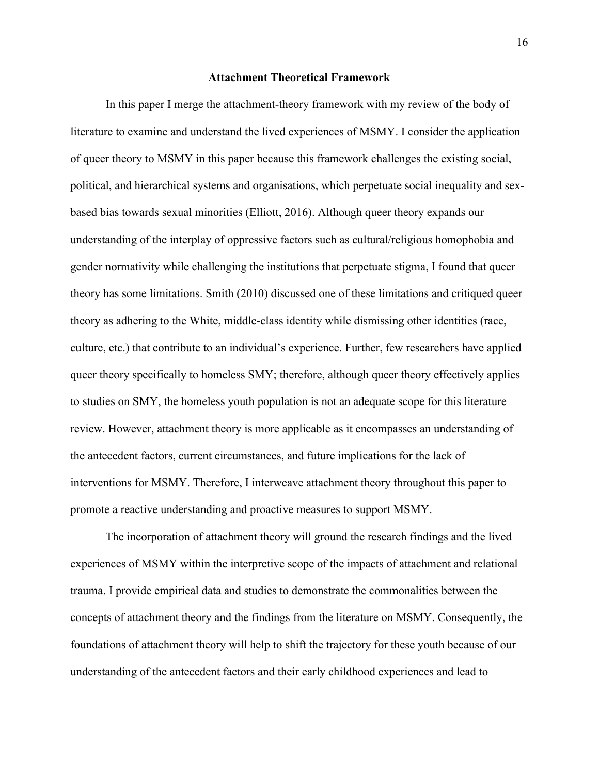#### **Attachment Theoretical Framework**

<span id="page-15-0"></span>In this paper I merge the attachment-theory framework with my review of the body of literature to examine and understand the lived experiences of MSMY. I consider the application of queer theory to MSMY in this paper because this framework challenges the existing social, political, and hierarchical systems and organisations, which perpetuate social inequality and sexbased bias towards sexual minorities (Elliott, 2016). Although queer theory expands our understanding of the interplay of oppressive factors such as cultural/religious homophobia and gender normativity while challenging the institutions that perpetuate stigma, I found that queer theory has some limitations. Smith (2010) discussed one of these limitations and critiqued queer theory as adhering to the White, middle-class identity while dismissing other identities (race, culture, etc.) that contribute to an individual's experience. Further, few researchers have applied queer theory specifically to homeless SMY; therefore, although queer theory effectively applies to studies on SMY, the homeless youth population is not an adequate scope for this literature review. However, attachment theory is more applicable as it encompasses an understanding of the antecedent factors, current circumstances, and future implications for the lack of interventions for MSMY. Therefore, I interweave attachment theory throughout this paper to promote a reactive understanding and proactive measures to support MSMY.

The incorporation of attachment theory will ground the research findings and the lived experiences of MSMY within the interpretive scope of the impacts of attachment and relational trauma. I provide empirical data and studies to demonstrate the commonalities between the concepts of attachment theory and the findings from the literature on MSMY. Consequently, the foundations of attachment theory will help to shift the trajectory for these youth because of our understanding of the antecedent factors and their early childhood experiences and lead to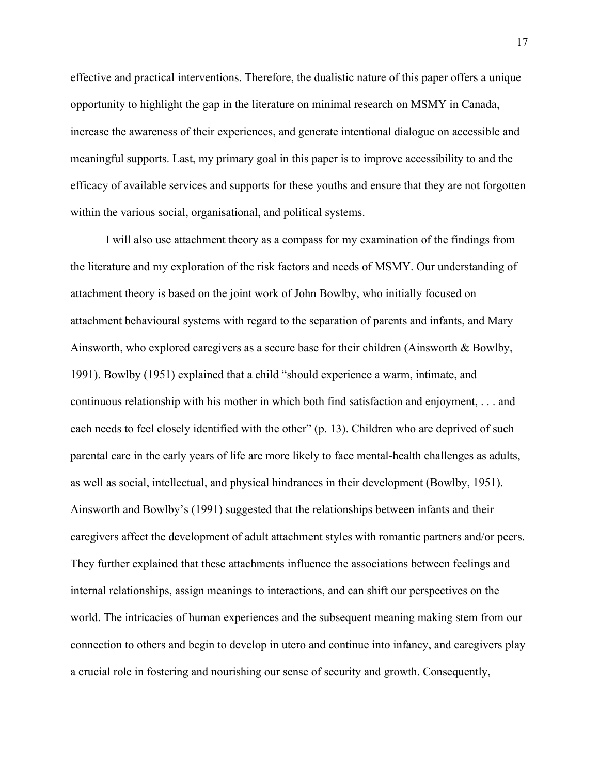effective and practical interventions. Therefore, the dualistic nature of this paper offers a unique opportunity to highlight the gap in the literature on minimal research on MSMY in Canada, increase the awareness of their experiences, and generate intentional dialogue on accessible and meaningful supports. Last, my primary goal in this paper is to improve accessibility to and the efficacy of available services and supports for these youths and ensure that they are not forgotten within the various social, organisational, and political systems.

I will also use attachment theory as a compass for my examination of the findings from the literature and my exploration of the risk factors and needs of MSMY. Our understanding of attachment theory is based on the joint work of John Bowlby, who initially focused on attachment behavioural systems with regard to the separation of parents and infants, and Mary Ainsworth, who explored caregivers as a secure base for their children (Ainsworth & Bowlby, 1991). Bowlby (1951) explained that a child "should experience a warm, intimate, and continuous relationship with his mother in which both find satisfaction and enjoyment, . . . and each needs to feel closely identified with the other" (p. 13). Children who are deprived of such parental care in the early years of life are more likely to face mental-health challenges as adults, as well as social, intellectual, and physical hindrances in their development (Bowlby, 1951). Ainsworth and Bowlby's (1991) suggested that the relationships between infants and their caregivers affect the development of adult attachment styles with romantic partners and/or peers. They further explained that these attachments influence the associations between feelings and internal relationships, assign meanings to interactions, and can shift our perspectives on the world. The intricacies of human experiences and the subsequent meaning making stem from our connection to others and begin to develop in utero and continue into infancy, and caregivers play a crucial role in fostering and nourishing our sense of security and growth. Consequently,

17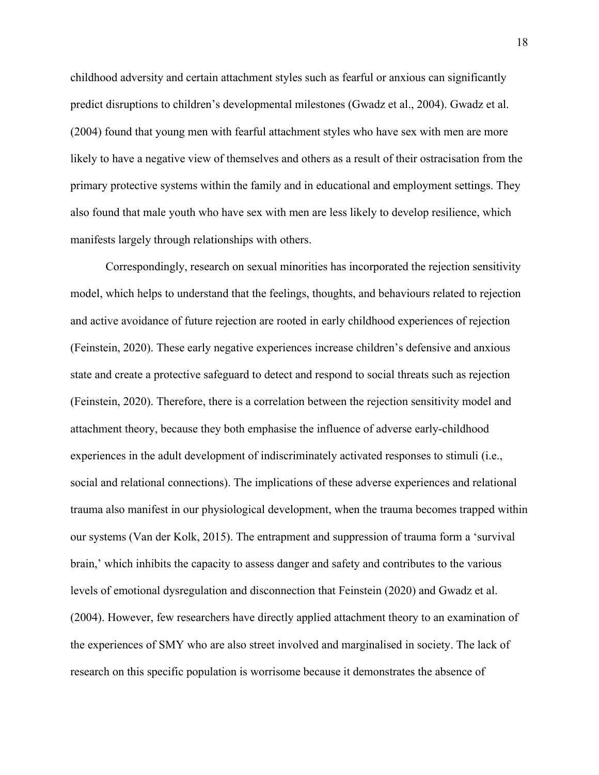childhood adversity and certain attachment styles such as fearful or anxious can significantly predict disruptions to children's developmental milestones (Gwadz et al., 2004). Gwadz et al. (2004) found that young men with fearful attachment styles who have sex with men are more likely to have a negative view of themselves and others as a result of their ostracisation from the primary protective systems within the family and in educational and employment settings. They also found that male youth who have sex with men are less likely to develop resilience, which manifests largely through relationships with others.

Correspondingly, research on sexual minorities has incorporated the rejection sensitivity model, which helps to understand that the feelings, thoughts, and behaviours related to rejection and active avoidance of future rejection are rooted in early childhood experiences of rejection (Feinstein, 2020). These early negative experiences increase children's defensive and anxious state and create a protective safeguard to detect and respond to social threats such as rejection (Feinstein, 2020). Therefore, there is a correlation between the rejection sensitivity model and attachment theory, because they both emphasise the influence of adverse early-childhood experiences in the adult development of indiscriminately activated responses to stimuli (i.e., social and relational connections). The implications of these adverse experiences and relational trauma also manifest in our physiological development, when the trauma becomes trapped within our systems (Van der Kolk, 2015). The entrapment and suppression of trauma form a 'survival brain,' which inhibits the capacity to assess danger and safety and contributes to the various levels of emotional dysregulation and disconnection that Feinstein (2020) and Gwadz et al. (2004). However, few researchers have directly applied attachment theory to an examination of the experiences of SMY who are also street involved and marginalised in society. The lack of research on this specific population is worrisome because it demonstrates the absence of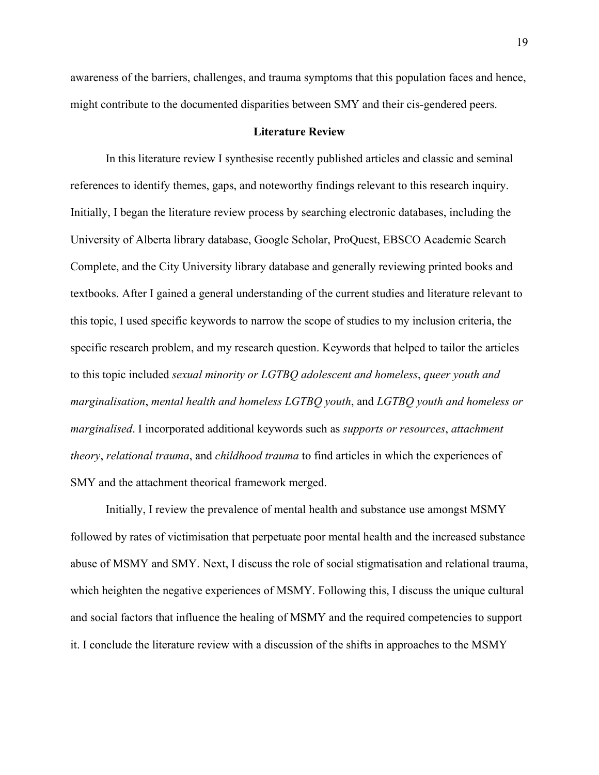awareness of the barriers, challenges, and trauma symptoms that this population faces and hence, might contribute to the documented disparities between SMY and their cis-gendered peers.

#### **Literature Review**

<span id="page-18-0"></span>In this literature review I synthesise recently published articles and classic and seminal references to identify themes, gaps, and noteworthy findings relevant to this research inquiry. Initially, I began the literature review process by searching electronic databases, including the University of Alberta library database, Google Scholar, ProQuest, EBSCO Academic Search Complete, and the City University library database and generally reviewing printed books and textbooks. After I gained a general understanding of the current studies and literature relevant to this topic, I used specific keywords to narrow the scope of studies to my inclusion criteria, the specific research problem, and my research question. Keywords that helped to tailor the articles to this topic included *sexual minority or LGTBQ adolescent and homeless*, *queer youth and marginalisation*, *mental health and homeless LGTBQ youth*, and *LGTBQ youth and homeless or marginalised*. I incorporated additional keywords such as *supports or resources*, *attachment theory*, *relational trauma*, and *childhood trauma* to find articles in which the experiences of SMY and the attachment theorical framework merged.

Initially, I review the prevalence of mental health and substance use amongst MSMY followed by rates of victimisation that perpetuate poor mental health and the increased substance abuse of MSMY and SMY. Next, I discuss the role of social stigmatisation and relational trauma, which heighten the negative experiences of MSMY. Following this, I discuss the unique cultural and social factors that influence the healing of MSMY and the required competencies to support it. I conclude the literature review with a discussion of the shifts in approaches to the MSMY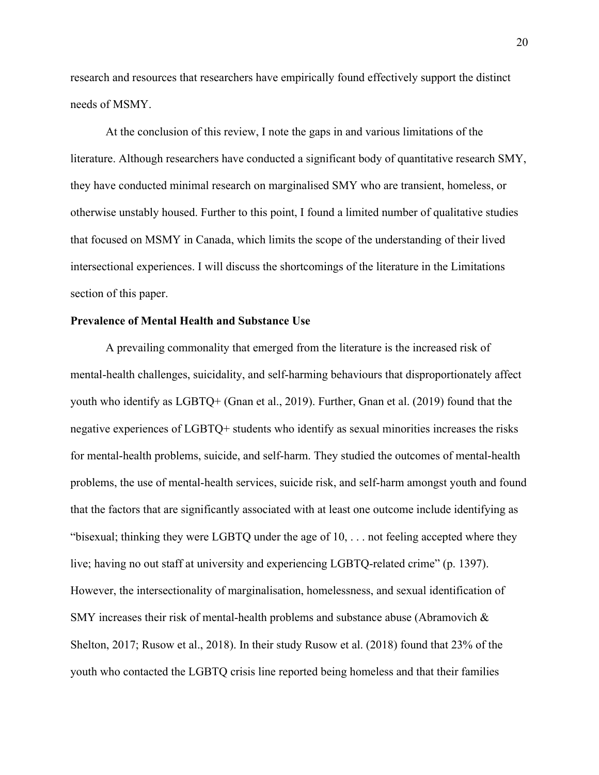research and resources that researchers have empirically found effectively support the distinct needs of MSMY.

At the conclusion of this review, I note the gaps in and various limitations of the literature. Although researchers have conducted a significant body of quantitative research SMY, they have conducted minimal research on marginalised SMY who are transient, homeless, or otherwise unstably housed. Further to this point, I found a limited number of qualitative studies that focused on MSMY in Canada, which limits the scope of the understanding of their lived intersectional experiences. I will discuss the shortcomings of the literature in the Limitations section of this paper.

# <span id="page-19-0"></span>**Prevalence of Mental Health and Substance Use**

A prevailing commonality that emerged from the literature is the increased risk of mental-health challenges, suicidality, and self-harming behaviours that disproportionately affect youth who identify as LGBTQ+ (Gnan et al., 2019). Further, Gnan et al. (2019) found that the negative experiences of LGBTQ+ students who identify as sexual minorities increases the risks for mental-health problems, suicide, and self-harm. They studied the outcomes of mental-health problems, the use of mental-health services, suicide risk, and self-harm amongst youth and found that the factors that are significantly associated with at least one outcome include identifying as "bisexual; thinking they were LGBTQ under the age of  $10, \ldots$  not feeling accepted where they live; having no out staff at university and experiencing LGBTQ-related crime" (p. 1397). However, the intersectionality of marginalisation, homelessness, and sexual identification of SMY increases their risk of mental-health problems and substance abuse (Abramovich & Shelton, 2017; Rusow et al., 2018). In their study Rusow et al. (2018) found that 23% of the youth who contacted the LGBTQ crisis line reported being homeless and that their families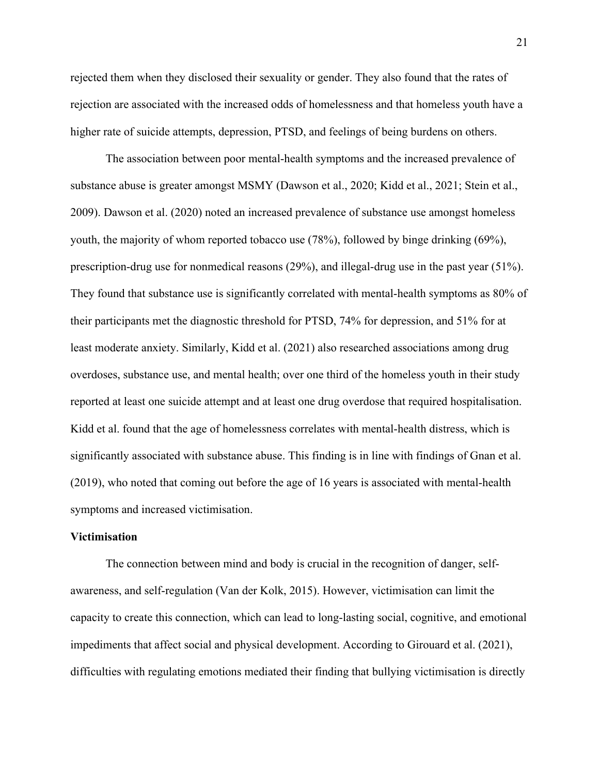rejected them when they disclosed their sexuality or gender. They also found that the rates of rejection are associated with the increased odds of homelessness and that homeless youth have a higher rate of suicide attempts, depression, PTSD, and feelings of being burdens on others.

The association between poor mental-health symptoms and the increased prevalence of substance abuse is greater amongst MSMY (Dawson et al., 2020; Kidd et al., 2021; Stein et al., 2009). Dawson et al. (2020) noted an increased prevalence of substance use amongst homeless youth, the majority of whom reported tobacco use (78%), followed by binge drinking (69%), prescription-drug use for nonmedical reasons (29%), and illegal-drug use in the past year (51%). They found that substance use is significantly correlated with mental-health symptoms as 80% of their participants met the diagnostic threshold for PTSD, 74% for depression, and 51% for at least moderate anxiety. Similarly, Kidd et al. (2021) also researched associations among drug overdoses, substance use, and mental health; over one third of the homeless youth in their study reported at least one suicide attempt and at least one drug overdose that required hospitalisation. Kidd et al. found that the age of homelessness correlates with mental-health distress, which is significantly associated with substance abuse. This finding is in line with findings of Gnan et al. (2019), who noted that coming out before the age of 16 years is associated with mental-health symptoms and increased victimisation.

#### <span id="page-20-0"></span>**Victimisation**

The connection between mind and body is crucial in the recognition of danger, selfawareness, and self-regulation (Van der Kolk, 2015). However, victimisation can limit the capacity to create this connection, which can lead to long-lasting social, cognitive, and emotional impediments that affect social and physical development. According to Girouard et al. (2021), difficulties with regulating emotions mediated their finding that bullying victimisation is directly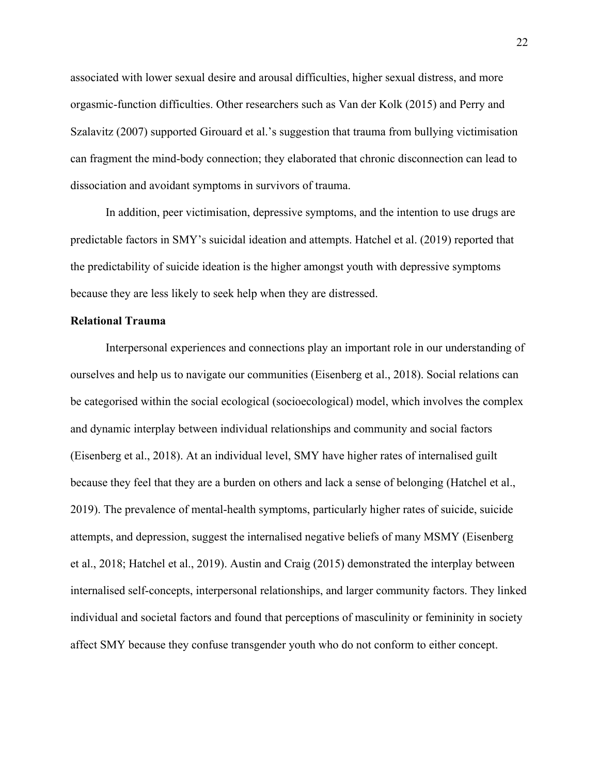associated with lower sexual desire and arousal difficulties, higher sexual distress, and more orgasmic-function difficulties. Other researchers such as Van der Kolk (2015) and Perry and Szalavitz (2007) supported Girouard et al.'s suggestion that trauma from bullying victimisation can fragment the mind-body connection; they elaborated that chronic disconnection can lead to dissociation and avoidant symptoms in survivors of trauma.

In addition, peer victimisation, depressive symptoms, and the intention to use drugs are predictable factors in SMY's suicidal ideation and attempts. Hatchel et al. (2019) reported that the predictability of suicide ideation is the higher amongst youth with depressive symptoms because they are less likely to seek help when they are distressed.

### <span id="page-21-0"></span>**Relational Trauma**

Interpersonal experiences and connections play an important role in our understanding of ourselves and help us to navigate our communities (Eisenberg et al., 2018). Social relations can be categorised within the social ecological (socioecological) model, which involves the complex and dynamic interplay between individual relationships and community and social factors (Eisenberg et al., 2018). At an individual level, SMY have higher rates of internalised guilt because they feel that they are a burden on others and lack a sense of belonging (Hatchel et al., 2019). The prevalence of mental-health symptoms, particularly higher rates of suicide, suicide attempts, and depression, suggest the internalised negative beliefs of many MSMY (Eisenberg et al., 2018; Hatchel et al., 2019). Austin and Craig (2015) demonstrated the interplay between internalised self-concepts, interpersonal relationships, and larger community factors. They linked individual and societal factors and found that perceptions of masculinity or femininity in society affect SMY because they confuse transgender youth who do not conform to either concept.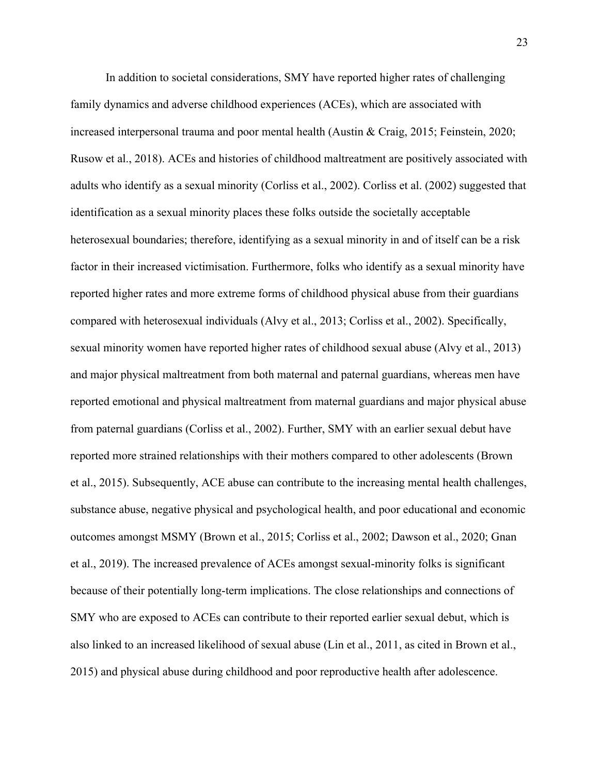In addition to societal considerations, SMY have reported higher rates of challenging family dynamics and adverse childhood experiences (ACEs), which are associated with increased interpersonal trauma and poor mental health (Austin & Craig, 2015; Feinstein, 2020; Rusow et al., 2018). ACEs and histories of childhood maltreatment are positively associated with adults who identify as a sexual minority (Corliss et al., 2002). Corliss et al. (2002) suggested that identification as a sexual minority places these folks outside the societally acceptable heterosexual boundaries; therefore, identifying as a sexual minority in and of itself can be a risk factor in their increased victimisation. Furthermore, folks who identify as a sexual minority have reported higher rates and more extreme forms of childhood physical abuse from their guardians compared with heterosexual individuals (Alvy et al., 2013; Corliss et al., 2002). Specifically, sexual minority women have reported higher rates of childhood sexual abuse (Alvy et al., 2013) and major physical maltreatment from both maternal and paternal guardians, whereas men have reported emotional and physical maltreatment from maternal guardians and major physical abuse from paternal guardians (Corliss et al., 2002). Further, SMY with an earlier sexual debut have reported more strained relationships with their mothers compared to other adolescents (Brown et al., 2015). Subsequently, ACE abuse can contribute to the increasing mental health challenges, substance abuse, negative physical and psychological health, and poor educational and economic outcomes amongst MSMY (Brown et al., 2015; Corliss et al., 2002; Dawson et al., 2020; Gnan et al., 2019). The increased prevalence of ACEs amongst sexual-minority folks is significant because of their potentially long-term implications. The close relationships and connections of SMY who are exposed to ACEs can contribute to their reported earlier sexual debut, which is also linked to an increased likelihood of sexual abuse (Lin et al., 2011, as cited in Brown et al., 2015) and physical abuse during childhood and poor reproductive health after adolescence.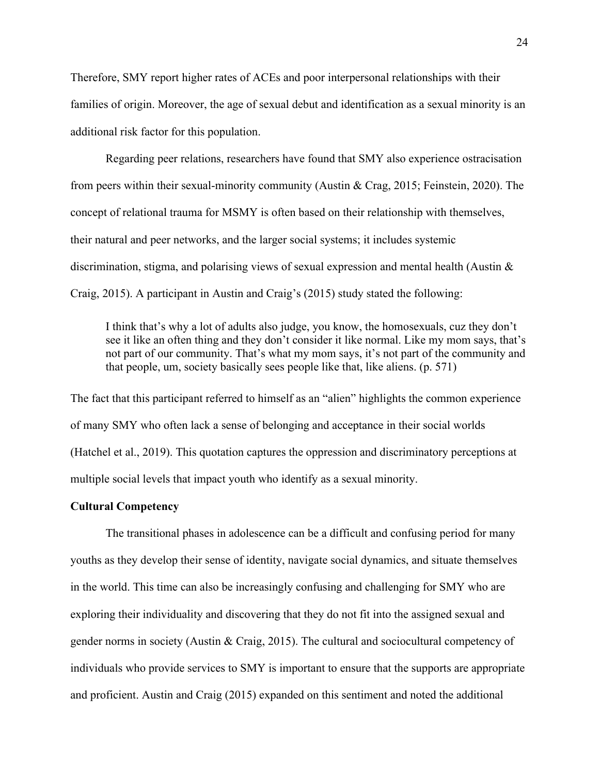Therefore, SMY report higher rates of ACEs and poor interpersonal relationships with their families of origin. Moreover, the age of sexual debut and identification as a sexual minority is an additional risk factor for this population.

Regarding peer relations, researchers have found that SMY also experience ostracisation from peers within their sexual-minority community (Austin & Crag, 2015; Feinstein, 2020). The concept of relational trauma for MSMY is often based on their relationship with themselves, their natural and peer networks, and the larger social systems; it includes systemic discrimination, stigma, and polarising views of sexual expression and mental health (Austin & Craig, 2015). A participant in Austin and Craig's (2015) study stated the following:

I think that's why a lot of adults also judge, you know, the homosexuals, cuz they don't see it like an often thing and they don't consider it like normal. Like my mom says, that's not part of our community. That's what my mom says, it's not part of the community and that people, um, society basically sees people like that, like aliens. (p. 571)

The fact that this participant referred to himself as an "alien" highlights the common experience of many SMY who often lack a sense of belonging and acceptance in their social worlds (Hatchel et al., 2019). This quotation captures the oppression and discriminatory perceptions at multiple social levels that impact youth who identify as a sexual minority.

## <span id="page-23-0"></span>**Cultural Competency**

The transitional phases in adolescence can be a difficult and confusing period for many youths as they develop their sense of identity, navigate social dynamics, and situate themselves in the world. This time can also be increasingly confusing and challenging for SMY who are exploring their individuality and discovering that they do not fit into the assigned sexual and gender norms in society (Austin & Craig, 2015). The cultural and sociocultural competency of individuals who provide services to SMY is important to ensure that the supports are appropriate and proficient. Austin and Craig (2015) expanded on this sentiment and noted the additional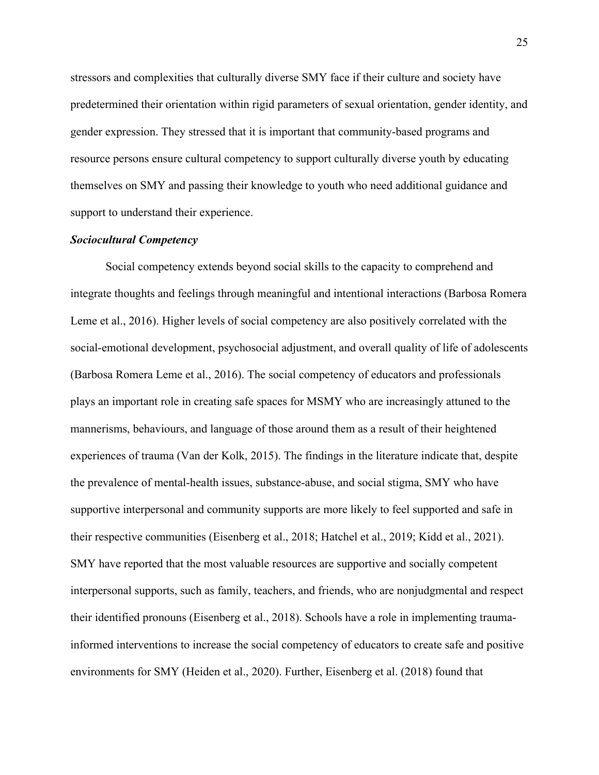stressors and complexities that culturally diverse SMY face if their culture and society have predetermined their orientation within rigid parameters of sexual orientation, gender identity, and gender expression. They stressed that it is important that community-based programs and resource persons ensure cultural competency to support culturally diverse youth by educating themselves on SMY and passing their knowledge to youth who need additional guidance and support to understand their experience.

#### <span id="page-24-0"></span>*Sociocultural Competency*

Social competency extends beyond social skills to the capacity to comprehend and integrate thoughts and feelings through meaningful and intentional interactions (Barbosa Romera Leme et al., 2016). Higher levels of social competency are also positively correlated with the social-emotional development, psychosocial adjustment, and overall quality of life of adolescents (Barbosa Romera Leme et al., 2016). The social competency of educators and professionals plays an important role in creating safe spaces for MSMY who are increasingly attuned to the mannerisms, behaviours, and language of those around them as a result of their heightened experiences of trauma (Van der Kolk, 2015). The findings in the literature indicate that, despite the prevalence of mental-health issues, substance-abuse, and social stigma, SMY who have supportive interpersonal and community supports are more likely to feel supported and safe in their respective communities (Eisenberg et al., 2018; Hatchel et al., 2019; Kidd et al., 2021). SMY have reported that the most valuable resources are supportive and socially competent interpersonal supports, such as family, teachers, and friends, who are nonjudgmental and respect their identified pronouns (Eisenberg et al., 2018). Schools have a role in implementing traumainformed interventions to increase the social competency of educators to create safe and positive environments for SMY (Heiden et al., 2020). Further, Eisenberg et al. (2018) found that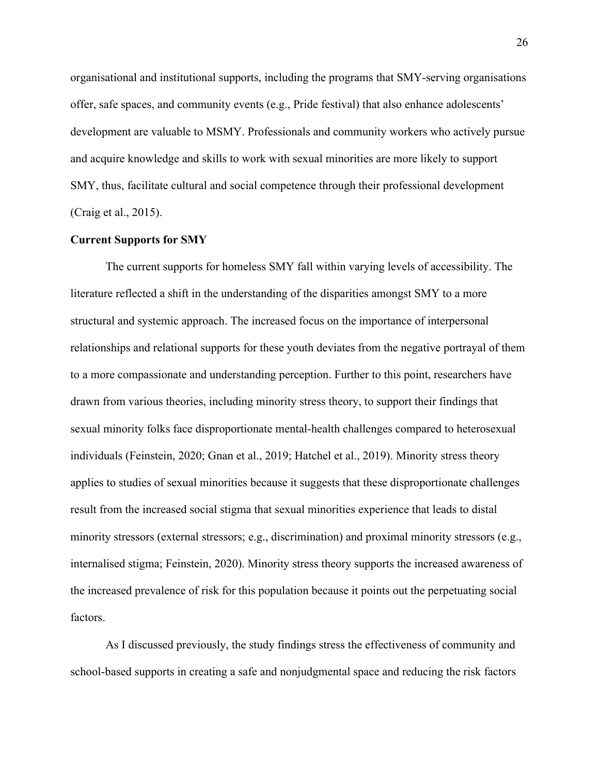organisational and institutional supports, including the programs that SMY-serving organisations offer, safe spaces, and community events (e.g., Pride festival) that also enhance adolescents' development are valuable to MSMY. Professionals and community workers who actively pursue and acquire knowledge and skills to work with sexual minorities are more likely to support SMY, thus, facilitate cultural and social competence through their professional development (Craig et al., 2015).

#### <span id="page-25-0"></span>**Current Supports for SMY**

The current supports for homeless SMY fall within varying levels of accessibility. The literature reflected a shift in the understanding of the disparities amongst SMY to a more structural and systemic approach. The increased focus on the importance of interpersonal relationships and relational supports for these youth deviates from the negative portrayal of them to a more compassionate and understanding perception. Further to this point, researchers have drawn from various theories, including minority stress theory, to support their findings that sexual minority folks face disproportionate mental-health challenges compared to heterosexual individuals (Feinstein, 2020; Gnan et al., 2019; Hatchel et al., 2019). Minority stress theory applies to studies of sexual minorities because it suggests that these disproportionate challenges result from the increased social stigma that sexual minorities experience that leads to distal minority stressors (external stressors; e.g., discrimination) and proximal minority stressors (e.g., internalised stigma; Feinstein, 2020). Minority stress theory supports the increased awareness of the increased prevalence of risk for this population because it points out the perpetuating social factors.

As I discussed previously, the study findings stress the effectiveness of community and school-based supports in creating a safe and nonjudgmental space and reducing the risk factors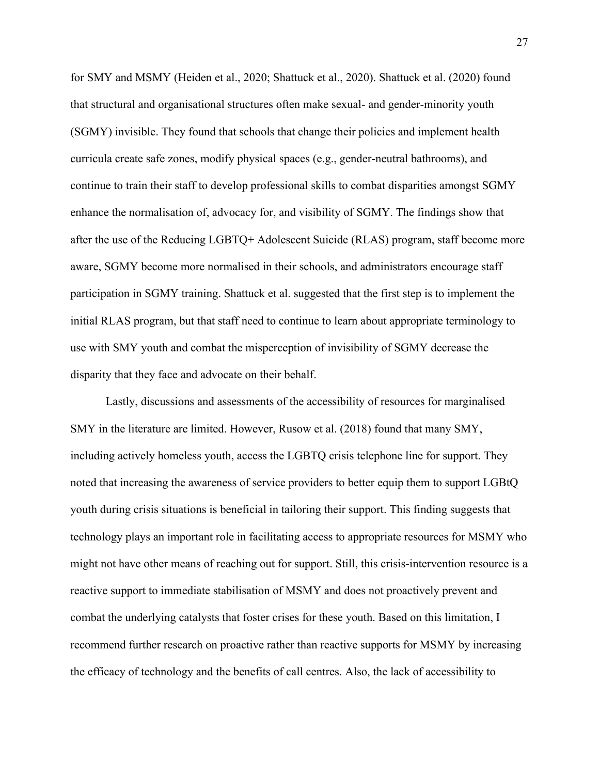for SMY and MSMY (Heiden et al., 2020; Shattuck et al., 2020). Shattuck et al. (2020) found that structural and organisational structures often make sexual- and gender-minority youth (SGMY) invisible. They found that schools that change their policies and implement health curricula create safe zones, modify physical spaces (e.g., gender-neutral bathrooms), and continue to train their staff to develop professional skills to combat disparities amongst SGMY enhance the normalisation of, advocacy for, and visibility of SGMY. The findings show that after the use of the Reducing LGBTQ+ Adolescent Suicide (RLAS) program, staff become more aware, SGMY become more normalised in their schools, and administrators encourage staff participation in SGMY training. Shattuck et al. suggested that the first step is to implement the initial RLAS program, but that staff need to continue to learn about appropriate terminology to use with SMY youth and combat the misperception of invisibility of SGMY decrease the disparity that they face and advocate on their behalf.

Lastly, discussions and assessments of the accessibility of resources for marginalised SMY in the literature are limited. However, Rusow et al. (2018) found that many SMY, including actively homeless youth, access the LGBTQ crisis telephone line for support. They noted that increasing the awareness of service providers to better equip them to support LGBtQ youth during crisis situations is beneficial in tailoring their support. This finding suggests that technology plays an important role in facilitating access to appropriate resources for MSMY who might not have other means of reaching out for support. Still, this crisis-intervention resource is a reactive support to immediate stabilisation of MSMY and does not proactively prevent and combat the underlying catalysts that foster crises for these youth. Based on this limitation, I recommend further research on proactive rather than reactive supports for MSMY by increasing the efficacy of technology and the benefits of call centres. Also, the lack of accessibility to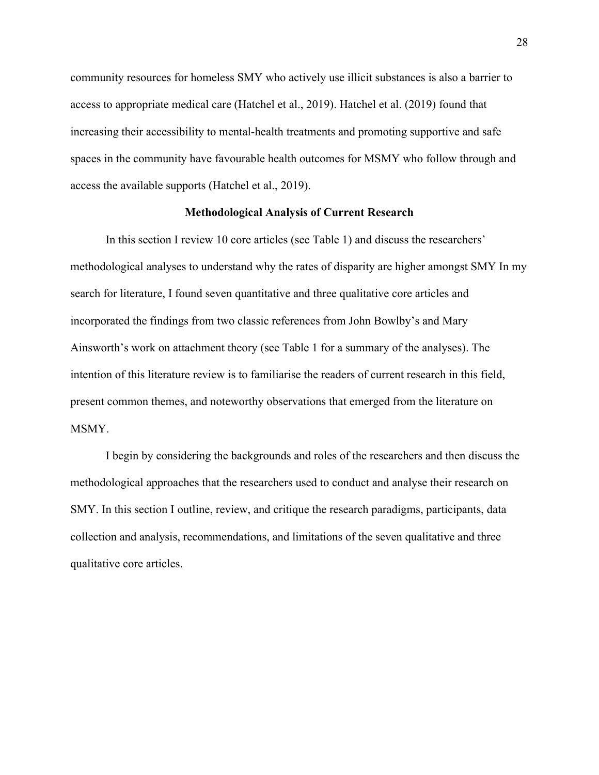community resources for homeless SMY who actively use illicit substances is also a barrier to access to appropriate medical care (Hatchel et al., 2019). Hatchel et al. (2019) found that increasing their accessibility to mental-health treatments and promoting supportive and safe spaces in the community have favourable health outcomes for MSMY who follow through and access the available supports (Hatchel et al., 2019).

#### **Methodological Analysis of Current Research**

<span id="page-27-0"></span>In this section I review 10 core articles (see Table 1) and discuss the researchers' methodological analyses to understand why the rates of disparity are higher amongst SMY In my search for literature, I found seven quantitative and three qualitative core articles and incorporated the findings from two classic references from John Bowlby's and Mary Ainsworth's work on attachment theory (see Table 1 for a summary of the analyses). The intention of this literature review is to familiarise the readers of current research in this field, present common themes, and noteworthy observations that emerged from the literature on MSMY.

I begin by considering the backgrounds and roles of the researchers and then discuss the methodological approaches that the researchers used to conduct and analyse their research on SMY. In this section I outline, review, and critique the research paradigms, participants, data collection and analysis, recommendations, and limitations of the seven qualitative and three qualitative core articles.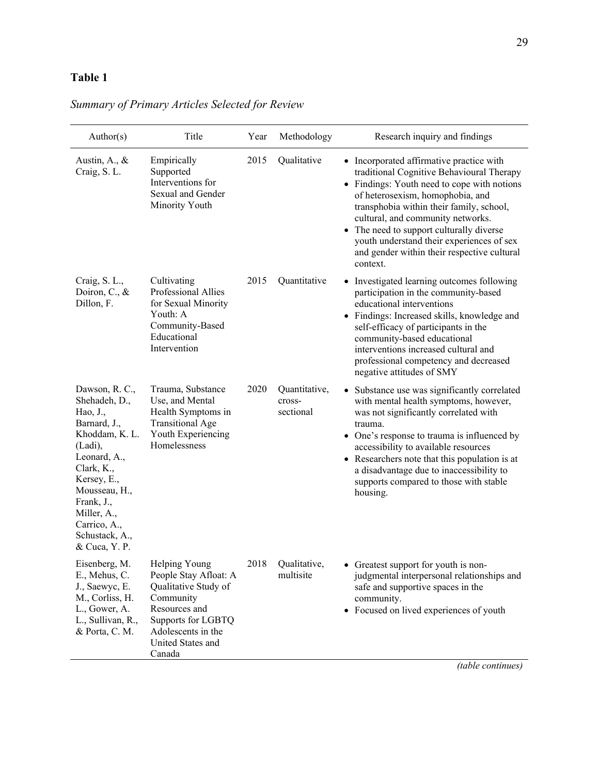# <span id="page-28-0"></span>**Table 1**

| Author(s)                                                                                                                                                                                                                              | Title                                                                                                                                                                   | Year | Methodology                          | Research inquiry and findings                                                                                                                                                                                                                                                                                                                                                                                            |
|----------------------------------------------------------------------------------------------------------------------------------------------------------------------------------------------------------------------------------------|-------------------------------------------------------------------------------------------------------------------------------------------------------------------------|------|--------------------------------------|--------------------------------------------------------------------------------------------------------------------------------------------------------------------------------------------------------------------------------------------------------------------------------------------------------------------------------------------------------------------------------------------------------------------------|
| Austin, A., $\&$<br>Craig, S. L.                                                                                                                                                                                                       | Empirically<br>Supported<br>Interventions for<br>Sexual and Gender<br>Minority Youth                                                                                    | 2015 | Qualitative                          | • Incorporated affirmative practice with<br>traditional Cognitive Behavioural Therapy<br>• Findings: Youth need to cope with notions<br>of heterosexism, homophobia, and<br>transphobia within their family, school,<br>cultural, and community networks.<br>The need to support culturally diverse<br>$\bullet$<br>youth understand their experiences of sex<br>and gender within their respective cultural<br>context. |
| Craig, S. L.,<br>Doiron, C., &<br>Dillon, F.                                                                                                                                                                                           | Cultivating<br>Professional Allies<br>for Sexual Minority<br>Youth: A<br>Community-Based<br>Educational<br>Intervention                                                 | 2015 | Quantitative                         | • Investigated learning outcomes following<br>participation in the community-based<br>educational interventions<br>• Findings: Increased skills, knowledge and<br>self-efficacy of participants in the<br>community-based educational<br>interventions increased cultural and<br>professional competency and decreased<br>negative attitudes of SMY                                                                      |
| Dawson, R. C.,<br>Shehadeh, D.,<br>Hao, J.,<br>Barnard, J.,<br>Khoddam, K. L.<br>(Ladi),<br>Leonard, A.,<br>Clark, K.,<br>Kersey, E.,<br>Mousseau, H.,<br>Frank, J.,<br>Miller, A.,<br>Carrico, A.,<br>Schustack, A.,<br>& Cuca, Y. P. | Trauma, Substance<br>Use, and Mental<br>Health Symptoms in<br><b>Transitional Age</b><br>Youth Experiencing<br>Homelessness                                             | 2020 | Quantitative,<br>cross-<br>sectional | • Substance use was significantly correlated<br>with mental health symptoms, however,<br>was not significantly correlated with<br>trauma.<br>• One's response to trauma is influenced by<br>accessibility to available resources<br>• Researchers note that this population is at<br>a disadvantage due to inaccessibility to<br>supports compared to those with stable<br>housing.                                      |
| Eisenberg, M.<br>E., Mehus, C.<br>J., Saewyc, E.<br>M., Corliss, H.<br>L., Gower, A.<br>L., Sullivan, R.,<br>& Porta, C. M.                                                                                                            | Helping Young<br>People Stay Afloat: A<br>Qualitative Study of<br>Community<br>Resources and<br>Supports for LGBTQ<br>Adolescents in the<br>United States and<br>Canada |      | 2018 Qualitative,<br>multisite       | • Greatest support for youth is non-<br>judgmental interpersonal relationships and<br>safe and supportive spaces in the<br>community.<br>• Focused on lived experiences of youth                                                                                                                                                                                                                                         |

*Summary of Primary Articles Selected for Review*

*(table continues)*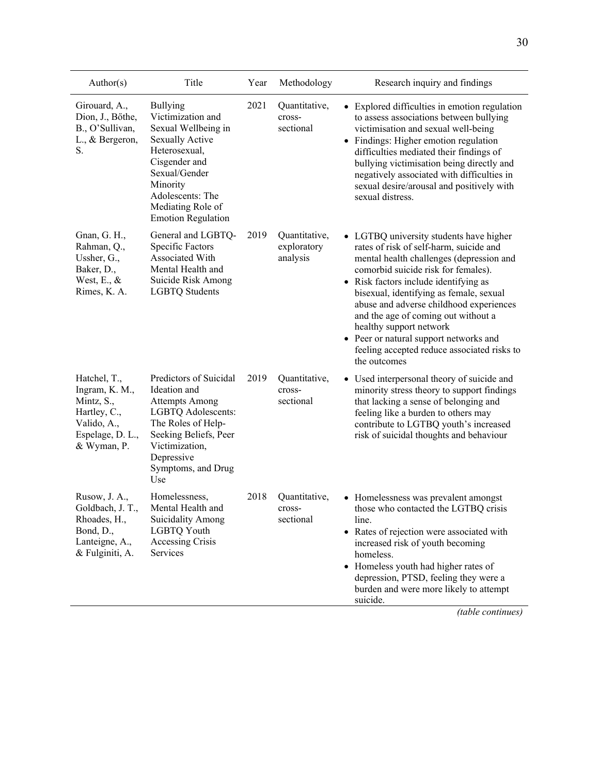| Author(s)                                                                                                      | Title                                                                                                                                                                                                                      | Year | Methodology                              | Research inquiry and findings                                                                                                                                                                                                                                                                                                                                                                                                                                                   |
|----------------------------------------------------------------------------------------------------------------|----------------------------------------------------------------------------------------------------------------------------------------------------------------------------------------------------------------------------|------|------------------------------------------|---------------------------------------------------------------------------------------------------------------------------------------------------------------------------------------------------------------------------------------------------------------------------------------------------------------------------------------------------------------------------------------------------------------------------------------------------------------------------------|
| Girouard, A.,<br>Dion, J., Bőthe,<br>B., O'Sullivan,<br>L., & Bergeron,<br>S.                                  | <b>Bullying</b><br>Victimization and<br>Sexual Wellbeing in<br><b>Sexually Active</b><br>Heterosexual,<br>Cisgender and<br>Sexual/Gender<br>Minority<br>Adolescents: The<br>Mediating Role of<br><b>Emotion Regulation</b> | 2021 | Quantitative,<br>cross-<br>sectional     | • Explored difficulties in emotion regulation<br>to assess associations between bullying<br>victimisation and sexual well-being<br>• Findings: Higher emotion regulation<br>difficulties mediated their findings of<br>bullying victimisation being directly and<br>negatively associated with difficulties in<br>sexual desire/arousal and positively with<br>sexual distress.                                                                                                 |
| Gnan, G. H.,<br>Rahman, Q.,<br>Ussher, G.,<br>Baker, D.,<br>West, E., $&$<br>Rimes, K. A.                      | General and LGBTQ-<br>Specific Factors<br>Associated With<br>Mental Health and<br>Suicide Risk Among<br><b>LGBTQ Students</b>                                                                                              | 2019 | Quantitative,<br>exploratory<br>analysis | • LGTBQ university students have higher<br>rates of risk of self-harm, suicide and<br>mental health challenges (depression and<br>comorbid suicide risk for females).<br>• Risk factors include identifying as<br>bisexual, identifying as female, sexual<br>abuse and adverse childhood experiences<br>and the age of coming out without a<br>healthy support network<br>• Peer or natural support networks and<br>feeling accepted reduce associated risks to<br>the outcomes |
| Hatchel, T.,<br>Ingram, K. M.,<br>Mintz, S.,<br>Hartley, C.,<br>Valido, A.,<br>Espelage, D. L.,<br>& Wyman, P. | Predictors of Suicidal<br>Ideation and<br><b>Attempts Among</b><br>LGBTQ Adolescents:<br>The Roles of Help-<br>Seeking Beliefs, Peer<br>Victimization,<br>Depressive<br>Symptoms, and Drug<br>Use                          | 2019 | Quantitative,<br>cross-<br>sectional     | • Used interpersonal theory of suicide and<br>minority stress theory to support findings<br>that lacking a sense of belonging and<br>feeling like a burden to others may<br>contribute to LGTBQ youth's increased<br>risk of suicidal thoughts and behaviour                                                                                                                                                                                                                    |
| Rusow, J. A.,<br>Goldbach, J. T.,<br>Rhoades, H.,<br>Bond, D.,<br>Lanteigne, A.,<br>& Fulginiti, A.            | Homelessness,<br>Mental Health and<br><b>Suicidality Among</b><br>LGBTQ Youth<br>Accessing Crisis<br>Services                                                                                                              | 2018 | Quantitative,<br>cross-<br>sectional     | • Homelessness was prevalent amongst<br>those who contacted the LGTBQ crisis<br>line.<br>Rates of rejection were associated with<br>increased risk of youth becoming<br>homeless.<br>• Homeless youth had higher rates of<br>depression, PTSD, feeling they were a<br>burden and were more likely to attempt<br>suicide.<br>(table continues)                                                                                                                                   |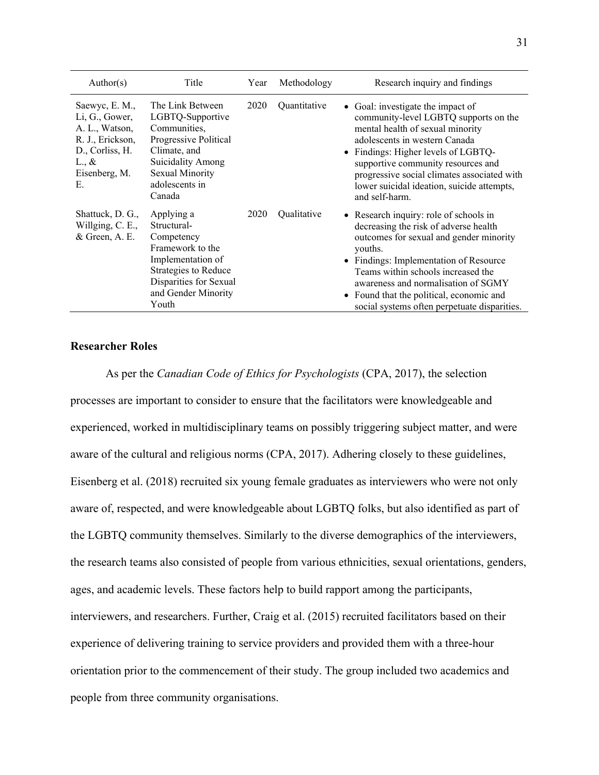| Author(s)                                                                                                                           | Title                                                                                                                                                                    | Year | Methodology  | Research inquiry and findings                                                                                                                                                                                                                                                                                                                          |
|-------------------------------------------------------------------------------------------------------------------------------------|--------------------------------------------------------------------------------------------------------------------------------------------------------------------------|------|--------------|--------------------------------------------------------------------------------------------------------------------------------------------------------------------------------------------------------------------------------------------------------------------------------------------------------------------------------------------------------|
| Saewyc, E. M.,<br>Li, G., Gower,<br>A. L., Watson,<br>R. J., Erickson,<br>D., Corliss, H.<br>$L_{\cdot}, \&$<br>Eisenberg, M.<br>Е. | The Link Between<br>LGBTQ-Supportive<br>Communities,<br>Progressive Political<br>Climate, and<br><b>Suicidality Among</b><br>Sexual Minority<br>adolescents in<br>Canada | 2020 | Quantitative | • Goal: investigate the impact of<br>community-level LGBTQ supports on the<br>mental health of sexual minority<br>adolescents in western Canada<br>Findings: Higher levels of LGBTQ-<br>supportive community resources and<br>progressive social climates associated with<br>lower suicidal ideation, suicide attempts,<br>and self-harm.              |
| Shattuck, D. G.,<br>Willging, C. E.,<br>$&$ Green, A. E.                                                                            | Applying a<br>Structural-<br>Competency<br>Framework to the<br>Implementation of<br>Strategies to Reduce<br>Disparities for Sexual<br>and Gender Minority<br>Youth       | 2020 | Oualitative  | • Research inquiry: role of schools in<br>decreasing the risk of adverse health<br>outcomes for sexual and gender minority<br>youths.<br>• Findings: Implementation of Resource<br>Teams within schools increased the<br>awareness and normalisation of SGMY<br>Found that the political, economic and<br>social systems often perpetuate disparities. |

# <span id="page-30-0"></span>**Researcher Roles**

As per the *Canadian Code of Ethics for Psychologists* (CPA, 2017), the selection processes are important to consider to ensure that the facilitators were knowledgeable and experienced, worked in multidisciplinary teams on possibly triggering subject matter, and were aware of the cultural and religious norms (CPA, 2017). Adhering closely to these guidelines, Eisenberg et al. (2018) recruited six young female graduates as interviewers who were not only aware of, respected, and were knowledgeable about LGBTQ folks, but also identified as part of the LGBTQ community themselves. Similarly to the diverse demographics of the interviewers, the research teams also consisted of people from various ethnicities, sexual orientations, genders, ages, and academic levels. These factors help to build rapport among the participants, interviewers, and researchers. Further, Craig et al. (2015) recruited facilitators based on their experience of delivering training to service providers and provided them with a three-hour orientation prior to the commencement of their study. The group included two academics and people from three community organisations.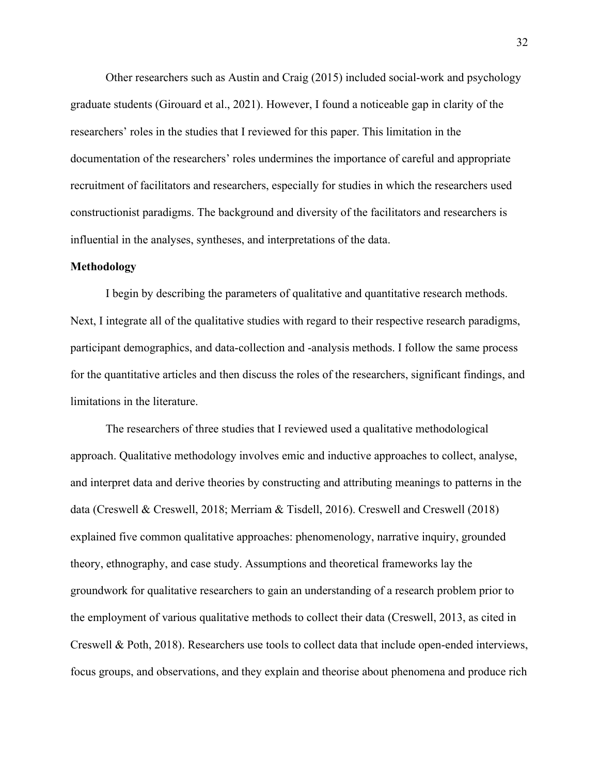Other researchers such as Austin and Craig (2015) included social-work and psychology graduate students (Girouard et al., 2021). However, I found a noticeable gap in clarity of the researchers' roles in the studies that I reviewed for this paper. This limitation in the documentation of the researchers' roles undermines the importance of careful and appropriate recruitment of facilitators and researchers, especially for studies in which the researchers used constructionist paradigms. The background and diversity of the facilitators and researchers is influential in the analyses, syntheses, and interpretations of the data.

#### <span id="page-31-0"></span>**Methodology**

I begin by describing the parameters of qualitative and quantitative research methods. Next, I integrate all of the qualitative studies with regard to their respective research paradigms, participant demographics, and data-collection and -analysis methods. I follow the same process for the quantitative articles and then discuss the roles of the researchers, significant findings, and limitations in the literature.

The researchers of three studies that I reviewed used a qualitative methodological approach. Qualitative methodology involves emic and inductive approaches to collect, analyse, and interpret data and derive theories by constructing and attributing meanings to patterns in the data (Creswell & Creswell, 2018; Merriam & Tisdell, 2016). Creswell and Creswell (2018) explained five common qualitative approaches: phenomenology, narrative inquiry, grounded theory, ethnography, and case study. Assumptions and theoretical frameworks lay the groundwork for qualitative researchers to gain an understanding of a research problem prior to the employment of various qualitative methods to collect their data (Creswell, 2013, as cited in Creswell & Poth, 2018). Researchers use tools to collect data that include open-ended interviews, focus groups, and observations, and they explain and theorise about phenomena and produce rich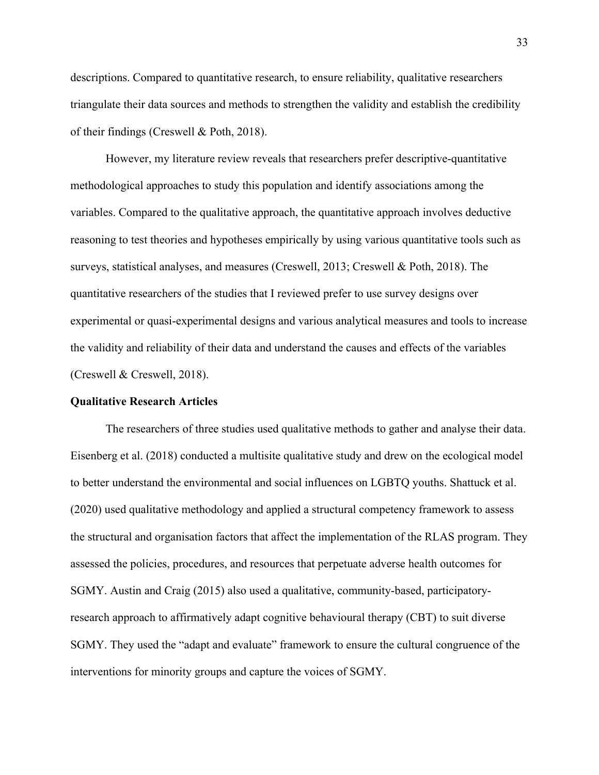descriptions. Compared to quantitative research, to ensure reliability, qualitative researchers triangulate their data sources and methods to strengthen the validity and establish the credibility of their findings (Creswell & Poth, 2018).

However, my literature review reveals that researchers prefer descriptive-quantitative methodological approaches to study this population and identify associations among the variables. Compared to the qualitative approach, the quantitative approach involves deductive reasoning to test theories and hypotheses empirically by using various quantitative tools such as surveys, statistical analyses, and measures (Creswell, 2013; Creswell & Poth, 2018). The quantitative researchers of the studies that I reviewed prefer to use survey designs over experimental or quasi-experimental designs and various analytical measures and tools to increase the validity and reliability of their data and understand the causes and effects of the variables (Creswell & Creswell, 2018).

#### <span id="page-32-0"></span>**Qualitative Research Articles**

The researchers of three studies used qualitative methods to gather and analyse their data. Eisenberg et al. (2018) conducted a multisite qualitative study and drew on the ecological model to better understand the environmental and social influences on LGBTQ youths. Shattuck et al. (2020) used qualitative methodology and applied a structural competency framework to assess the structural and organisation factors that affect the implementation of the RLAS program. They assessed the policies, procedures, and resources that perpetuate adverse health outcomes for SGMY. Austin and Craig (2015) also used a qualitative, community-based, participatoryresearch approach to affirmatively adapt cognitive behavioural therapy (CBT) to suit diverse SGMY. They used the "adapt and evaluate" framework to ensure the cultural congruence of the interventions for minority groups and capture the voices of SGMY.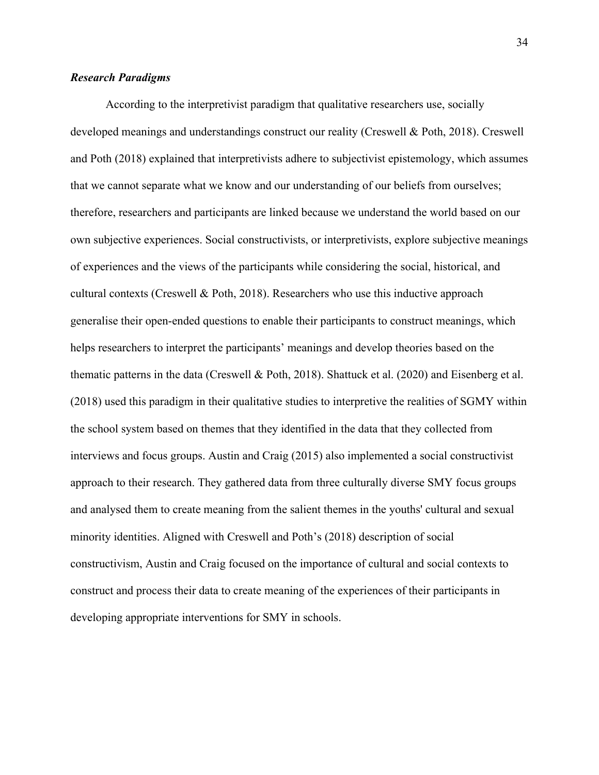# <span id="page-33-0"></span>*Research Paradigms*

According to the interpretivist paradigm that qualitative researchers use, socially developed meanings and understandings construct our reality (Creswell & Poth, 2018). Creswell and Poth (2018) explained that interpretivists adhere to subjectivist epistemology, which assumes that we cannot separate what we know and our understanding of our beliefs from ourselves; therefore, researchers and participants are linked because we understand the world based on our own subjective experiences. Social constructivists, or interpretivists, explore subjective meanings of experiences and the views of the participants while considering the social, historical, and cultural contexts (Creswell & Poth, 2018). Researchers who use this inductive approach generalise their open-ended questions to enable their participants to construct meanings, which helps researchers to interpret the participants' meanings and develop theories based on the thematic patterns in the data (Creswell & Poth, 2018). Shattuck et al. (2020) and Eisenberg et al. (2018) used this paradigm in their qualitative studies to interpretive the realities of SGMY within the school system based on themes that they identified in the data that they collected from interviews and focus groups. Austin and Craig (2015) also implemented a social constructivist approach to their research. They gathered data from three culturally diverse SMY focus groups and analysed them to create meaning from the salient themes in the youths' cultural and sexual minority identities. Aligned with Creswell and Poth's (2018) description of social constructivism, Austin and Craig focused on the importance of cultural and social contexts to construct and process their data to create meaning of the experiences of their participants in developing appropriate interventions for SMY in schools.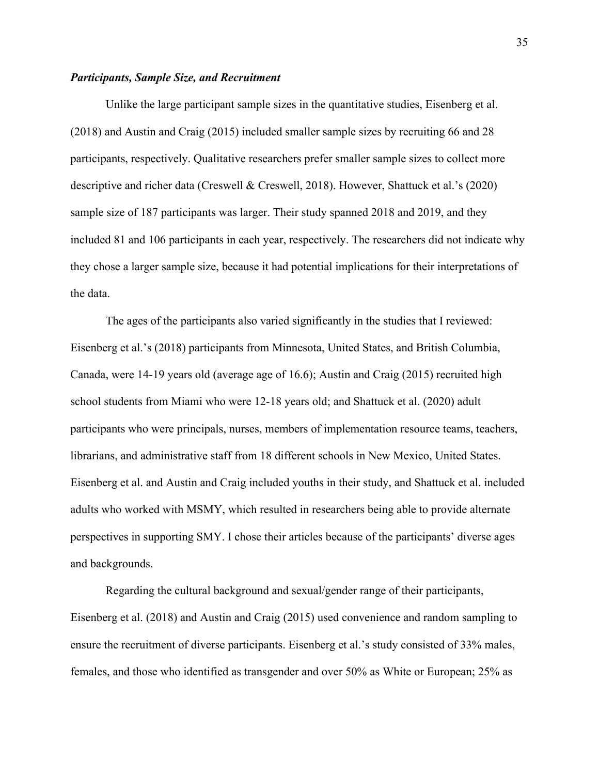# <span id="page-34-0"></span>*Participants, Sample Size, and Recruitment*

Unlike the large participant sample sizes in the quantitative studies, Eisenberg et al. (2018) and Austin and Craig (2015) included smaller sample sizes by recruiting 66 and 28 participants, respectively. Qualitative researchers prefer smaller sample sizes to collect more descriptive and richer data (Creswell & Creswell, 2018). However, Shattuck et al.'s (2020) sample size of 187 participants was larger. Their study spanned 2018 and 2019, and they included 81 and 106 participants in each year, respectively. The researchers did not indicate why they chose a larger sample size, because it had potential implications for their interpretations of the data.

The ages of the participants also varied significantly in the studies that I reviewed: Eisenberg et al.'s (2018) participants from Minnesota, United States, and British Columbia, Canada, were 14-19 years old (average age of 16.6); Austin and Craig (2015) recruited high school students from Miami who were 12-18 years old; and Shattuck et al. (2020) adult participants who were principals, nurses, members of implementation resource teams, teachers, librarians, and administrative staff from 18 different schools in New Mexico, United States. Eisenberg et al. and Austin and Craig included youths in their study, and Shattuck et al. included adults who worked with MSMY, which resulted in researchers being able to provide alternate perspectives in supporting SMY. I chose their articles because of the participants' diverse ages and backgrounds.

Regarding the cultural background and sexual/gender range of their participants, Eisenberg et al. (2018) and Austin and Craig (2015) used convenience and random sampling to ensure the recruitment of diverse participants. Eisenberg et al.'s study consisted of 33% males, females, and those who identified as transgender and over 50% as White or European; 25% as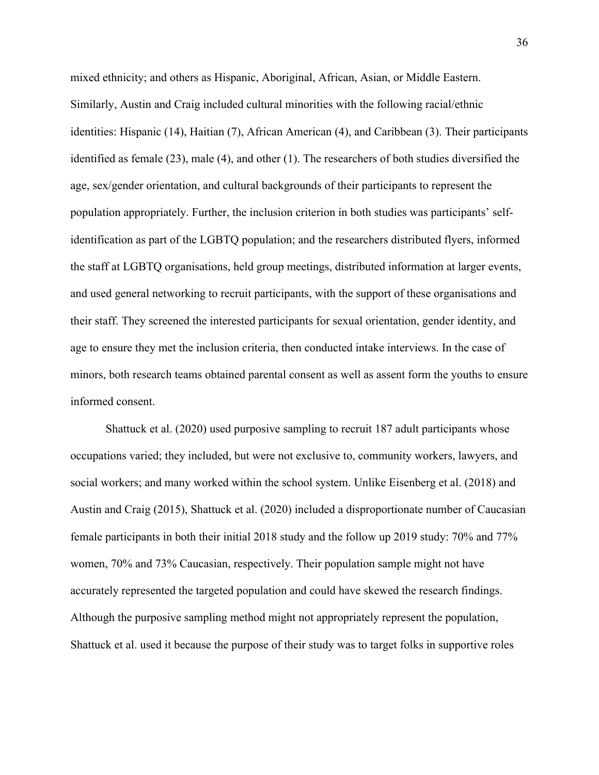mixed ethnicity; and others as Hispanic, Aboriginal, African, Asian, or Middle Eastern. Similarly, Austin and Craig included cultural minorities with the following racial/ethnic identities: Hispanic (14), Haitian (7), African American (4), and Caribbean (3). Their participants identified as female (23), male (4), and other (1). The researchers of both studies diversified the age, sex/gender orientation, and cultural backgrounds of their participants to represent the population appropriately. Further, the inclusion criterion in both studies was participants' selfidentification as part of the LGBTQ population; and the researchers distributed flyers, informed the staff at LGBTQ organisations, held group meetings, distributed information at larger events, and used general networking to recruit participants, with the support of these organisations and their staff. They screened the interested participants for sexual orientation, gender identity, and age to ensure they met the inclusion criteria, then conducted intake interviews. In the case of minors, both research teams obtained parental consent as well as assent form the youths to ensure informed consent.

Shattuck et al. (2020) used purposive sampling to recruit 187 adult participants whose occupations varied; they included, but were not exclusive to, community workers, lawyers, and social workers; and many worked within the school system. Unlike Eisenberg et al. (2018) and Austin and Craig (2015), Shattuck et al. (2020) included a disproportionate number of Caucasian female participants in both their initial 2018 study and the follow up 2019 study: 70% and 77% women, 70% and 73% Caucasian, respectively. Their population sample might not have accurately represented the targeted population and could have skewed the research findings. Although the purposive sampling method might not appropriately represent the population, Shattuck et al. used it because the purpose of their study was to target folks in supportive roles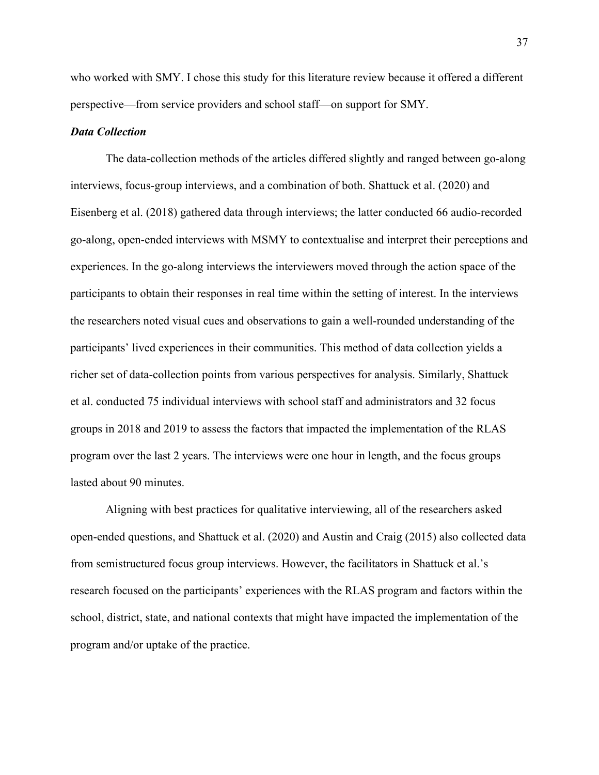who worked with SMY. I chose this study for this literature review because it offered a different perspective—from service providers and school staff—on support for SMY.

# *Data Collection*

The data-collection methods of the articles differed slightly and ranged between go-along interviews, focus-group interviews, and a combination of both. Shattuck et al. (2020) and Eisenberg et al. (2018) gathered data through interviews; the latter conducted 66 audio-recorded go-along, open-ended interviews with MSMY to contextualise and interpret their perceptions and experiences. In the go-along interviews the interviewers moved through the action space of the participants to obtain their responses in real time within the setting of interest. In the interviews the researchers noted visual cues and observations to gain a well-rounded understanding of the participants' lived experiences in their communities. This method of data collection yields a richer set of data-collection points from various perspectives for analysis. Similarly, Shattuck et al. conducted 75 individual interviews with school staff and administrators and 32 focus groups in 2018 and 2019 to assess the factors that impacted the implementation of the RLAS program over the last 2 years. The interviews were one hour in length, and the focus groups lasted about 90 minutes.

Aligning with best practices for qualitative interviewing, all of the researchers asked open-ended questions, and Shattuck et al. (2020) and Austin and Craig (2015) also collected data from semistructured focus group interviews. However, the facilitators in Shattuck et al.'s research focused on the participants' experiences with the RLAS program and factors within the school, district, state, and national contexts that might have impacted the implementation of the program and/or uptake of the practice.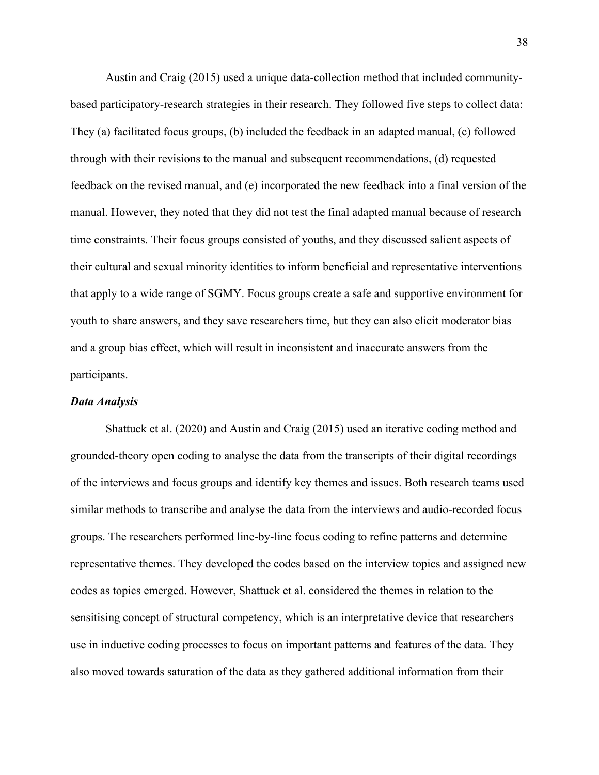Austin and Craig (2015) used a unique data-collection method that included communitybased participatory-research strategies in their research. They followed five steps to collect data: They (a) facilitated focus groups, (b) included the feedback in an adapted manual, (c) followed through with their revisions to the manual and subsequent recommendations, (d) requested feedback on the revised manual, and (e) incorporated the new feedback into a final version of the manual. However, they noted that they did not test the final adapted manual because of research time constraints. Their focus groups consisted of youths, and they discussed salient aspects of their cultural and sexual minority identities to inform beneficial and representative interventions that apply to a wide range of SGMY. Focus groups create a safe and supportive environment for youth to share answers, and they save researchers time, but they can also elicit moderator bias and a group bias effect, which will result in inconsistent and inaccurate answers from the participants.

# *Data Analysis*

Shattuck et al. (2020) and Austin and Craig (2015) used an iterative coding method and grounded-theory open coding to analyse the data from the transcripts of their digital recordings of the interviews and focus groups and identify key themes and issues. Both research teams used similar methods to transcribe and analyse the data from the interviews and audio-recorded focus groups. The researchers performed line-by-line focus coding to refine patterns and determine representative themes. They developed the codes based on the interview topics and assigned new codes as topics emerged. However, Shattuck et al. considered the themes in relation to the sensitising concept of structural competency, which is an interpretative device that researchers use in inductive coding processes to focus on important patterns and features of the data. They also moved towards saturation of the data as they gathered additional information from their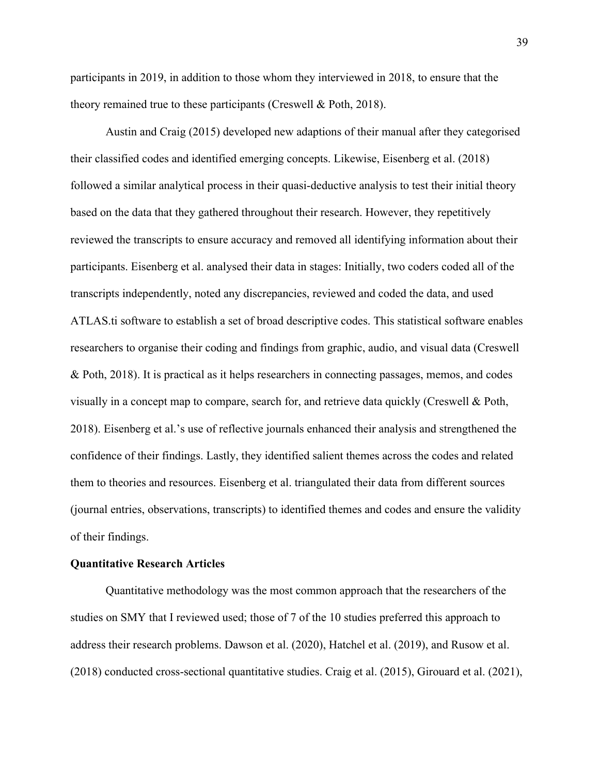participants in 2019, in addition to those whom they interviewed in 2018, to ensure that the theory remained true to these participants (Creswell & Poth, 2018).

Austin and Craig (2015) developed new adaptions of their manual after they categorised their classified codes and identified emerging concepts. Likewise, Eisenberg et al. (2018) followed a similar analytical process in their quasi-deductive analysis to test their initial theory based on the data that they gathered throughout their research. However, they repetitively reviewed the transcripts to ensure accuracy and removed all identifying information about their participants. Eisenberg et al. analysed their data in stages: Initially, two coders coded all of the transcripts independently, noted any discrepancies, reviewed and coded the data, and used ATLAS.ti software to establish a set of broad descriptive codes. This statistical software enables researchers to organise their coding and findings from graphic, audio, and visual data (Creswell & Poth, 2018). It is practical as it helps researchers in connecting passages, memos, and codes visually in a concept map to compare, search for, and retrieve data quickly (Creswell & Poth, 2018). Eisenberg et al.'s use of reflective journals enhanced their analysis and strengthened the confidence of their findings. Lastly, they identified salient themes across the codes and related them to theories and resources. Eisenberg et al. triangulated their data from different sources (journal entries, observations, transcripts) to identified themes and codes and ensure the validity of their findings.

#### **Quantitative Research Articles**

Quantitative methodology was the most common approach that the researchers of the studies on SMY that I reviewed used; those of 7 of the 10 studies preferred this approach to address their research problems. Dawson et al. (2020), Hatchel et al. (2019), and Rusow et al. (2018) conducted cross-sectional quantitative studies. Craig et al. (2015), Girouard et al. (2021),

39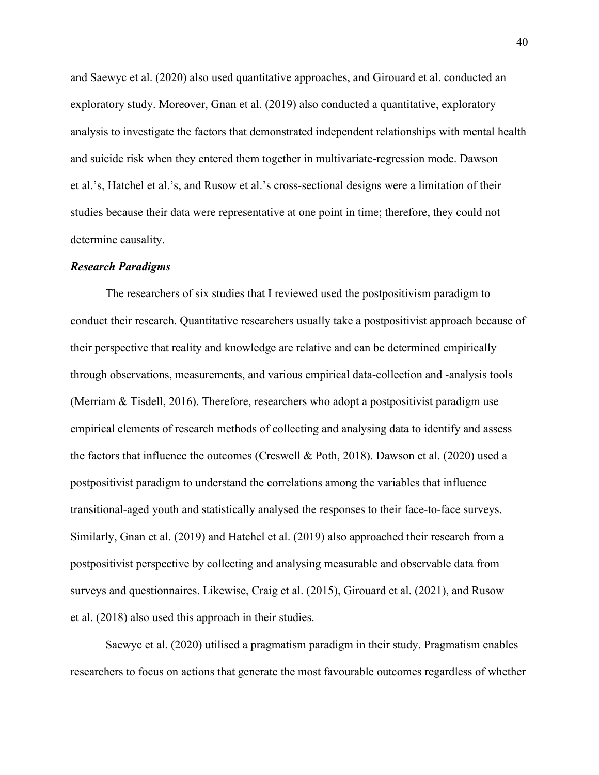and Saewyc et al. (2020) also used quantitative approaches, and Girouard et al. conducted an exploratory study. Moreover, Gnan et al. (2019) also conducted a quantitative, exploratory analysis to investigate the factors that demonstrated independent relationships with mental health and suicide risk when they entered them together in multivariate-regression mode. Dawson et al.'s, Hatchel et al.'s, and Rusow et al.'s cross-sectional designs were a limitation of their studies because their data were representative at one point in time; therefore, they could not determine causality.

### *Research Paradigms*

The researchers of six studies that I reviewed used the postpositivism paradigm to conduct their research. Quantitative researchers usually take a postpositivist approach because of their perspective that reality and knowledge are relative and can be determined empirically through observations, measurements, and various empirical data-collection and -analysis tools (Merriam & Tisdell, 2016). Therefore, researchers who adopt a postpositivist paradigm use empirical elements of research methods of collecting and analysing data to identify and assess the factors that influence the outcomes (Creswell & Poth, 2018). Dawson et al. (2020) used a postpositivist paradigm to understand the correlations among the variables that influence transitional-aged youth and statistically analysed the responses to their face-to-face surveys. Similarly, Gnan et al. (2019) and Hatchel et al. (2019) also approached their research from a postpositivist perspective by collecting and analysing measurable and observable data from surveys and questionnaires. Likewise, Craig et al. (2015), Girouard et al. (2021), and Rusow et al. (2018) also used this approach in their studies.

Saewyc et al. (2020) utilised a pragmatism paradigm in their study. Pragmatism enables researchers to focus on actions that generate the most favourable outcomes regardless of whether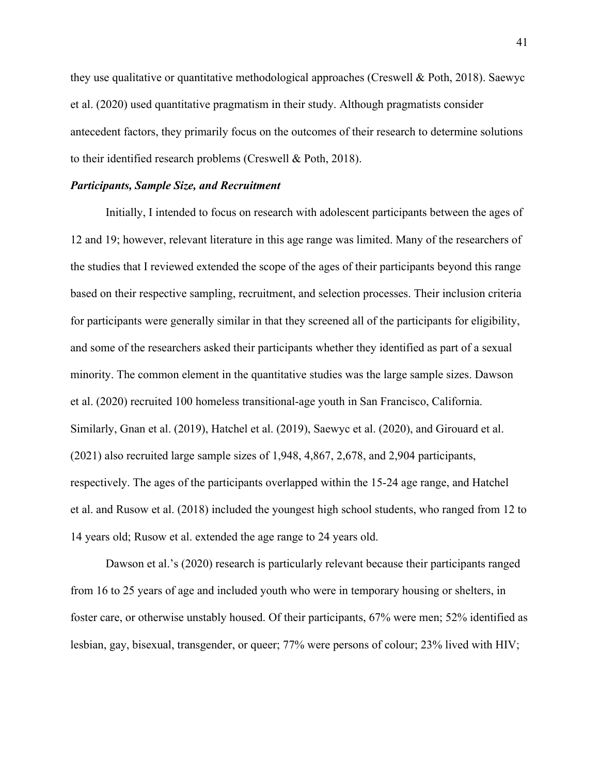they use qualitative or quantitative methodological approaches (Creswell & Poth, 2018). Saewyc et al. (2020) used quantitative pragmatism in their study. Although pragmatists consider antecedent factors, they primarily focus on the outcomes of their research to determine solutions to their identified research problems (Creswell & Poth, 2018).

### *Participants, Sample Size, and Recruitment*

Initially, I intended to focus on research with adolescent participants between the ages of 12 and 19; however, relevant literature in this age range was limited. Many of the researchers of the studies that I reviewed extended the scope of the ages of their participants beyond this range based on their respective sampling, recruitment, and selection processes. Their inclusion criteria for participants were generally similar in that they screened all of the participants for eligibility, and some of the researchers asked their participants whether they identified as part of a sexual minority. The common element in the quantitative studies was the large sample sizes. Dawson et al. (2020) recruited 100 homeless transitional-age youth in San Francisco, California. Similarly, Gnan et al. (2019), Hatchel et al. (2019), Saewyc et al. (2020), and Girouard et al. (2021) also recruited large sample sizes of 1,948, 4,867, 2,678, and 2,904 participants, respectively. The ages of the participants overlapped within the 15-24 age range, and Hatchel et al. and Rusow et al. (2018) included the youngest high school students, who ranged from 12 to 14 years old; Rusow et al. extended the age range to 24 years old.

Dawson et al.'s (2020) research is particularly relevant because their participants ranged from 16 to 25 years of age and included youth who were in temporary housing or shelters, in foster care, or otherwise unstably housed. Of their participants, 67% were men; 52% identified as lesbian, gay, bisexual, transgender, or queer; 77% were persons of colour; 23% lived with HIV;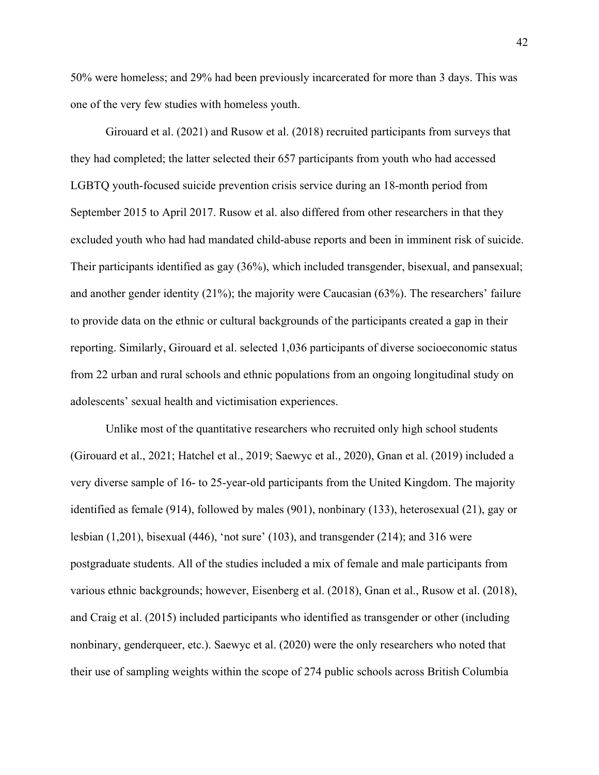50% were homeless; and 29% had been previously incarcerated for more than 3 days. This was one of the very few studies with homeless youth.

Girouard et al. (2021) and Rusow et al. (2018) recruited participants from surveys that they had completed; the latter selected their 657 participants from youth who had accessed LGBTQ youth-focused suicide prevention crisis service during an 18-month period from September 2015 to April 2017. Rusow et al. also differed from other researchers in that they excluded youth who had had mandated child-abuse reports and been in imminent risk of suicide. Their participants identified as gay (36%), which included transgender, bisexual, and pansexual; and another gender identity (21%); the majority were Caucasian (63%). The researchers' failure to provide data on the ethnic or cultural backgrounds of the participants created a gap in their reporting. Similarly, Girouard et al. selected 1,036 participants of diverse socioeconomic status from 22 urban and rural schools and ethnic populations from an ongoing longitudinal study on adolescents' sexual health and victimisation experiences.

Unlike most of the quantitative researchers who recruited only high school students (Girouard et al., 2021; Hatchel et al., 2019; Saewyc et al., 2020), Gnan et al. (2019) included a very diverse sample of 16- to 25-year-old participants from the United Kingdom. The majority identified as female (914), followed by males (901), nonbinary (133), heterosexual (21), gay or lesbian (1,201), bisexual (446), 'not sure' (103), and transgender (214); and 316 were postgraduate students. All of the studies included a mix of female and male participants from various ethnic backgrounds; however, Eisenberg et al. (2018), Gnan et al., Rusow et al. (2018), and Craig et al. (2015) included participants who identified as transgender or other (including nonbinary, genderqueer, etc.). Saewyc et al. (2020) were the only researchers who noted that their use of sampling weights within the scope of 274 public schools across British Columbia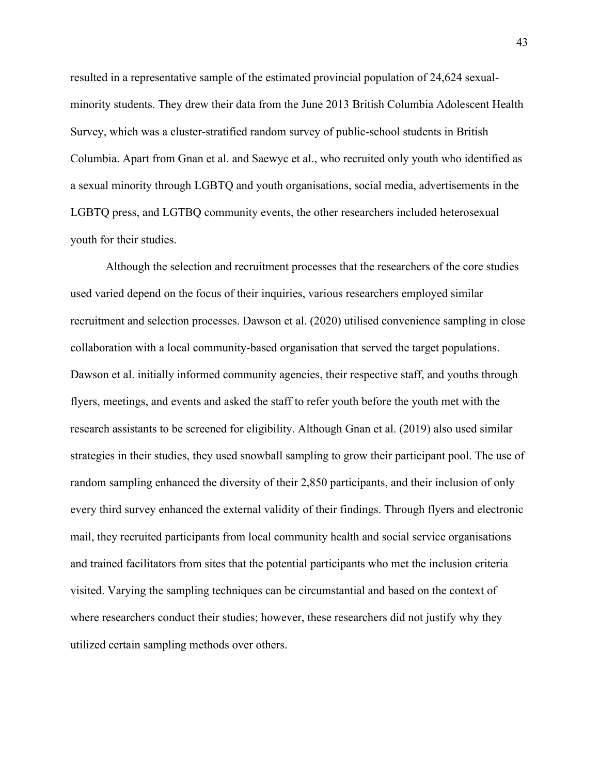resulted in a representative sample of the estimated provincial population of 24,624 sexualminority students. They drew their data from the June 2013 British Columbia Adolescent Health Survey, which was a cluster-stratified random survey of public-school students in British Columbia. Apart from Gnan et al. and Saewyc et al., who recruited only youth who identified as a sexual minority through LGBTQ and youth organisations, social media, advertisements in the LGBTQ press, and LGTBQ community events, the other researchers included heterosexual youth for their studies.

Although the selection and recruitment processes that the researchers of the core studies used varied depend on the focus of their inquiries, various researchers employed similar recruitment and selection processes. Dawson et al. (2020) utilised convenience sampling in close collaboration with a local community-based organisation that served the target populations. Dawson et al. initially informed community agencies, their respective staff, and youths through flyers, meetings, and events and asked the staff to refer youth before the youth met with the research assistants to be screened for eligibility. Although Gnan et al. (2019) also used similar strategies in their studies, they used snowball sampling to grow their participant pool. The use of random sampling enhanced the diversity of their 2,850 participants, and their inclusion of only every third survey enhanced the external validity of their findings. Through flyers and electronic mail, they recruited participants from local community health and social service organisations and trained facilitators from sites that the potential participants who met the inclusion criteria visited. Varying the sampling techniques can be circumstantial and based on the context of where researchers conduct their studies; however, these researchers did not justify why they utilized certain sampling methods over others.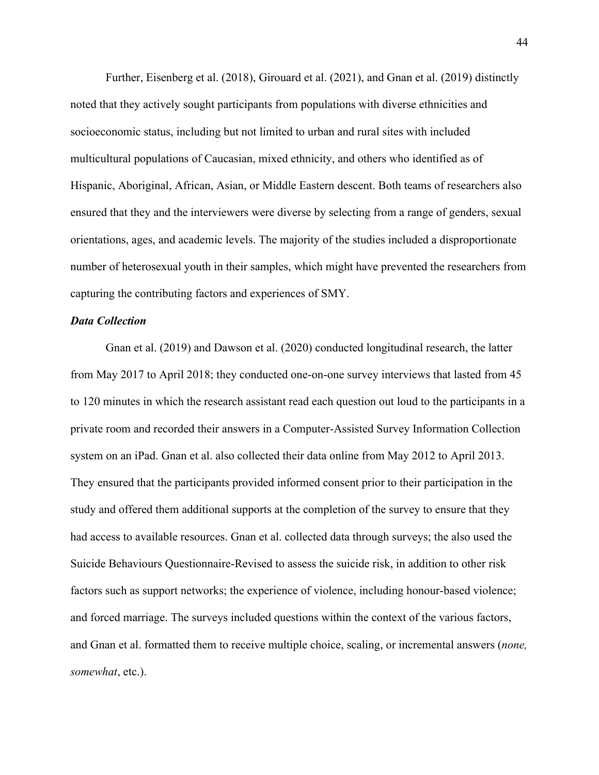Further, Eisenberg et al. (2018), Girouard et al. (2021), and Gnan et al. (2019) distinctly noted that they actively sought participants from populations with diverse ethnicities and socioeconomic status, including but not limited to urban and rural sites with included multicultural populations of Caucasian, mixed ethnicity, and others who identified as of Hispanic, Aboriginal, African, Asian, or Middle Eastern descent. Both teams of researchers also ensured that they and the interviewers were diverse by selecting from a range of genders, sexual orientations, ages, and academic levels. The majority of the studies included a disproportionate number of heterosexual youth in their samples, which might have prevented the researchers from capturing the contributing factors and experiences of SMY.

### *Data Collection*

Gnan et al. (2019) and Dawson et al. (2020) conducted longitudinal research, the latter from May 2017 to April 2018; they conducted one-on-one survey interviews that lasted from 45 to 120 minutes in which the research assistant read each question out loud to the participants in a private room and recorded their answers in a Computer-Assisted Survey Information Collection system on an iPad. Gnan et al. also collected their data online from May 2012 to April 2013. They ensured that the participants provided informed consent prior to their participation in the study and offered them additional supports at the completion of the survey to ensure that they had access to available resources. Gnan et al. collected data through surveys; the also used the Suicide Behaviours Questionnaire-Revised to assess the suicide risk, in addition to other risk factors such as support networks; the experience of violence, including honour-based violence; and forced marriage. The surveys included questions within the context of the various factors, and Gnan et al. formatted them to receive multiple choice, scaling, or incremental answers (*none, somewhat*, etc.).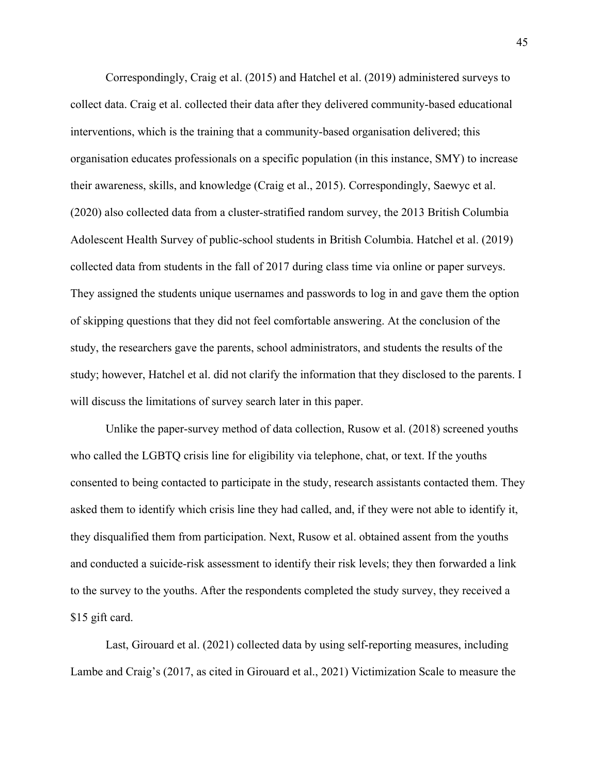Correspondingly, Craig et al. (2015) and Hatchel et al. (2019) administered surveys to collect data. Craig et al. collected their data after they delivered community-based educational interventions, which is the training that a community-based organisation delivered; this organisation educates professionals on a specific population (in this instance, SMY) to increase their awareness, skills, and knowledge (Craig et al., 2015). Correspondingly, Saewyc et al. (2020) also collected data from a cluster-stratified random survey, the 2013 British Columbia Adolescent Health Survey of public-school students in British Columbia. Hatchel et al. (2019) collected data from students in the fall of 2017 during class time via online or paper surveys. They assigned the students unique usernames and passwords to log in and gave them the option of skipping questions that they did not feel comfortable answering. At the conclusion of the study, the researchers gave the parents, school administrators, and students the results of the study; however, Hatchel et al. did not clarify the information that they disclosed to the parents. I will discuss the limitations of survey search later in this paper.

Unlike the paper-survey method of data collection, Rusow et al. (2018) screened youths who called the LGBTQ crisis line for eligibility via telephone, chat, or text. If the youths consented to being contacted to participate in the study, research assistants contacted them. They asked them to identify which crisis line they had called, and, if they were not able to identify it, they disqualified them from participation. Next, Rusow et al. obtained assent from the youths and conducted a suicide-risk assessment to identify their risk levels; they then forwarded a link to the survey to the youths. After the respondents completed the study survey, they received a \$15 gift card.

Last, Girouard et al. (2021) collected data by using self-reporting measures, including Lambe and Craig's (2017, as cited in Girouard et al., 2021) Victimization Scale to measure the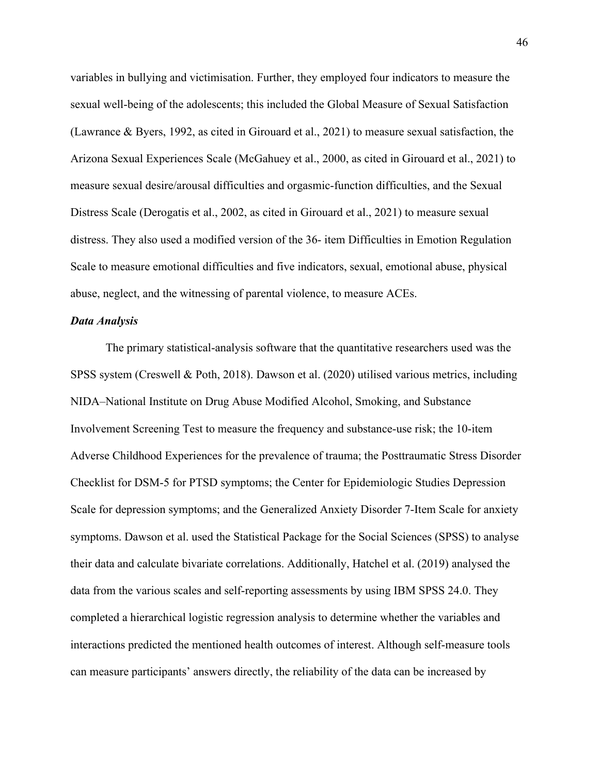variables in bullying and victimisation. Further, they employed four indicators to measure the sexual well-being of the adolescents; this included the Global Measure of Sexual Satisfaction (Lawrance & Byers, 1992, as cited in Girouard et al., 2021) to measure sexual satisfaction, the Arizona Sexual Experiences Scale (McGahuey et al., 2000, as cited in Girouard et al., 2021) to measure sexual desire/arousal difficulties and orgasmic-function difficulties, and the Sexual Distress Scale (Derogatis et al., 2002, as cited in Girouard et al., 2021) to measure sexual distress. They also used a modified version of the 36- item Difficulties in Emotion Regulation Scale to measure emotional difficulties and five indicators, sexual, emotional abuse, physical abuse, neglect, and the witnessing of parental violence, to measure ACEs.

### *Data Analysis*

The primary statistical-analysis software that the quantitative researchers used was the SPSS system (Creswell & Poth, 2018). Dawson et al. (2020) utilised various metrics, including NIDA–National Institute on Drug Abuse Modified Alcohol, Smoking, and Substance Involvement Screening Test to measure the frequency and substance-use risk; the 10-item Adverse Childhood Experiences for the prevalence of trauma; the Posttraumatic Stress Disorder Checklist for DSM-5 for PTSD symptoms; the Center for Epidemiologic Studies Depression Scale for depression symptoms; and the Generalized Anxiety Disorder 7-Item Scale for anxiety symptoms. Dawson et al. used the Statistical Package for the Social Sciences (SPSS) to analyse their data and calculate bivariate correlations. Additionally, Hatchel et al. (2019) analysed the data from the various scales and self-reporting assessments by using IBM SPSS 24.0. They completed a hierarchical logistic regression analysis to determine whether the variables and interactions predicted the mentioned health outcomes of interest. Although self-measure tools can measure participants' answers directly, the reliability of the data can be increased by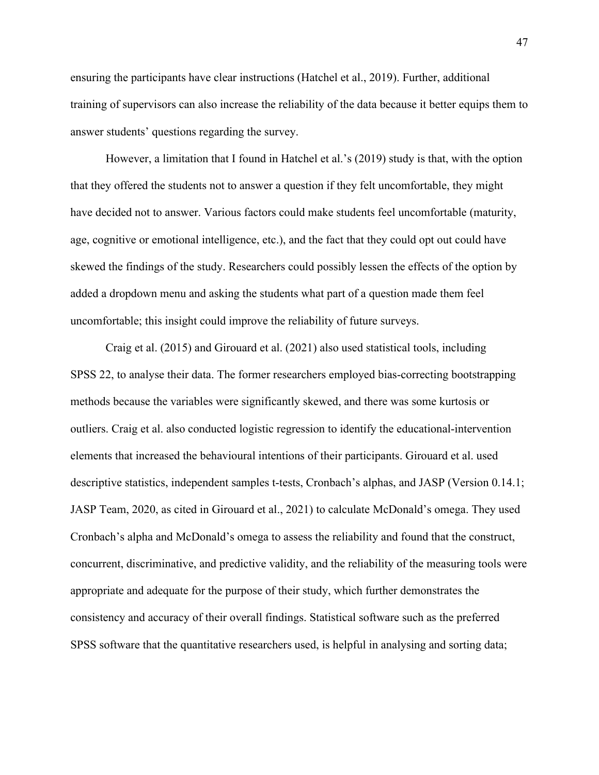ensuring the participants have clear instructions (Hatchel et al., 2019). Further, additional training of supervisors can also increase the reliability of the data because it better equips them to answer students' questions regarding the survey.

However, a limitation that I found in Hatchel et al.'s (2019) study is that, with the option that they offered the students not to answer a question if they felt uncomfortable, they might have decided not to answer. Various factors could make students feel uncomfortable (maturity, age, cognitive or emotional intelligence, etc.), and the fact that they could opt out could have skewed the findings of the study. Researchers could possibly lessen the effects of the option by added a dropdown menu and asking the students what part of a question made them feel uncomfortable; this insight could improve the reliability of future surveys.

Craig et al. (2015) and Girouard et al. (2021) also used statistical tools, including SPSS 22, to analyse their data. The former researchers employed bias-correcting bootstrapping methods because the variables were significantly skewed, and there was some kurtosis or outliers. Craig et al. also conducted logistic regression to identify the educational-intervention elements that increased the behavioural intentions of their participants. Girouard et al. used descriptive statistics, independent samples t-tests, Cronbach's alphas, and JASP (Version 0.14.1; JASP Team, 2020, as cited in Girouard et al., 2021) to calculate McDonald's omega. They used Cronbach's alpha and McDonald's omega to assess the reliability and found that the construct, concurrent, discriminative, and predictive validity, and the reliability of the measuring tools were appropriate and adequate for the purpose of their study, which further demonstrates the consistency and accuracy of their overall findings. Statistical software such as the preferred SPSS software that the quantitative researchers used, is helpful in analysing and sorting data;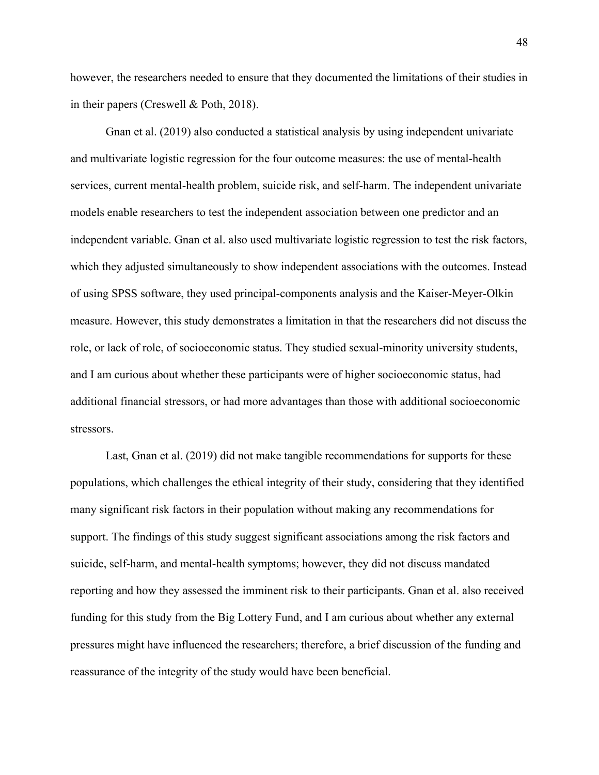however, the researchers needed to ensure that they documented the limitations of their studies in in their papers (Creswell & Poth, 2018).

Gnan et al. (2019) also conducted a statistical analysis by using independent univariate and multivariate logistic regression for the four outcome measures: the use of mental-health services, current mental-health problem, suicide risk, and self-harm. The independent univariate models enable researchers to test the independent association between one predictor and an independent variable. Gnan et al. also used multivariate logistic regression to test the risk factors, which they adjusted simultaneously to show independent associations with the outcomes. Instead of using SPSS software, they used principal-components analysis and the Kaiser-Meyer-Olkin measure. However, this study demonstrates a limitation in that the researchers did not discuss the role, or lack of role, of socioeconomic status. They studied sexual-minority university students, and I am curious about whether these participants were of higher socioeconomic status, had additional financial stressors, or had more advantages than those with additional socioeconomic stressors.

Last, Gnan et al. (2019) did not make tangible recommendations for supports for these populations, which challenges the ethical integrity of their study, considering that they identified many significant risk factors in their population without making any recommendations for support. The findings of this study suggest significant associations among the risk factors and suicide, self-harm, and mental-health symptoms; however, they did not discuss mandated reporting and how they assessed the imminent risk to their participants. Gnan et al. also received funding for this study from the Big Lottery Fund, and I am curious about whether any external pressures might have influenced the researchers; therefore, a brief discussion of the funding and reassurance of the integrity of the study would have been beneficial.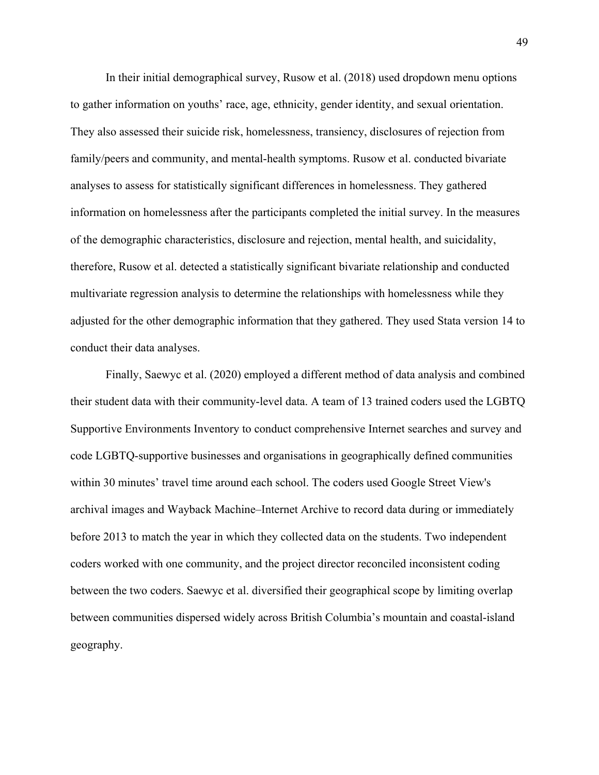In their initial demographical survey, Rusow et al. (2018) used dropdown menu options to gather information on youths' race, age, ethnicity, gender identity, and sexual orientation. They also assessed their suicide risk, homelessness, transiency, disclosures of rejection from family/peers and community, and mental-health symptoms. Rusow et al. conducted bivariate analyses to assess for statistically significant differences in homelessness. They gathered information on homelessness after the participants completed the initial survey. In the measures of the demographic characteristics, disclosure and rejection, mental health, and suicidality, therefore, Rusow et al. detected a statistically significant bivariate relationship and conducted multivariate regression analysis to determine the relationships with homelessness while they adjusted for the other demographic information that they gathered. They used Stata version 14 to conduct their data analyses.

Finally, Saewyc et al. (2020) employed a different method of data analysis and combined their student data with their community-level data. A team of 13 trained coders used the LGBTQ Supportive Environments Inventory to conduct comprehensive Internet searches and survey and code LGBTQ-supportive businesses and organisations in geographically defined communities within 30 minutes' travel time around each school. The coders used Google Street View's archival images and Wayback Machine–Internet Archive to record data during or immediately before 2013 to match the year in which they collected data on the students. Two independent coders worked with one community, and the project director reconciled inconsistent coding between the two coders. Saewyc et al. diversified their geographical scope by limiting overlap between communities dispersed widely across British Columbia's mountain and coastal-island geography.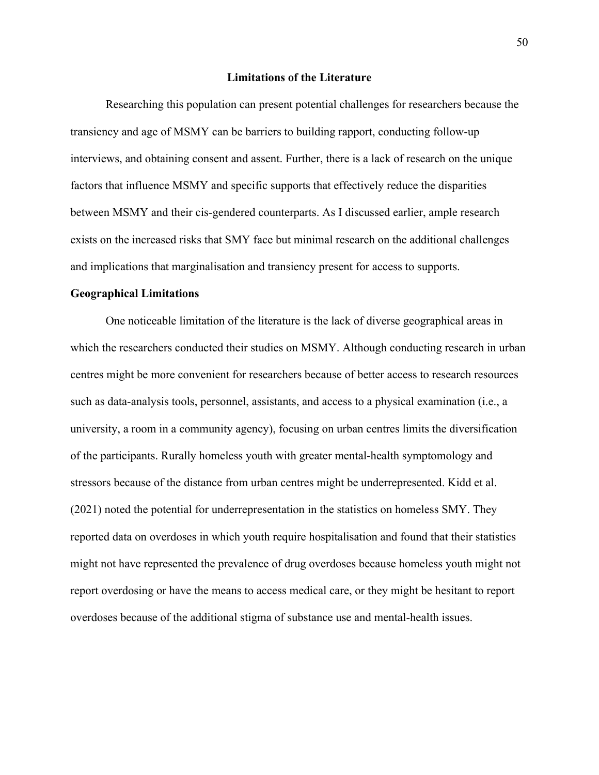### **Limitations of the Literature**

Researching this population can present potential challenges for researchers because the transiency and age of MSMY can be barriers to building rapport, conducting follow-up interviews, and obtaining consent and assent. Further, there is a lack of research on the unique factors that influence MSMY and specific supports that effectively reduce the disparities between MSMY and their cis-gendered counterparts. As I discussed earlier, ample research exists on the increased risks that SMY face but minimal research on the additional challenges and implications that marginalisation and transiency present for access to supports.

### **Geographical Limitations**

One noticeable limitation of the literature is the lack of diverse geographical areas in which the researchers conducted their studies on MSMY. Although conducting research in urban centres might be more convenient for researchers because of better access to research resources such as data-analysis tools, personnel, assistants, and access to a physical examination (i.e., a university, a room in a community agency), focusing on urban centres limits the diversification of the participants. Rurally homeless youth with greater mental-health symptomology and stressors because of the distance from urban centres might be underrepresented. Kidd et al. (2021) noted the potential for underrepresentation in the statistics on homeless SMY. They reported data on overdoses in which youth require hospitalisation and found that their statistics might not have represented the prevalence of drug overdoses because homeless youth might not report overdosing or have the means to access medical care, or they might be hesitant to report overdoses because of the additional stigma of substance use and mental-health issues.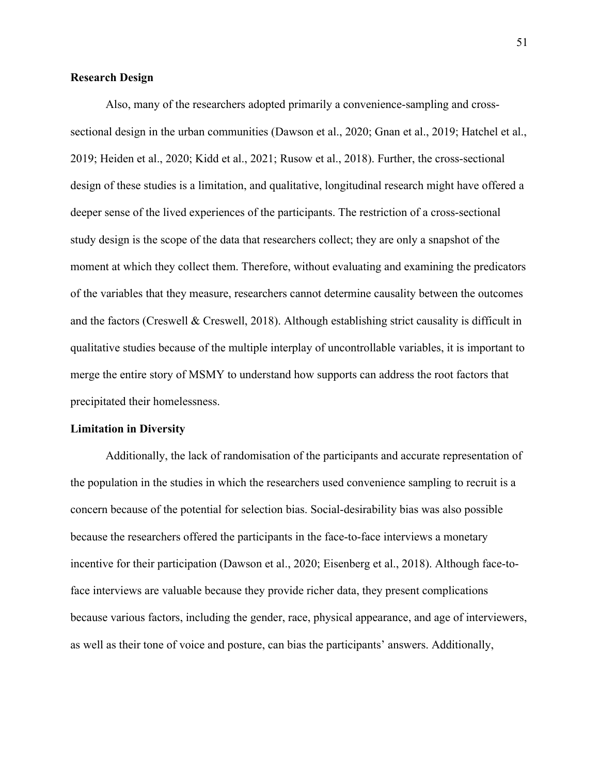# **Research Design**

Also, many of the researchers adopted primarily a convenience-sampling and crosssectional design in the urban communities (Dawson et al., 2020; Gnan et al., 2019; Hatchel et al., 2019; Heiden et al., 2020; Kidd et al., 2021; Rusow et al., 2018). Further, the cross-sectional design of these studies is a limitation, and qualitative, longitudinal research might have offered a deeper sense of the lived experiences of the participants. The restriction of a cross-sectional study design is the scope of the data that researchers collect; they are only a snapshot of the moment at which they collect them. Therefore, without evaluating and examining the predicators of the variables that they measure, researchers cannot determine causality between the outcomes and the factors (Creswell & Creswell, 2018). Although establishing strict causality is difficult in qualitative studies because of the multiple interplay of uncontrollable variables, it is important to merge the entire story of MSMY to understand how supports can address the root factors that precipitated their homelessness.

### **Limitation in Diversity**

Additionally, the lack of randomisation of the participants and accurate representation of the population in the studies in which the researchers used convenience sampling to recruit is a concern because of the potential for selection bias. Social-desirability bias was also possible because the researchers offered the participants in the face-to-face interviews a monetary incentive for their participation (Dawson et al., 2020; Eisenberg et al., 2018). Although face-toface interviews are valuable because they provide richer data, they present complications because various factors, including the gender, race, physical appearance, and age of interviewers, as well as their tone of voice and posture, can bias the participants' answers. Additionally,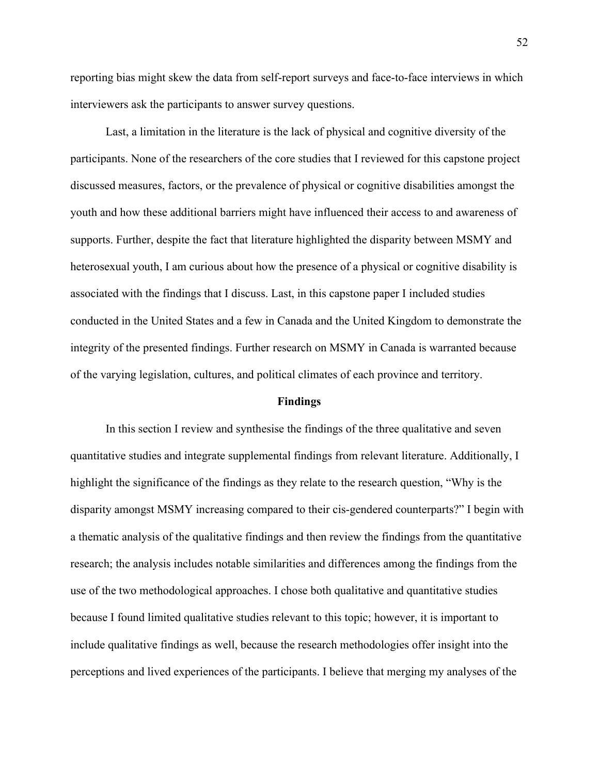reporting bias might skew the data from self-report surveys and face-to-face interviews in which interviewers ask the participants to answer survey questions.

Last, a limitation in the literature is the lack of physical and cognitive diversity of the participants. None of the researchers of the core studies that I reviewed for this capstone project discussed measures, factors, or the prevalence of physical or cognitive disabilities amongst the youth and how these additional barriers might have influenced their access to and awareness of supports. Further, despite the fact that literature highlighted the disparity between MSMY and heterosexual youth, I am curious about how the presence of a physical or cognitive disability is associated with the findings that I discuss. Last, in this capstone paper I included studies conducted in the United States and a few in Canada and the United Kingdom to demonstrate the integrity of the presented findings. Further research on MSMY in Canada is warranted because of the varying legislation, cultures, and political climates of each province and territory.

#### **Findings**

In this section I review and synthesise the findings of the three qualitative and seven quantitative studies and integrate supplemental findings from relevant literature. Additionally, I highlight the significance of the findings as they relate to the research question, "Why is the disparity amongst MSMY increasing compared to their cis-gendered counterparts?" I begin with a thematic analysis of the qualitative findings and then review the findings from the quantitative research; the analysis includes notable similarities and differences among the findings from the use of the two methodological approaches. I chose both qualitative and quantitative studies because I found limited qualitative studies relevant to this topic; however, it is important to include qualitative findings as well, because the research methodologies offer insight into the perceptions and lived experiences of the participants. I believe that merging my analyses of the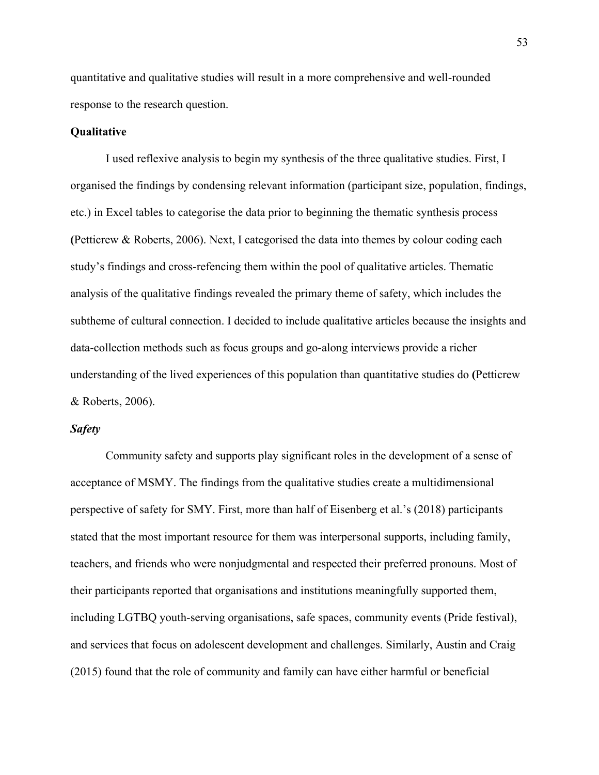quantitative and qualitative studies will result in a more comprehensive and well-rounded response to the research question.

# **Qualitative**

I used reflexive analysis to begin my synthesis of the three qualitative studies. First, I organised the findings by condensing relevant information (participant size, population, findings, etc.) in Excel tables to categorise the data prior to beginning the thematic synthesis process **(**Petticrew & Roberts, 2006). Next, I categorised the data into themes by colour coding each study's findings and cross-refencing them within the pool of qualitative articles. Thematic analysis of the qualitative findings revealed the primary theme of safety, which includes the subtheme of cultural connection. I decided to include qualitative articles because the insights and data-collection methods such as focus groups and go-along interviews provide a richer understanding of the lived experiences of this population than quantitative studies do **(**Petticrew & Roberts, 2006).

# *Safety*

Community safety and supports play significant roles in the development of a sense of acceptance of MSMY. The findings from the qualitative studies create a multidimensional perspective of safety for SMY. First, more than half of Eisenberg et al.'s (2018) participants stated that the most important resource for them was interpersonal supports, including family, teachers, and friends who were nonjudgmental and respected their preferred pronouns. Most of their participants reported that organisations and institutions meaningfully supported them, including LGTBQ youth-serving organisations, safe spaces, community events (Pride festival), and services that focus on adolescent development and challenges. Similarly, Austin and Craig (2015) found that the role of community and family can have either harmful or beneficial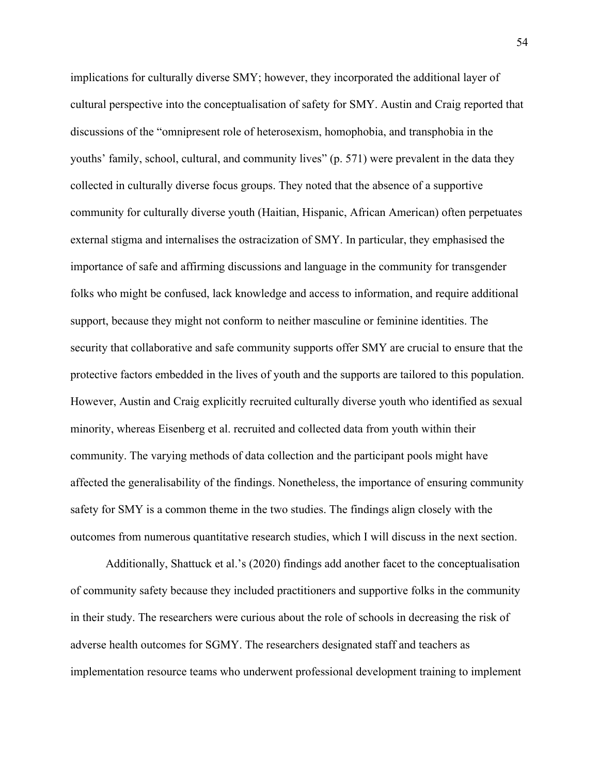implications for culturally diverse SMY; however, they incorporated the additional layer of cultural perspective into the conceptualisation of safety for SMY. Austin and Craig reported that discussions of the "omnipresent role of heterosexism, homophobia, and transphobia in the youths' family, school, cultural, and community lives" (p. 571) were prevalent in the data they collected in culturally diverse focus groups. They noted that the absence of a supportive community for culturally diverse youth (Haitian, Hispanic, African American) often perpetuates external stigma and internalises the ostracization of SMY. In particular, they emphasised the importance of safe and affirming discussions and language in the community for transgender folks who might be confused, lack knowledge and access to information, and require additional support, because they might not conform to neither masculine or feminine identities. The security that collaborative and safe community supports offer SMY are crucial to ensure that the protective factors embedded in the lives of youth and the supports are tailored to this population. However, Austin and Craig explicitly recruited culturally diverse youth who identified as sexual minority, whereas Eisenberg et al. recruited and collected data from youth within their community. The varying methods of data collection and the participant pools might have affected the generalisability of the findings. Nonetheless, the importance of ensuring community safety for SMY is a common theme in the two studies. The findings align closely with the outcomes from numerous quantitative research studies, which I will discuss in the next section.

Additionally, Shattuck et al.'s (2020) findings add another facet to the conceptualisation of community safety because they included practitioners and supportive folks in the community in their study. The researchers were curious about the role of schools in decreasing the risk of adverse health outcomes for SGMY. The researchers designated staff and teachers as implementation resource teams who underwent professional development training to implement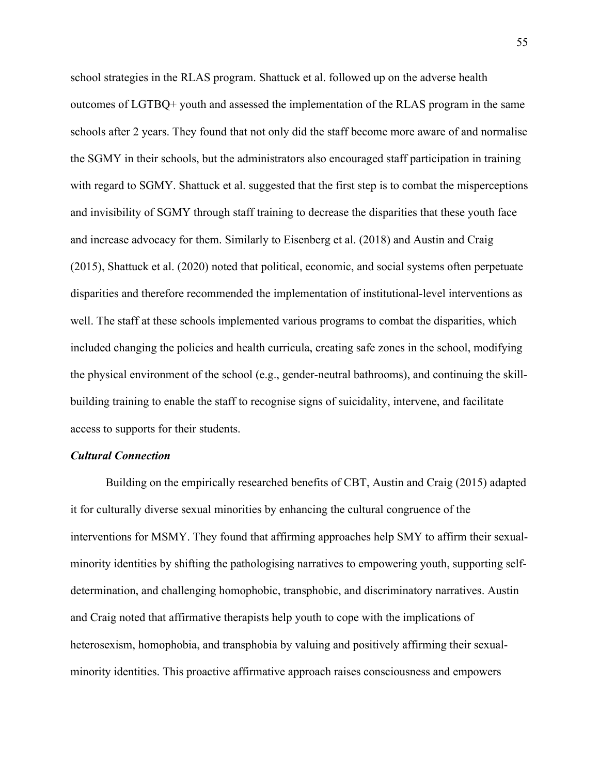school strategies in the RLAS program. Shattuck et al. followed up on the adverse health outcomes of LGTBQ+ youth and assessed the implementation of the RLAS program in the same schools after 2 years. They found that not only did the staff become more aware of and normalise the SGMY in their schools, but the administrators also encouraged staff participation in training with regard to SGMY. Shattuck et al. suggested that the first step is to combat the misperceptions and invisibility of SGMY through staff training to decrease the disparities that these youth face and increase advocacy for them. Similarly to Eisenberg et al. (2018) and Austin and Craig (2015), Shattuck et al. (2020) noted that political, economic, and social systems often perpetuate disparities and therefore recommended the implementation of institutional-level interventions as well. The staff at these schools implemented various programs to combat the disparities, which included changing the policies and health curricula, creating safe zones in the school, modifying the physical environment of the school (e.g., gender-neutral bathrooms), and continuing the skillbuilding training to enable the staff to recognise signs of suicidality, intervene, and facilitate access to supports for their students.

# *Cultural Connection*

Building on the empirically researched benefits of CBT, Austin and Craig (2015) adapted it for culturally diverse sexual minorities by enhancing the cultural congruence of the interventions for MSMY. They found that affirming approaches help SMY to affirm their sexualminority identities by shifting the pathologising narratives to empowering youth, supporting selfdetermination, and challenging homophobic, transphobic, and discriminatory narratives. Austin and Craig noted that affirmative therapists help youth to cope with the implications of heterosexism, homophobia, and transphobia by valuing and positively affirming their sexualminority identities. This proactive affirmative approach raises consciousness and empowers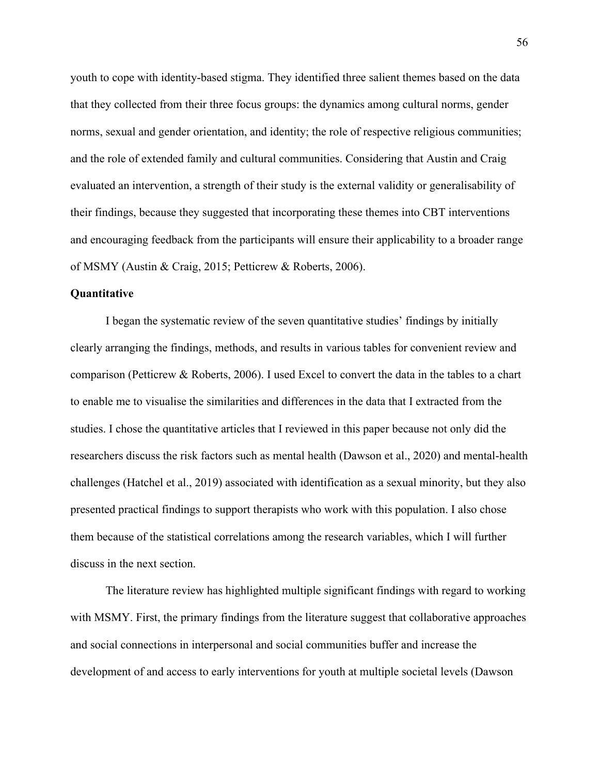youth to cope with identity-based stigma. They identified three salient themes based on the data that they collected from their three focus groups: the dynamics among cultural norms, gender norms, sexual and gender orientation, and identity; the role of respective religious communities; and the role of extended family and cultural communities. Considering that Austin and Craig evaluated an intervention, a strength of their study is the external validity or generalisability of their findings, because they suggested that incorporating these themes into CBT interventions and encouraging feedback from the participants will ensure their applicability to a broader range of MSMY (Austin & Craig, 2015; Petticrew & Roberts, 2006).

### **Quantitative**

I began the systematic review of the seven quantitative studies' findings by initially clearly arranging the findings, methods, and results in various tables for convenient review and comparison (Petticrew & Roberts, 2006). I used Excel to convert the data in the tables to a chart to enable me to visualise the similarities and differences in the data that I extracted from the studies. I chose the quantitative articles that I reviewed in this paper because not only did the researchers discuss the risk factors such as mental health (Dawson et al., 2020) and mental-health challenges (Hatchel et al., 2019) associated with identification as a sexual minority, but they also presented practical findings to support therapists who work with this population. I also chose them because of the statistical correlations among the research variables, which I will further discuss in the next section.

The literature review has highlighted multiple significant findings with regard to working with MSMY. First, the primary findings from the literature suggest that collaborative approaches and social connections in interpersonal and social communities buffer and increase the development of and access to early interventions for youth at multiple societal levels (Dawson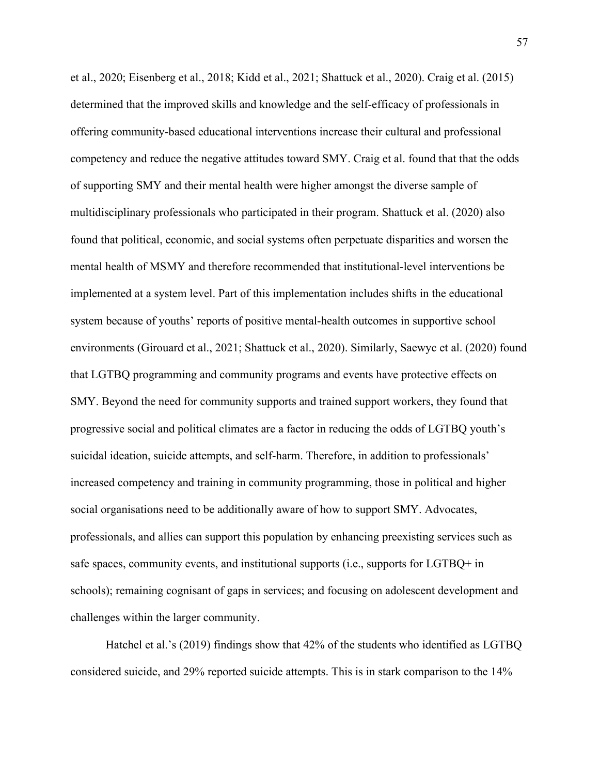et al., 2020; Eisenberg et al., 2018; Kidd et al., 2021; Shattuck et al., 2020). Craig et al. (2015) determined that the improved skills and knowledge and the self-efficacy of professionals in offering community-based educational interventions increase their cultural and professional competency and reduce the negative attitudes toward SMY. Craig et al. found that that the odds of supporting SMY and their mental health were higher amongst the diverse sample of multidisciplinary professionals who participated in their program. Shattuck et al. (2020) also found that political, economic, and social systems often perpetuate disparities and worsen the mental health of MSMY and therefore recommended that institutional-level interventions be implemented at a system level. Part of this implementation includes shifts in the educational system because of youths' reports of positive mental-health outcomes in supportive school environments (Girouard et al., 2021; Shattuck et al., 2020). Similarly, Saewyc et al. (2020) found that LGTBQ programming and community programs and events have protective effects on SMY. Beyond the need for community supports and trained support workers, they found that progressive social and political climates are a factor in reducing the odds of LGTBQ youth's suicidal ideation, suicide attempts, and self-harm. Therefore, in addition to professionals' increased competency and training in community programming, those in political and higher social organisations need to be additionally aware of how to support SMY. Advocates, professionals, and allies can support this population by enhancing preexisting services such as safe spaces, community events, and institutional supports (i.e., supports for LGTBQ+ in schools); remaining cognisant of gaps in services; and focusing on adolescent development and challenges within the larger community.

Hatchel et al.'s (2019) findings show that 42% of the students who identified as LGTBQ considered suicide, and 29% reported suicide attempts. This is in stark comparison to the 14%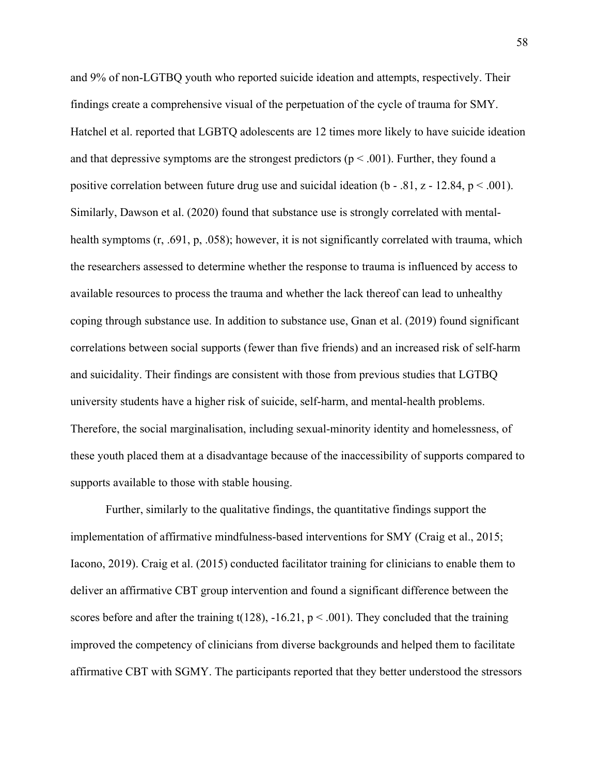and 9% of non-LGTBQ youth who reported suicide ideation and attempts, respectively. Their findings create a comprehensive visual of the perpetuation of the cycle of trauma for SMY. Hatchel et al. reported that LGBTQ adolescents are 12 times more likely to have suicide ideation and that depressive symptoms are the strongest predictors ( $p < .001$ ). Further, they found a positive correlation between future drug use and suicidal ideation ( $b - .81$ ,  $z - 12.84$ ,  $p < .001$ ). Similarly, Dawson et al. (2020) found that substance use is strongly correlated with mentalhealth symptoms (r, .691, p, .058); however, it is not significantly correlated with trauma, which the researchers assessed to determine whether the response to trauma is influenced by access to available resources to process the trauma and whether the lack thereof can lead to unhealthy coping through substance use. In addition to substance use, Gnan et al. (2019) found significant correlations between social supports (fewer than five friends) and an increased risk of self-harm and suicidality. Their findings are consistent with those from previous studies that LGTBQ university students have a higher risk of suicide, self-harm, and mental-health problems. Therefore, the social marginalisation, including sexual-minority identity and homelessness, of these youth placed them at a disadvantage because of the inaccessibility of supports compared to supports available to those with stable housing.

Further, similarly to the qualitative findings, the quantitative findings support the implementation of affirmative mindfulness-based interventions for SMY (Craig et al., 2015; Iacono, 2019). Craig et al. (2015) conducted facilitator training for clinicians to enable them to deliver an affirmative CBT group intervention and found a significant difference between the scores before and after the training  $t(128)$ ,  $-16.21$ ,  $p < .001$ ). They concluded that the training improved the competency of clinicians from diverse backgrounds and helped them to facilitate affirmative CBT with SGMY. The participants reported that they better understood the stressors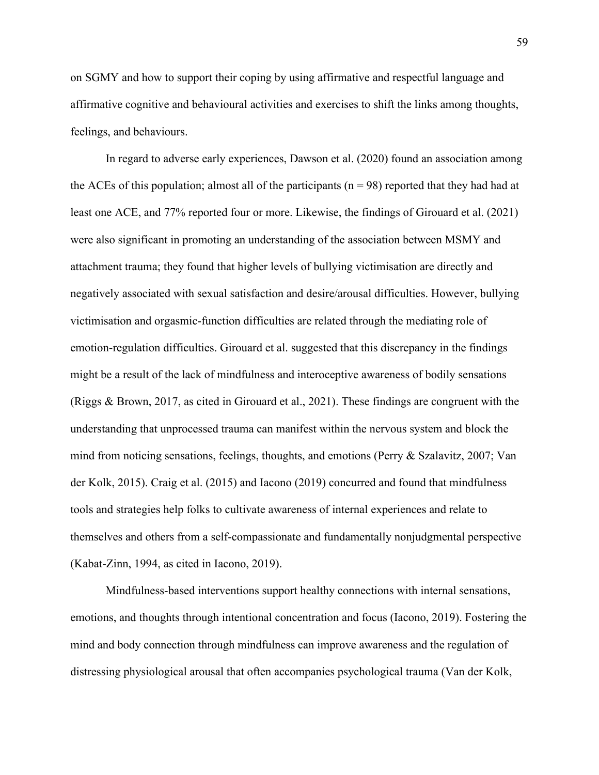on SGMY and how to support their coping by using affirmative and respectful language and affirmative cognitive and behavioural activities and exercises to shift the links among thoughts, feelings, and behaviours.

In regard to adverse early experiences, Dawson et al. (2020) found an association among the ACEs of this population; almost all of the participants ( $n = 98$ ) reported that they had had at least one ACE, and 77% reported four or more. Likewise, the findings of Girouard et al. (2021) were also significant in promoting an understanding of the association between MSMY and attachment trauma; they found that higher levels of bullying victimisation are directly and negatively associated with sexual satisfaction and desire/arousal difficulties. However, bullying victimisation and orgasmic-function difficulties are related through the mediating role of emotion-regulation difficulties. Girouard et al. suggested that this discrepancy in the findings might be a result of the lack of mindfulness and interoceptive awareness of bodily sensations (Riggs & Brown, 2017, as cited in Girouard et al., 2021). These findings are congruent with the understanding that unprocessed trauma can manifest within the nervous system and block the mind from noticing sensations, feelings, thoughts, and emotions (Perry & Szalavitz, 2007; Van der Kolk, 2015). Craig et al. (2015) and Iacono (2019) concurred and found that mindfulness tools and strategies help folks to cultivate awareness of internal experiences and relate to themselves and others from a self-compassionate and fundamentally nonjudgmental perspective (Kabat-Zinn, 1994, as cited in Iacono, 2019).

Mindfulness-based interventions support healthy connections with internal sensations, emotions, and thoughts through intentional concentration and focus (Iacono, 2019). Fostering the mind and body connection through mindfulness can improve awareness and the regulation of distressing physiological arousal that often accompanies psychological trauma (Van der Kolk,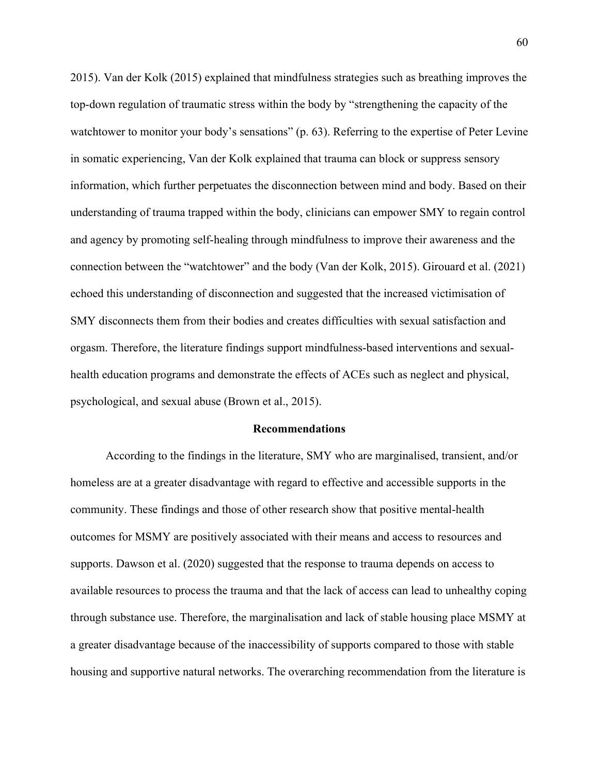2015). Van der Kolk (2015) explained that mindfulness strategies such as breathing improves the top-down regulation of traumatic stress within the body by "strengthening the capacity of the watchtower to monitor your body's sensations" (p. 63). Referring to the expertise of Peter Levine in somatic experiencing, Van der Kolk explained that trauma can block or suppress sensory information, which further perpetuates the disconnection between mind and body. Based on their understanding of trauma trapped within the body, clinicians can empower SMY to regain control and agency by promoting self-healing through mindfulness to improve their awareness and the connection between the "watchtower" and the body (Van der Kolk, 2015). Girouard et al. (2021) echoed this understanding of disconnection and suggested that the increased victimisation of SMY disconnects them from their bodies and creates difficulties with sexual satisfaction and orgasm. Therefore, the literature findings support mindfulness-based interventions and sexualhealth education programs and demonstrate the effects of ACEs such as neglect and physical, psychological, and sexual abuse (Brown et al., 2015).

#### **Recommendations**

According to the findings in the literature, SMY who are marginalised, transient, and/or homeless are at a greater disadvantage with regard to effective and accessible supports in the community. These findings and those of other research show that positive mental-health outcomes for MSMY are positively associated with their means and access to resources and supports. Dawson et al. (2020) suggested that the response to trauma depends on access to available resources to process the trauma and that the lack of access can lead to unhealthy coping through substance use. Therefore, the marginalisation and lack of stable housing place MSMY at a greater disadvantage because of the inaccessibility of supports compared to those with stable housing and supportive natural networks. The overarching recommendation from the literature is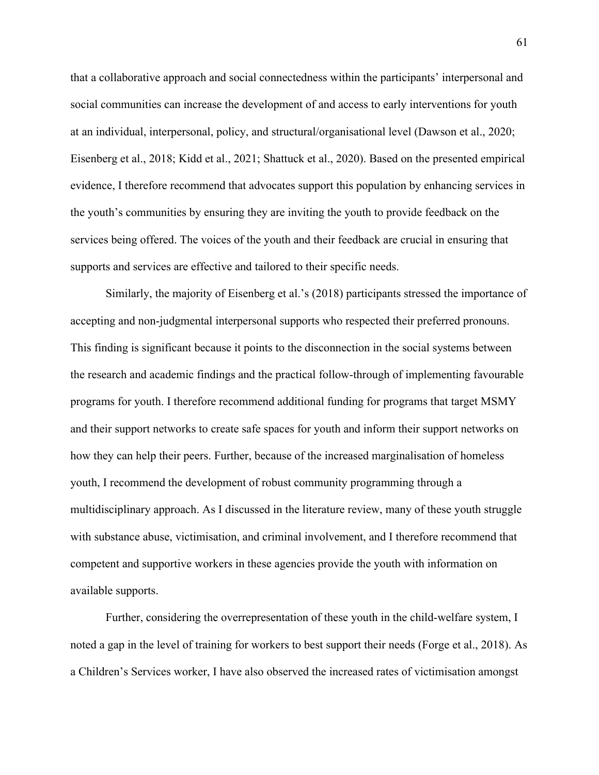that a collaborative approach and social connectedness within the participants' interpersonal and social communities can increase the development of and access to early interventions for youth at an individual, interpersonal, policy, and structural/organisational level (Dawson et al., 2020; Eisenberg et al., 2018; Kidd et al., 2021; Shattuck et al., 2020). Based on the presented empirical evidence, I therefore recommend that advocates support this population by enhancing services in the youth's communities by ensuring they are inviting the youth to provide feedback on the services being offered. The voices of the youth and their feedback are crucial in ensuring that supports and services are effective and tailored to their specific needs.

Similarly, the majority of Eisenberg et al.'s (2018) participants stressed the importance of accepting and non-judgmental interpersonal supports who respected their preferred pronouns. This finding is significant because it points to the disconnection in the social systems between the research and academic findings and the practical follow-through of implementing favourable programs for youth. I therefore recommend additional funding for programs that target MSMY and their support networks to create safe spaces for youth and inform their support networks on how they can help their peers. Further, because of the increased marginalisation of homeless youth, I recommend the development of robust community programming through a multidisciplinary approach. As I discussed in the literature review, many of these youth struggle with substance abuse, victimisation, and criminal involvement, and I therefore recommend that competent and supportive workers in these agencies provide the youth with information on available supports.

Further, considering the overrepresentation of these youth in the child-welfare system, I noted a gap in the level of training for workers to best support their needs (Forge et al., 2018). As a Children's Services worker, I have also observed the increased rates of victimisation amongst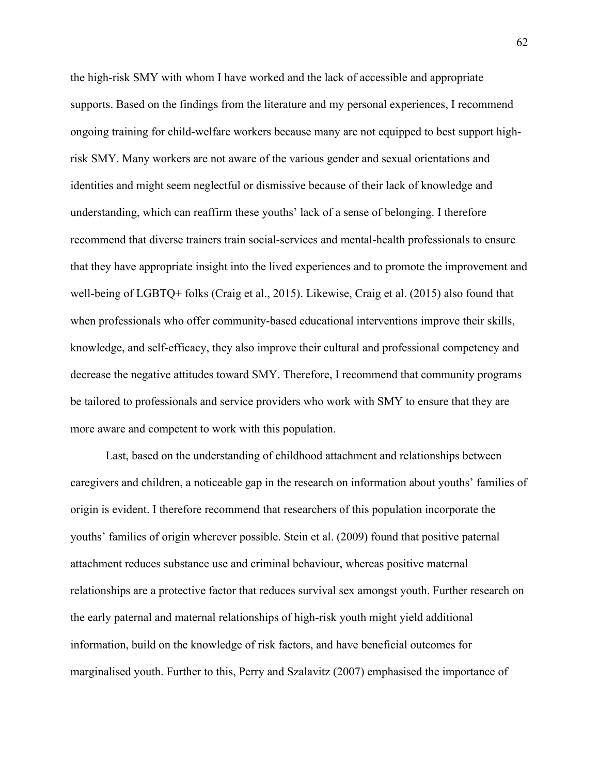the high-risk SMY with whom I have worked and the lack of accessible and appropriate supports. Based on the findings from the literature and my personal experiences, I recommend ongoing training for child-welfare workers because many are not equipped to best support highrisk SMY. Many workers are not aware of the various gender and sexual orientations and identities and might seem neglectful or dismissive because of their lack of knowledge and understanding, which can reaffirm these youths' lack of a sense of belonging. I therefore recommend that diverse trainers train social-services and mental-health professionals to ensure that they have appropriate insight into the lived experiences and to promote the improvement and well-being of LGBTQ+ folks (Craig et al., 2015). Likewise, Craig et al. (2015) also found that when professionals who offer community-based educational interventions improve their skills, knowledge, and self-efficacy, they also improve their cultural and professional competency and decrease the negative attitudes toward SMY. Therefore, I recommend that community programs be tailored to professionals and service providers who work with SMY to ensure that they are more aware and competent to work with this population.

Last, based on the understanding of childhood attachment and relationships between caregivers and children, a noticeable gap in the research on information about youths' families of origin is evident. I therefore recommend that researchers of this population incorporate the youths' families of origin wherever possible. Stein et al. (2009) found that positive paternal attachment reduces substance use and criminal behaviour, whereas positive maternal relationships are a protective factor that reduces survival sex amongst youth. Further research on the early paternal and maternal relationships of high-risk youth might yield additional information, build on the knowledge of risk factors, and have beneficial outcomes for marginalised youth. Further to this, Perry and Szalavitz (2007) emphasised the importance of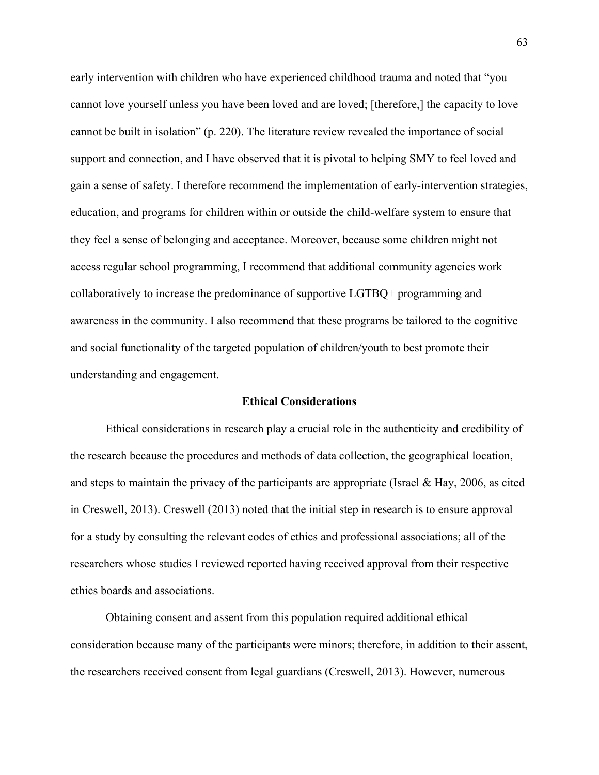early intervention with children who have experienced childhood trauma and noted that "you cannot love yourself unless you have been loved and are loved; [therefore,] the capacity to love cannot be built in isolation" (p. 220). The literature review revealed the importance of social support and connection, and I have observed that it is pivotal to helping SMY to feel loved and gain a sense of safety. I therefore recommend the implementation of early-intervention strategies, education, and programs for children within or outside the child-welfare system to ensure that they feel a sense of belonging and acceptance. Moreover, because some children might not access regular school programming, I recommend that additional community agencies work collaboratively to increase the predominance of supportive LGTBQ+ programming and awareness in the community. I also recommend that these programs be tailored to the cognitive and social functionality of the targeted population of children/youth to best promote their understanding and engagement.

# **Ethical Considerations**

Ethical considerations in research play a crucial role in the authenticity and credibility of the research because the procedures and methods of data collection, the geographical location, and steps to maintain the privacy of the participants are appropriate (Israel & Hay, 2006, as cited in Creswell, 2013). Creswell (2013) noted that the initial step in research is to ensure approval for a study by consulting the relevant codes of ethics and professional associations; all of the researchers whose studies I reviewed reported having received approval from their respective ethics boards and associations.

Obtaining consent and assent from this population required additional ethical consideration because many of the participants were minors; therefore, in addition to their assent, the researchers received consent from legal guardians (Creswell, 2013). However, numerous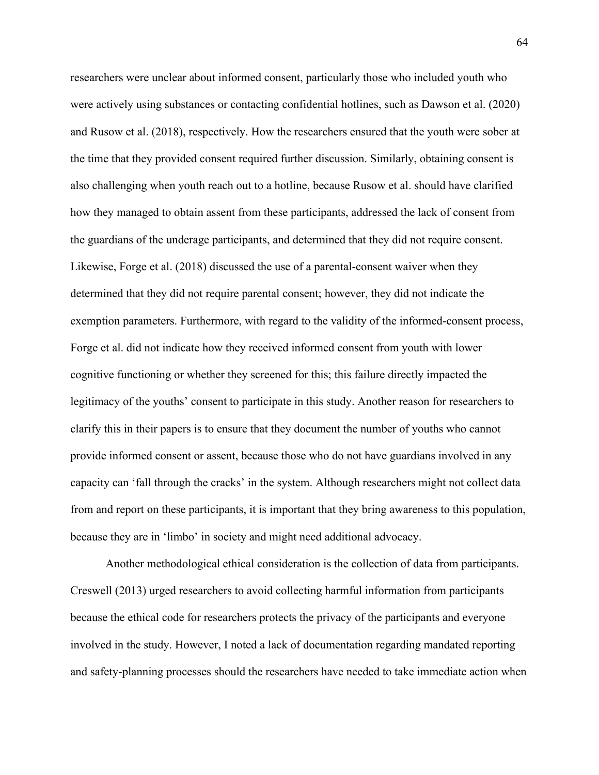researchers were unclear about informed consent, particularly those who included youth who were actively using substances or contacting confidential hotlines, such as Dawson et al. (2020) and Rusow et al. (2018), respectively. How the researchers ensured that the youth were sober at the time that they provided consent required further discussion. Similarly, obtaining consent is also challenging when youth reach out to a hotline, because Rusow et al. should have clarified how they managed to obtain assent from these participants, addressed the lack of consent from the guardians of the underage participants, and determined that they did not require consent. Likewise, Forge et al. (2018) discussed the use of a parental-consent waiver when they determined that they did not require parental consent; however, they did not indicate the exemption parameters. Furthermore, with regard to the validity of the informed-consent process, Forge et al. did not indicate how they received informed consent from youth with lower cognitive functioning or whether they screened for this; this failure directly impacted the legitimacy of the youths' consent to participate in this study. Another reason for researchers to clarify this in their papers is to ensure that they document the number of youths who cannot provide informed consent or assent, because those who do not have guardians involved in any capacity can 'fall through the cracks' in the system. Although researchers might not collect data from and report on these participants, it is important that they bring awareness to this population, because they are in 'limbo' in society and might need additional advocacy.

Another methodological ethical consideration is the collection of data from participants. Creswell (2013) urged researchers to avoid collecting harmful information from participants because the ethical code for researchers protects the privacy of the participants and everyone involved in the study. However, I noted a lack of documentation regarding mandated reporting and safety-planning processes should the researchers have needed to take immediate action when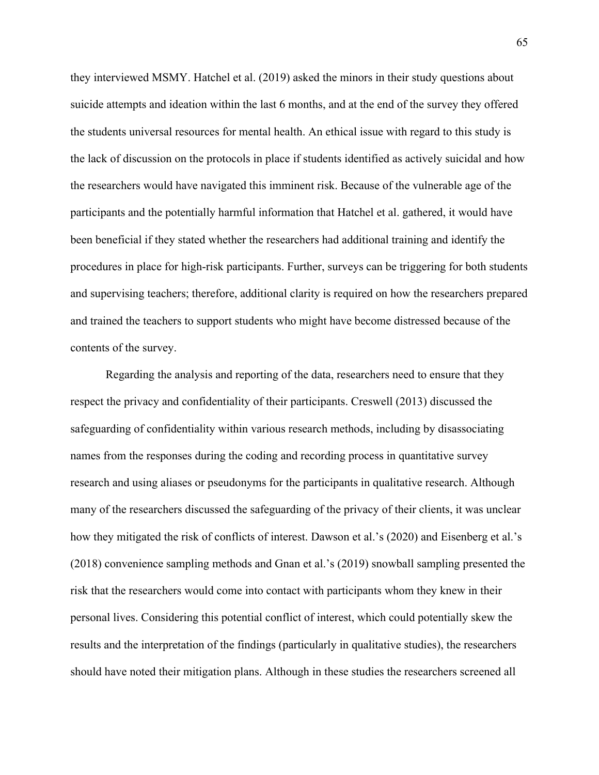they interviewed MSMY. Hatchel et al. (2019) asked the minors in their study questions about suicide attempts and ideation within the last 6 months, and at the end of the survey they offered the students universal resources for mental health. An ethical issue with regard to this study is the lack of discussion on the protocols in place if students identified as actively suicidal and how the researchers would have navigated this imminent risk. Because of the vulnerable age of the participants and the potentially harmful information that Hatchel et al. gathered, it would have been beneficial if they stated whether the researchers had additional training and identify the procedures in place for high-risk participants. Further, surveys can be triggering for both students and supervising teachers; therefore, additional clarity is required on how the researchers prepared and trained the teachers to support students who might have become distressed because of the contents of the survey.

Regarding the analysis and reporting of the data, researchers need to ensure that they respect the privacy and confidentiality of their participants. Creswell (2013) discussed the safeguarding of confidentiality within various research methods, including by disassociating names from the responses during the coding and recording process in quantitative survey research and using aliases or pseudonyms for the participants in qualitative research. Although many of the researchers discussed the safeguarding of the privacy of their clients, it was unclear how they mitigated the risk of conflicts of interest. Dawson et al.'s (2020) and Eisenberg et al.'s (2018) convenience sampling methods and Gnan et al.'s (2019) snowball sampling presented the risk that the researchers would come into contact with participants whom they knew in their personal lives. Considering this potential conflict of interest, which could potentially skew the results and the interpretation of the findings (particularly in qualitative studies), the researchers should have noted their mitigation plans. Although in these studies the researchers screened all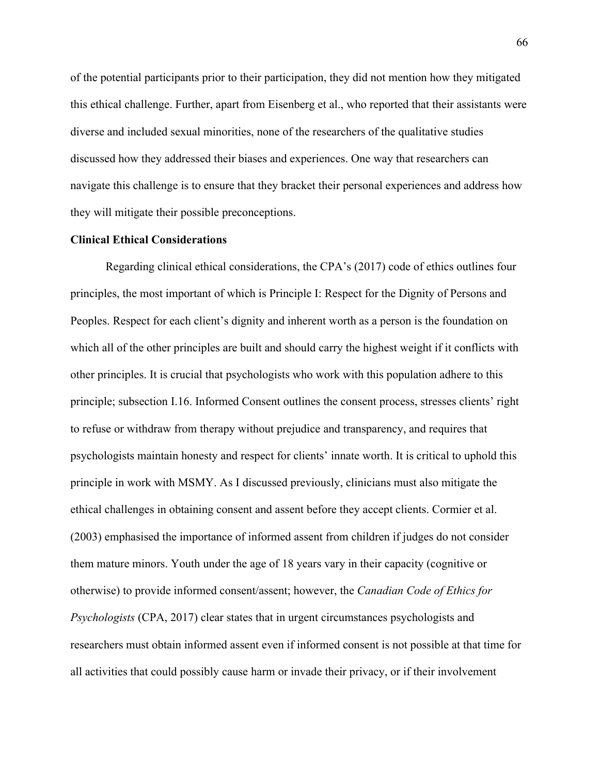of the potential participants prior to their participation, they did not mention how they mitigated this ethical challenge. Further, apart from Eisenberg et al., who reported that their assistants were diverse and included sexual minorities, none of the researchers of the qualitative studies discussed how they addressed their biases and experiences. One way that researchers can navigate this challenge is to ensure that they bracket their personal experiences and address how they will mitigate their possible preconceptions.

# **Clinical Ethical Considerations**

Regarding clinical ethical considerations, the CPA's (2017) code of ethics outlines four principles, the most important of which is Principle I: Respect for the Dignity of Persons and Peoples. Respect for each client's dignity and inherent worth as a person is the foundation on which all of the other principles are built and should carry the highest weight if it conflicts with other principles. It is crucial that psychologists who work with this population adhere to this principle; subsection I.16. Informed Consent outlines the consent process, stresses clients' right to refuse or withdraw from therapy without prejudice and transparency, and requires that psychologists maintain honesty and respect for clients' innate worth. It is critical to uphold this principle in work with MSMY. As I discussed previously, clinicians must also mitigate the ethical challenges in obtaining consent and assent before they accept clients. Cormier et al. (2003) emphasised the importance of informed assent from children if judges do not consider them mature minors. Youth under the age of 18 years vary in their capacity (cognitive or otherwise) to provide informed consent/assent; however, the *Canadian Code of Ethics for Psychologists* (CPA, 2017) clear states that in urgent circumstances psychologists and researchers must obtain informed assent even if informed consent is not possible at that time for all activities that could possibly cause harm or invade their privacy, or if their involvement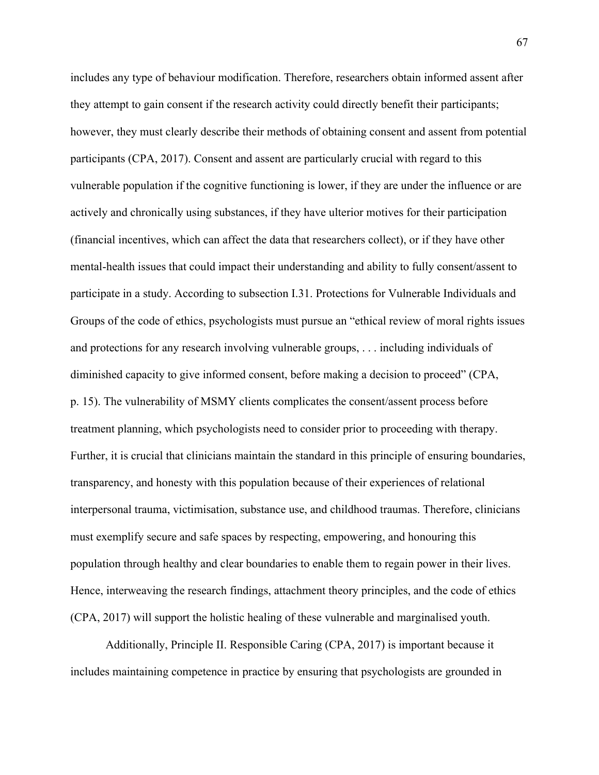includes any type of behaviour modification. Therefore, researchers obtain informed assent after they attempt to gain consent if the research activity could directly benefit their participants; however, they must clearly describe their methods of obtaining consent and assent from potential participants (CPA, 2017). Consent and assent are particularly crucial with regard to this vulnerable population if the cognitive functioning is lower, if they are under the influence or are actively and chronically using substances, if they have ulterior motives for their participation (financial incentives, which can affect the data that researchers collect), or if they have other mental-health issues that could impact their understanding and ability to fully consent/assent to participate in a study. According to subsection I.31. Protections for Vulnerable Individuals and Groups of the code of ethics, psychologists must pursue an "ethical review of moral rights issues and protections for any research involving vulnerable groups, . . . including individuals of diminished capacity to give informed consent, before making a decision to proceed" (CPA, p. 15). The vulnerability of MSMY clients complicates the consent/assent process before treatment planning, which psychologists need to consider prior to proceeding with therapy. Further, it is crucial that clinicians maintain the standard in this principle of ensuring boundaries, transparency, and honesty with this population because of their experiences of relational interpersonal trauma, victimisation, substance use, and childhood traumas. Therefore, clinicians must exemplify secure and safe spaces by respecting, empowering, and honouring this population through healthy and clear boundaries to enable them to regain power in their lives. Hence, interweaving the research findings, attachment theory principles, and the code of ethics (CPA, 2017) will support the holistic healing of these vulnerable and marginalised youth.

Additionally, Principle II. Responsible Caring (CPA, 2017) is important because it includes maintaining competence in practice by ensuring that psychologists are grounded in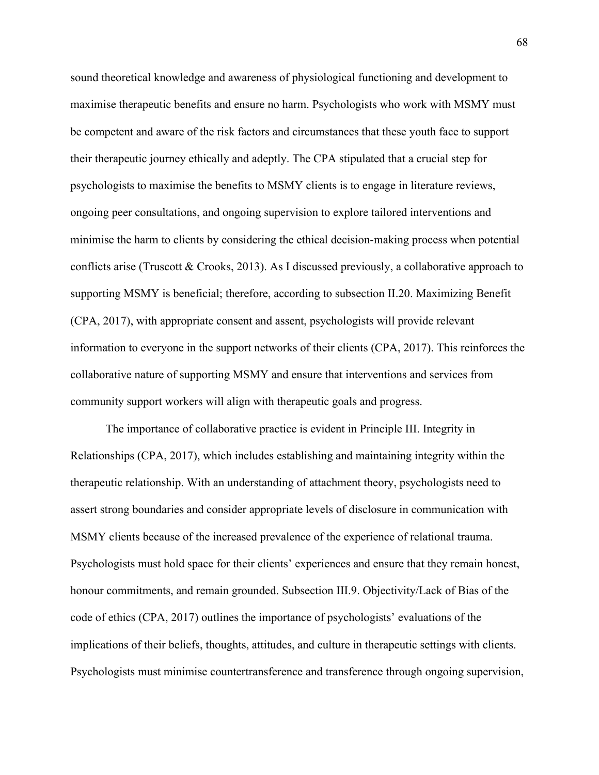sound theoretical knowledge and awareness of physiological functioning and development to maximise therapeutic benefits and ensure no harm. Psychologists who work with MSMY must be competent and aware of the risk factors and circumstances that these youth face to support their therapeutic journey ethically and adeptly. The CPA stipulated that a crucial step for psychologists to maximise the benefits to MSMY clients is to engage in literature reviews, ongoing peer consultations, and ongoing supervision to explore tailored interventions and minimise the harm to clients by considering the ethical decision-making process when potential conflicts arise (Truscott & Crooks, 2013). As I discussed previously, a collaborative approach to supporting MSMY is beneficial; therefore, according to subsection II.20. Maximizing Benefit (CPA, 2017), with appropriate consent and assent, psychologists will provide relevant information to everyone in the support networks of their clients (CPA, 2017). This reinforces the collaborative nature of supporting MSMY and ensure that interventions and services from community support workers will align with therapeutic goals and progress.

The importance of collaborative practice is evident in Principle III. Integrity in Relationships (CPA, 2017), which includes establishing and maintaining integrity within the therapeutic relationship. With an understanding of attachment theory, psychologists need to assert strong boundaries and consider appropriate levels of disclosure in communication with MSMY clients because of the increased prevalence of the experience of relational trauma. Psychologists must hold space for their clients' experiences and ensure that they remain honest, honour commitments, and remain grounded. Subsection III.9. Objectivity/Lack of Bias of the code of ethics (CPA, 2017) outlines the importance of psychologists' evaluations of the implications of their beliefs, thoughts, attitudes, and culture in therapeutic settings with clients. Psychologists must minimise countertransference and transference through ongoing supervision,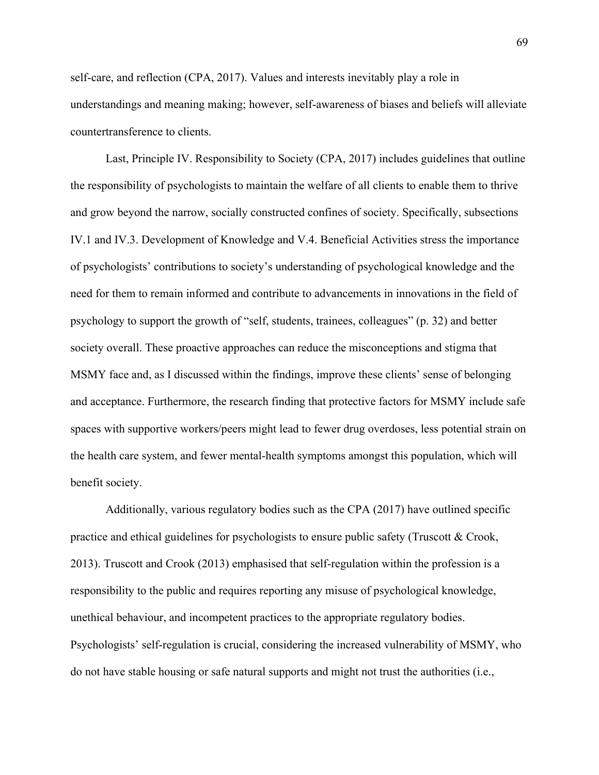self-care, and reflection (CPA, 2017). Values and interests inevitably play a role in understandings and meaning making; however, self-awareness of biases and beliefs will alleviate countertransference to clients.

Last, Principle IV. Responsibility to Society (CPA, 2017) includes guidelines that outline the responsibility of psychologists to maintain the welfare of all clients to enable them to thrive and grow beyond the narrow, socially constructed confines of society. Specifically, subsections IV.1 and IV.3. Development of Knowledge and V.4. Beneficial Activities stress the importance of psychologists' contributions to society's understanding of psychological knowledge and the need for them to remain informed and contribute to advancements in innovations in the field of psychology to support the growth of "self, students, trainees, colleagues" (p. 32) and better society overall. These proactive approaches can reduce the misconceptions and stigma that MSMY face and, as I discussed within the findings, improve these clients' sense of belonging and acceptance. Furthermore, the research finding that protective factors for MSMY include safe spaces with supportive workers/peers might lead to fewer drug overdoses, less potential strain on the health care system, and fewer mental-health symptoms amongst this population, which will benefit society.

Additionally, various regulatory bodies such as the CPA (2017) have outlined specific practice and ethical guidelines for psychologists to ensure public safety (Truscott & Crook, 2013). Truscott and Crook (2013) emphasised that self-regulation within the profession is a responsibility to the public and requires reporting any misuse of psychological knowledge, unethical behaviour, and incompetent practices to the appropriate regulatory bodies. Psychologists' self-regulation is crucial, considering the increased vulnerability of MSMY, who do not have stable housing or safe natural supports and might not trust the authorities (i.e.,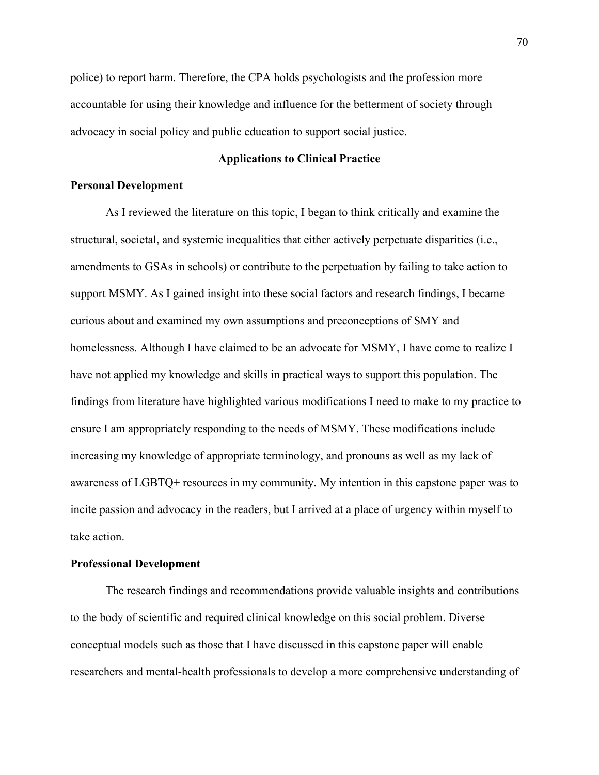police) to report harm. Therefore, the CPA holds psychologists and the profession more accountable for using their knowledge and influence for the betterment of society through advocacy in social policy and public education to support social justice.

# **Applications to Clinical Practice**

# **Personal Development**

As I reviewed the literature on this topic, I began to think critically and examine the structural, societal, and systemic inequalities that either actively perpetuate disparities (i.e., amendments to GSAs in schools) or contribute to the perpetuation by failing to take action to support MSMY. As I gained insight into these social factors and research findings, I became curious about and examined my own assumptions and preconceptions of SMY and homelessness. Although I have claimed to be an advocate for MSMY, I have come to realize I have not applied my knowledge and skills in practical ways to support this population. The findings from literature have highlighted various modifications I need to make to my practice to ensure I am appropriately responding to the needs of MSMY. These modifications include increasing my knowledge of appropriate terminology, and pronouns as well as my lack of awareness of LGBTQ+ resources in my community. My intention in this capstone paper was to incite passion and advocacy in the readers, but I arrived at a place of urgency within myself to take action.

### **Professional Development**

The research findings and recommendations provide valuable insights and contributions to the body of scientific and required clinical knowledge on this social problem. Diverse conceptual models such as those that I have discussed in this capstone paper will enable researchers and mental-health professionals to develop a more comprehensive understanding of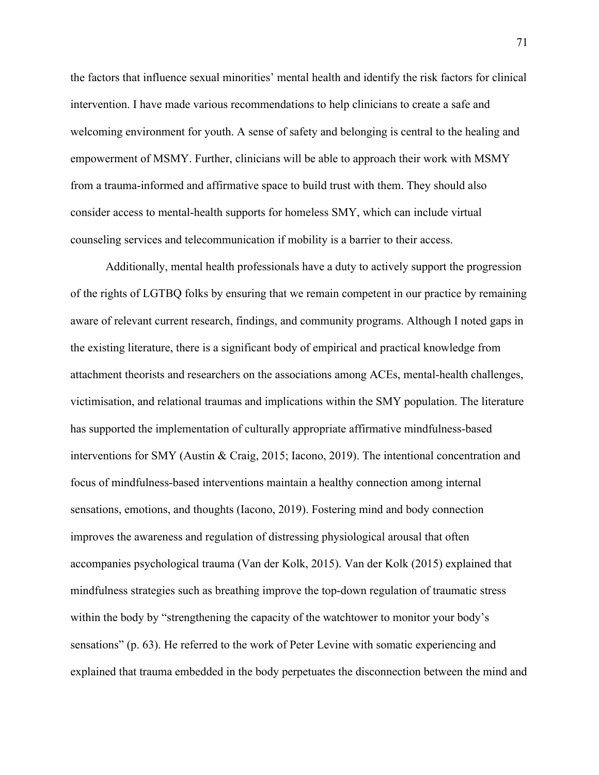the factors that influence sexual minorities' mental health and identify the risk factors for clinical intervention. I have made various recommendations to help clinicians to create a safe and welcoming environment for youth. A sense of safety and belonging is central to the healing and empowerment of MSMY. Further, clinicians will be able to approach their work with MSMY from a trauma-informed and affirmative space to build trust with them. They should also consider access to mental-health supports for homeless SMY, which can include virtual counseling services and telecommunication if mobility is a barrier to their access.

Additionally, mental health professionals have a duty to actively support the progression of the rights of LGTBQ folks by ensuring that we remain competent in our practice by remaining aware of relevant current research, findings, and community programs. Although I noted gaps in the existing literature, there is a significant body of empirical and practical knowledge from attachment theorists and researchers on the associations among ACEs, mental-health challenges, victimisation, and relational traumas and implications within the SMY population. The literature has supported the implementation of culturally appropriate affirmative mindfulness-based interventions for SMY (Austin & Craig, 2015; Iacono, 2019). The intentional concentration and focus of mindfulness-based interventions maintain a healthy connection among internal sensations, emotions, and thoughts (Iacono, 2019). Fostering mind and body connection improves the awareness and regulation of distressing physiological arousal that often accompanies psychological trauma (Van der Kolk, 2015). Van der Kolk (2015) explained that mindfulness strategies such as breathing improve the top-down regulation of traumatic stress within the body by "strengthening the capacity of the watchtower to monitor your body's sensations" (p. 63). He referred to the work of Peter Levine with somatic experiencing and explained that trauma embedded in the body perpetuates the disconnection between the mind and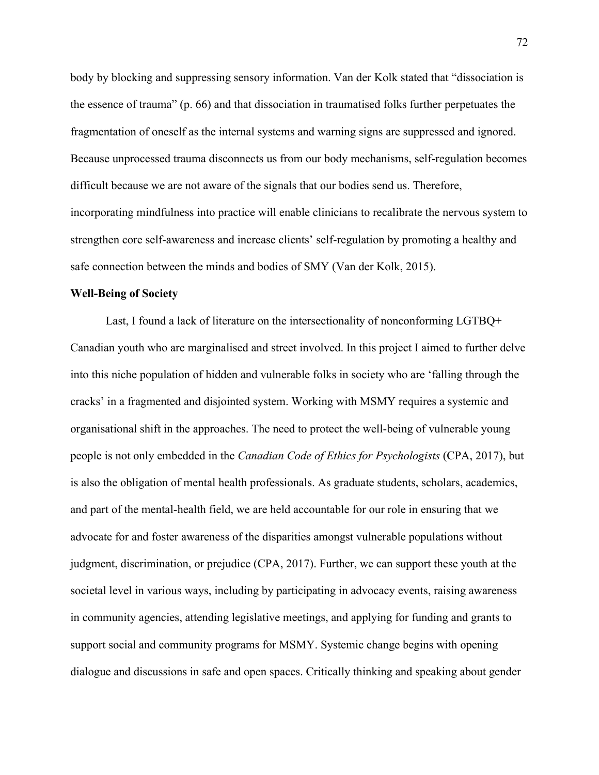body by blocking and suppressing sensory information. Van der Kolk stated that "dissociation is the essence of trauma" (p. 66) and that dissociation in traumatised folks further perpetuates the fragmentation of oneself as the internal systems and warning signs are suppressed and ignored. Because unprocessed trauma disconnects us from our body mechanisms, self-regulation becomes difficult because we are not aware of the signals that our bodies send us. Therefore, incorporating mindfulness into practice will enable clinicians to recalibrate the nervous system to strengthen core self-awareness and increase clients' self-regulation by promoting a healthy and safe connection between the minds and bodies of SMY (Van der Kolk, 2015).

### **Well-Being of Society**

Last, I found a lack of literature on the intersectionality of nonconforming LGTBQ+ Canadian youth who are marginalised and street involved. In this project I aimed to further delve into this niche population of hidden and vulnerable folks in society who are 'falling through the cracks' in a fragmented and disjointed system. Working with MSMY requires a systemic and organisational shift in the approaches. The need to protect the well-being of vulnerable young people is not only embedded in the *Canadian Code of Ethics for Psychologists* (CPA, 2017), but is also the obligation of mental health professionals. As graduate students, scholars, academics, and part of the mental-health field, we are held accountable for our role in ensuring that we advocate for and foster awareness of the disparities amongst vulnerable populations without judgment, discrimination, or prejudice (CPA, 2017). Further, we can support these youth at the societal level in various ways, including by participating in advocacy events, raising awareness in community agencies, attending legislative meetings, and applying for funding and grants to support social and community programs for MSMY. Systemic change begins with opening dialogue and discussions in safe and open spaces. Critically thinking and speaking about gender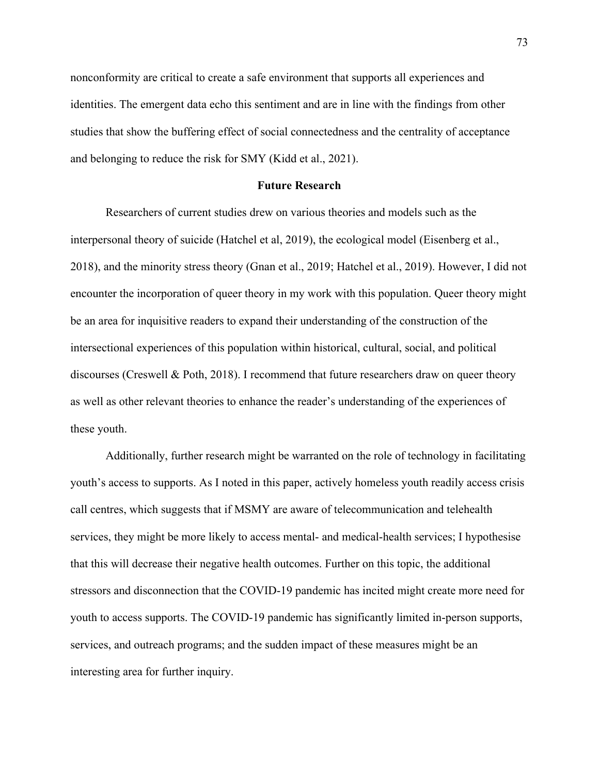nonconformity are critical to create a safe environment that supports all experiences and identities. The emergent data echo this sentiment and are in line with the findings from other studies that show the buffering effect of social connectedness and the centrality of acceptance and belonging to reduce the risk for SMY (Kidd et al., 2021).

## **Future Research**

Researchers of current studies drew on various theories and models such as the interpersonal theory of suicide (Hatchel et al, 2019), the ecological model (Eisenberg et al., 2018), and the minority stress theory (Gnan et al., 2019; Hatchel et al., 2019). However, I did not encounter the incorporation of queer theory in my work with this population. Queer theory might be an area for inquisitive readers to expand their understanding of the construction of the intersectional experiences of this population within historical, cultural, social, and political discourses (Creswell & Poth, 2018). I recommend that future researchers draw on queer theory as well as other relevant theories to enhance the reader's understanding of the experiences of these youth.

Additionally, further research might be warranted on the role of technology in facilitating youth's access to supports. As I noted in this paper, actively homeless youth readily access crisis call centres, which suggests that if MSMY are aware of telecommunication and telehealth services, they might be more likely to access mental- and medical-health services; I hypothesise that this will decrease their negative health outcomes. Further on this topic, the additional stressors and disconnection that the COVID-19 pandemic has incited might create more need for youth to access supports. The COVID-19 pandemic has significantly limited in-person supports, services, and outreach programs; and the sudden impact of these measures might be an interesting area for further inquiry.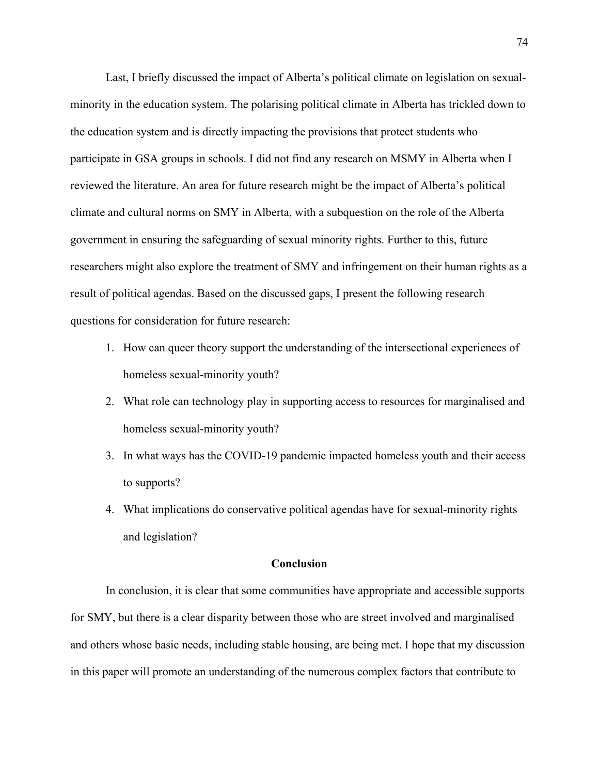Last, I briefly discussed the impact of Alberta's political climate on legislation on sexualminority in the education system. The polarising political climate in Alberta has trickled down to the education system and is directly impacting the provisions that protect students who participate in GSA groups in schools. I did not find any research on MSMY in Alberta when I reviewed the literature. An area for future research might be the impact of Alberta's political climate and cultural norms on SMY in Alberta, with a subquestion on the role of the Alberta government in ensuring the safeguarding of sexual minority rights. Further to this, future researchers might also explore the treatment of SMY and infringement on their human rights as a result of political agendas. Based on the discussed gaps, I present the following research questions for consideration for future research:

- 1. How can queer theory support the understanding of the intersectional experiences of homeless sexual-minority youth?
- 2. What role can technology play in supporting access to resources for marginalised and homeless sexual-minority youth?
- 3. In what ways has the COVID-19 pandemic impacted homeless youth and their access to supports?
- 4. What implications do conservative political agendas have for sexual-minority rights and legislation?

## **Conclusion**

In conclusion, it is clear that some communities have appropriate and accessible supports for SMY, but there is a clear disparity between those who are street involved and marginalised and others whose basic needs, including stable housing, are being met. I hope that my discussion in this paper will promote an understanding of the numerous complex factors that contribute to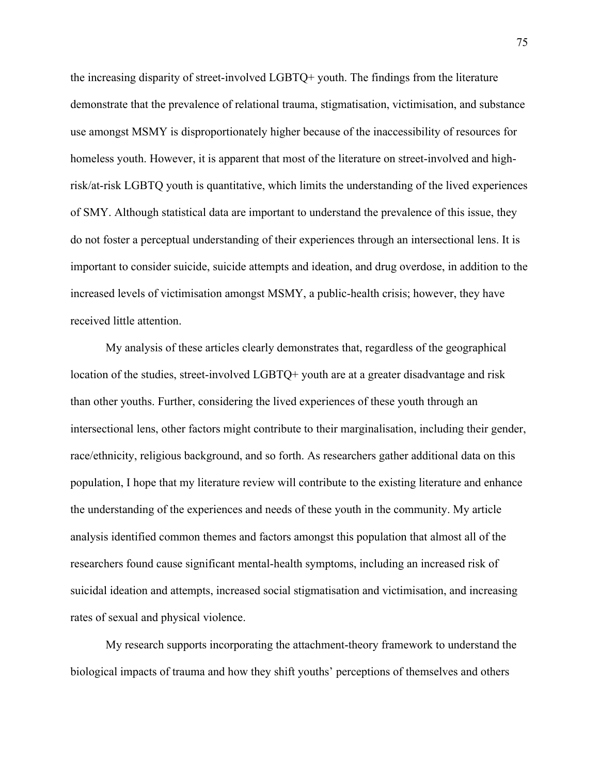the increasing disparity of street-involved LGBTQ+ youth. The findings from the literature demonstrate that the prevalence of relational trauma, stigmatisation, victimisation, and substance use amongst MSMY is disproportionately higher because of the inaccessibility of resources for homeless youth. However, it is apparent that most of the literature on street-involved and highrisk/at-risk LGBTQ youth is quantitative, which limits the understanding of the lived experiences of SMY. Although statistical data are important to understand the prevalence of this issue, they do not foster a perceptual understanding of their experiences through an intersectional lens. It is important to consider suicide, suicide attempts and ideation, and drug overdose, in addition to the increased levels of victimisation amongst MSMY, a public-health crisis; however, they have received little attention.

My analysis of these articles clearly demonstrates that, regardless of the geographical location of the studies, street-involved LGBTQ+ youth are at a greater disadvantage and risk than other youths. Further, considering the lived experiences of these youth through an intersectional lens, other factors might contribute to their marginalisation, including their gender, race/ethnicity, religious background, and so forth. As researchers gather additional data on this population, I hope that my literature review will contribute to the existing literature and enhance the understanding of the experiences and needs of these youth in the community. My article analysis identified common themes and factors amongst this population that almost all of the researchers found cause significant mental-health symptoms, including an increased risk of suicidal ideation and attempts, increased social stigmatisation and victimisation, and increasing rates of sexual and physical violence.

My research supports incorporating the attachment-theory framework to understand the biological impacts of trauma and how they shift youths' perceptions of themselves and others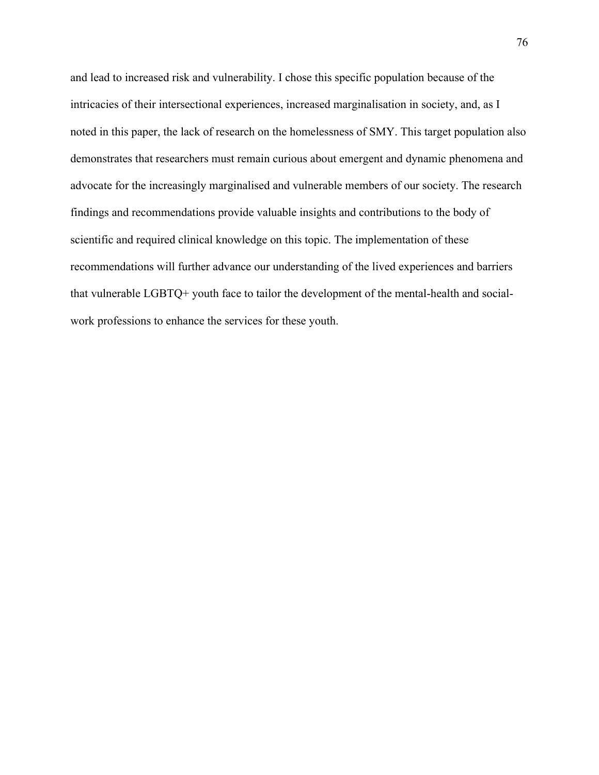and lead to increased risk and vulnerability. I chose this specific population because of the intricacies of their intersectional experiences, increased marginalisation in society, and, as I noted in this paper, the lack of research on the homelessness of SMY. This target population also demonstrates that researchers must remain curious about emergent and dynamic phenomena and advocate for the increasingly marginalised and vulnerable members of our society. The research findings and recommendations provide valuable insights and contributions to the body of scientific and required clinical knowledge on this topic. The implementation of these recommendations will further advance our understanding of the lived experiences and barriers that vulnerable LGBTQ+ youth face to tailor the development of the mental-health and socialwork professions to enhance the services for these youth.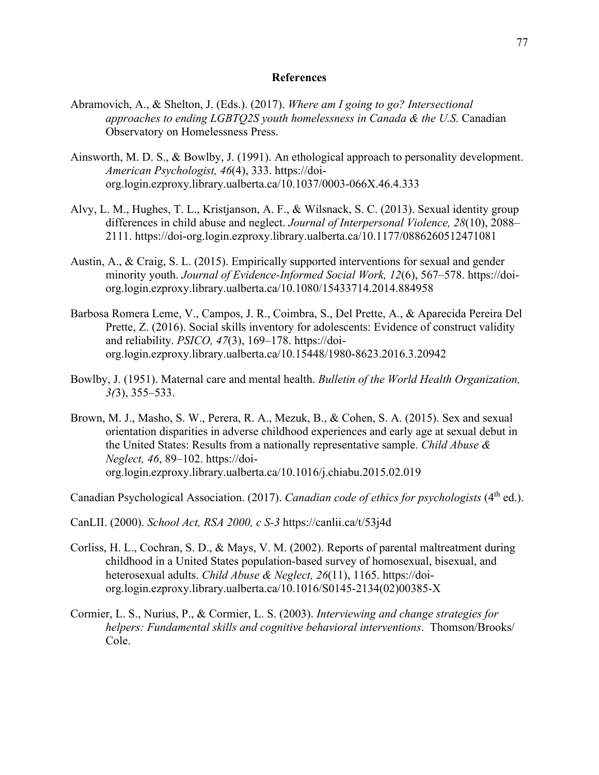## **References**

- Abramovich, A., & Shelton, J. (Eds.). (2017). *Where am I going to go? Intersectional approaches to ending LGBTQ2S youth homelessness in Canada & the U.S.* Canadian Observatory on Homelessness Press.
- Ainsworth, M. D. S., & Bowlby, J. (1991). An ethological approach to personality development. *American Psychologist, 46*(4), 333. https://doiorg.login.ezproxy.library.ualberta.ca/10.1037/0003-066X.46.4.333
- Alvy, L. M., Hughes, T. L., Kristjanson, A. F., & Wilsnack, S. C. (2013). Sexual identity group differences in child abuse and neglect. *Journal of Interpersonal Violence, 28*(10), 2088– 2111. https://doi-org.login.ezproxy.library.ualberta.ca/10.1177/0886260512471081
- Austin, A., & Craig, S. L. (2015). Empirically supported interventions for sexual and gender minority youth. *Journal of Evidence-Informed Social Work, 12*(6), 567–578. https://doiorg.login.ezproxy.library.ualberta.ca/10.1080/15433714.2014.884958
- Barbosa Romera Leme, V., Campos, J. R., Coimbra, S., Del Prette, A., & Aparecida Pereira Del Prette, Z. (2016). Social skills inventory for adolescents: Evidence of construct validity and reliability. *PSICO, 47*(3), 169–178. https://doiorg.login.ezproxy.library.ualberta.ca/10.15448/1980-8623.2016.3.20942
- Bowlby, J. (1951). Maternal care and mental health. *Bulletin of the World Health Organization, 3(*3), 355–533.
- Brown, M. J., Masho, S. W., Perera, R. A., Mezuk, B., & Cohen, S. A. (2015). Sex and sexual orientation disparities in adverse childhood experiences and early age at sexual debut in the United States: Results from a nationally representative sample. *Child Abuse & Neglect, 46*, 89–102. https://doiorg.login.ezproxy.library.ualberta.ca/10.1016/j.chiabu.2015.02.019

Canadian Psychological Association. (2017). *Canadian code of ethics for psychologists* (4<sup>th</sup> ed.).

CanLII. (2000). *School Act, RSA 2000, c S-3* https://canlii.ca/t/53j4d

- Corliss, H. L., Cochran, S. D., & Mays, V. M. (2002). Reports of parental maltreatment during childhood in a United States population-based survey of homosexual, bisexual, and heterosexual adults. *Child Abuse & Neglect, 26*(11), 1165. https://doiorg.login.ezproxy.library.ualberta.ca/10.1016/S0145-2134(02)00385-X
- Cormier, L. S., Nurius, P., & Cormier, L. S. (2003). *Interviewing and change strategies for helpers: Fundamental skills and cognitive behavioral interventions*. Thomson/Brooks/ Cole.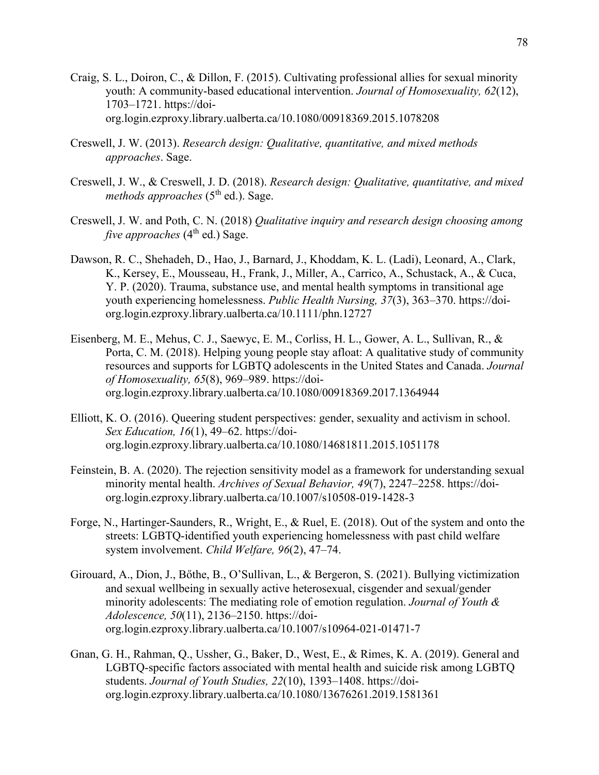- Craig, S. L., Doiron, C., & Dillon, F. (2015). Cultivating professional allies for sexual minority youth: A community-based educational intervention. *Journal of Homosexuality, 62*(12), 1703–1721. https://doiorg.login.ezproxy.library.ualberta.ca/10.1080/00918369.2015.1078208
- Creswell, J. W. (2013). *Research design: Qualitative, quantitative, and mixed methods approaches*. Sage.
- Creswell, J. W., & Creswell, J. D. (2018). *Research design: Qualitative, quantitative, and mixed methods approaches* (5<sup>th</sup> ed.). Sage.
- Creswell, J. W. and Poth, C. N. (2018) *Qualitative inquiry and research design choosing among five approaches*  $(4<sup>th</sup>$  ed.) Sage.
- Dawson, R. C., Shehadeh, D., Hao, J., Barnard, J., Khoddam, K. L. (Ladi), Leonard, A., Clark, K., Kersey, E., Mousseau, H., Frank, J., Miller, A., Carrico, A., Schustack, A., & Cuca, Y. P. (2020). Trauma, substance use, and mental health symptoms in transitional age youth experiencing homelessness. *Public Health Nursing, 37*(3), 363–370. https://doiorg.login.ezproxy.library.ualberta.ca/10.1111/phn.12727
- Eisenberg, M. E., Mehus, C. J., Saewyc, E. M., Corliss, H. L., Gower, A. L., Sullivan, R., & Porta, C. M. (2018). Helping young people stay afloat: A qualitative study of community resources and supports for LGBTQ adolescents in the United States and Canada. *Journal of Homosexuality, 65*(8), 969–989. https://doiorg.login.ezproxy.library.ualberta.ca/10.1080/00918369.2017.1364944
- Elliott, K. O. (2016). Queering student perspectives: gender, sexuality and activism in school. *Sex Education, 16*(1), 49–62. https://doiorg.login.ezproxy.library.ualberta.ca/10.1080/14681811.2015.1051178
- Feinstein, B. A. (2020). The rejection sensitivity model as a framework for understanding sexual minority mental health. *Archives of Sexual Behavior, 49*(7), 2247–2258. https://doiorg.login.ezproxy.library.ualberta.ca/10.1007/s10508-019-1428-3
- Forge, N., Hartinger-Saunders, R., Wright, E., & Ruel, E. (2018). Out of the system and onto the streets: LGBTQ-identified youth experiencing homelessness with past child welfare system involvement. *Child Welfare, 96*(2), 47–74.
- Girouard, A., Dion, J., Bőthe, B., O'Sullivan, L., & Bergeron, S. (2021). Bullying victimization and sexual wellbeing in sexually active heterosexual, cisgender and sexual/gender minority adolescents: The mediating role of emotion regulation. *Journal of Youth & Adolescence, 50*(11), 2136–2150. https://doiorg.login.ezproxy.library.ualberta.ca/10.1007/s10964-021-01471-7
- Gnan, G. H., Rahman, Q., Ussher, G., Baker, D., West, E., & Rimes, K. A. (2019). General and LGBTQ-specific factors associated with mental health and suicide risk among LGBTQ students. *Journal of Youth Studies, 22*(10), 1393–1408. https://doiorg.login.ezproxy.library.ualberta.ca/10.1080/13676261.2019.1581361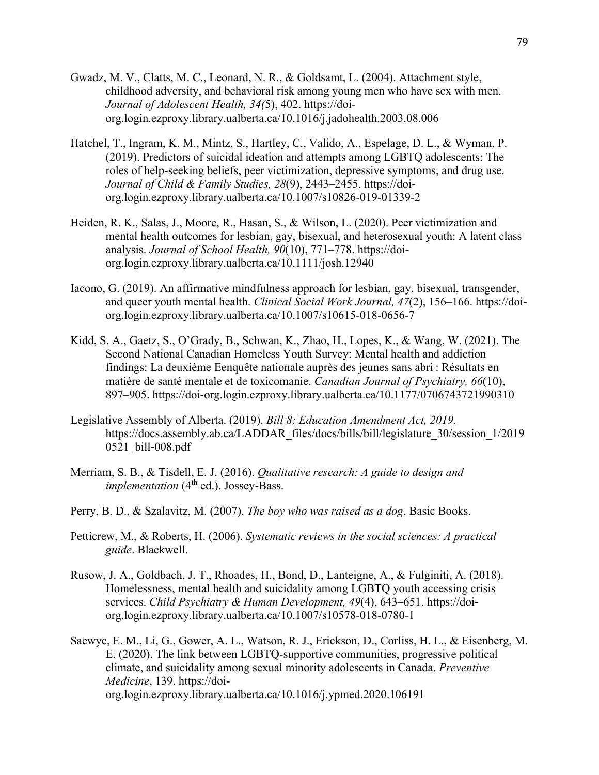- Gwadz, M. V., Clatts, M. C., Leonard, N. R., & Goldsamt, L. (2004). Attachment style, childhood adversity, and behavioral risk among young men who have sex with men. *Journal of Adolescent Health, 34(*5), 402. https://doiorg.login.ezproxy.library.ualberta.ca/10.1016/j.jadohealth.2003.08.006
- Hatchel, T., Ingram, K. M., Mintz, S., Hartley, C., Valido, A., Espelage, D. L., & Wyman, P. (2019). Predictors of suicidal ideation and attempts among LGBTQ adolescents: The roles of help-seeking beliefs, peer victimization, depressive symptoms, and drug use. *Journal of Child & Family Studies, 28*(9), 2443–2455. https://doiorg.login.ezproxy.library.ualberta.ca/10.1007/s10826-019-01339-2
- Heiden, R. K., Salas, J., Moore, R., Hasan, S., & Wilson, L. (2020). Peer victimization and mental health outcomes for lesbian, gay, bisexual, and heterosexual youth: A latent class analysis. *Journal of School Health, 90*(10), 771–778. https://doiorg.login.ezproxy.library.ualberta.ca/10.1111/josh.12940
- Iacono, G. (2019). An affirmative mindfulness approach for lesbian, gay, bisexual, transgender, and queer youth mental health. *Clinical Social Work Journal, 47*(2), 156–166. https://doiorg.login.ezproxy.library.ualberta.ca/10.1007/s10615-018-0656-7
- Kidd, S. A., Gaetz, S., O'Grady, B., Schwan, K., Zhao, H., Lopes, K., & Wang, W. (2021). The Second National Canadian Homeless Youth Survey: Mental health and addiction findings: La deuxième Eenquête nationale auprès des jeunes sans abri : Résultats en matière de santé mentale et de toxicomanie. *Canadian Journal of Psychiatry, 66*(10), 897–905. https://doi-org.login.ezproxy.library.ualberta.ca/10.1177/0706743721990310
- Legislative Assembly of Alberta. (2019). *Bill 8: Education Amendment Act, 2019.* https://docs.assembly.ab.ca/LADDAR\_files/docs/bills/bill/legislature\_30/session\_1/2019 0521\_bill-008.pdf
- Merriam, S. B., & Tisdell, E. J. (2016). *Qualitative research: A guide to design and implementation* (4<sup>th</sup> ed.). Jossey-Bass.
- Perry, B. D., & Szalavitz, M. (2007). *The boy who was raised as a dog*. Basic Books.
- Petticrew, M., & Roberts, H. (2006). *Systematic reviews in the social sciences: A practical guide*. Blackwell.
- Rusow, J. A., Goldbach, J. T., Rhoades, H., Bond, D., Lanteigne, A., & Fulginiti, A. (2018). Homelessness, mental health and suicidality among LGBTQ youth accessing crisis services. *Child Psychiatry & Human Development, 49*(4), 643–651. https://doiorg.login.ezproxy.library.ualberta.ca/10.1007/s10578-018-0780-1
- Saewyc, E. M., Li, G., Gower, A. L., Watson, R. J., Erickson, D., Corliss, H. L., & Eisenberg, M. E. (2020). The link between LGBTQ-supportive communities, progressive political climate, and suicidality among sexual minority adolescents in Canada. *Preventive Medicine*, 139. https://doiorg.login.ezproxy.library.ualberta.ca/10.1016/j.ypmed.2020.106191